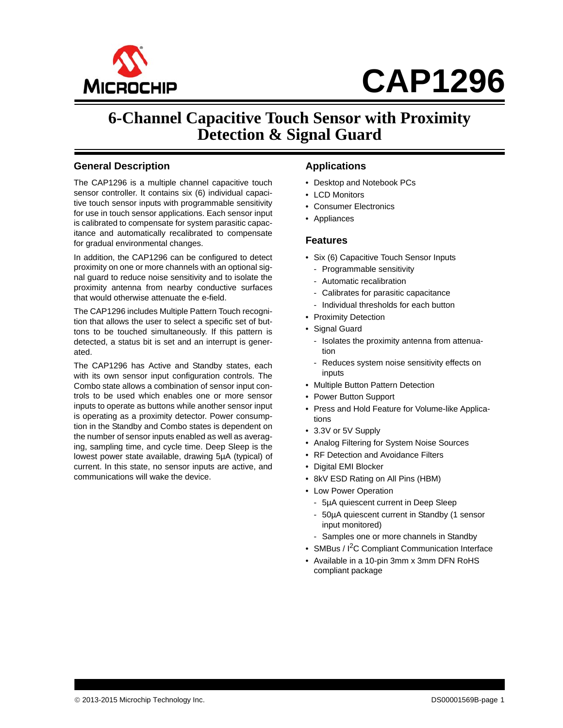

# **CAP1296**

## **6-Channel Capacitive Touch Sensor with Proximity Detection & Signal Guard**

## **General Description**

The CAP1296 is a multiple channel capacitive touch sensor controller. It contains six (6) individual capacitive touch sensor inputs with programmable sensitivity for use in touch sensor applications. Each sensor input is calibrated to compensate for system parasitic capacitance and automatically recalibrated to compensate for gradual environmental changes.

In addition, the CAP1296 can be configured to detect proximity on one or more channels with an optional signal guard to reduce noise sensitivity and to isolate the proximity antenna from nearby conductive surfaces that would otherwise attenuate the e-field.

The CAP1296 includes Multiple Pattern Touch recognition that allows the user to select a specific set of buttons to be touched simultaneously. If this pattern is detected, a status bit is set and an interrupt is generated.

The CAP1296 has Active and Standby states, each with its own sensor input configuration controls. The Combo state allows a combination of sensor input controls to be used which enables one or more sensor inputs to operate as buttons while another sensor input is operating as a proximity detector. Power consumption in the Standby and Combo states is dependent on the number of sensor inputs enabled as well as averaging, sampling time, and cycle time. Deep Sleep is the lowest power state available, drawing 5µA (typical) of current. In this state, no sensor inputs are active, and communications will wake the device.

## **Applications**

- Desktop and Notebook PCs
- LCD Monitors
- Consumer Electronics
- Appliances

### **Features**

- Six (6) Capacitive Touch Sensor Inputs
	- Programmable sensitivity
	- Automatic recalibration
	- Calibrates for parasitic capacitance
	- Individual thresholds for each button
- Proximity Detection
- Signal Guard
	- Isolates the proximity antenna from attenuation
	- Reduces system noise sensitivity effects on inputs
- Multiple Button Pattern Detection
- Power Button Support
- Press and Hold Feature for Volume-like Applications
- 3.3V or 5V Supply
- Analog Filtering for System Noise Sources
- RF Detection and Avoidance Filters
- Digital EMI Blocker
- 8kV ESD Rating on All Pins (HBM)
- Low Power Operation
	- 5µA quiescent current in Deep Sleep
	- 50µA quiescent current in Standby (1 sensor input monitored)
	- Samples one or more channels in Standby
- SMBus / I<sup>2</sup>C Compliant Communication Interface
- Available in a 10-pin 3mm x 3mm DFN RoHS compliant package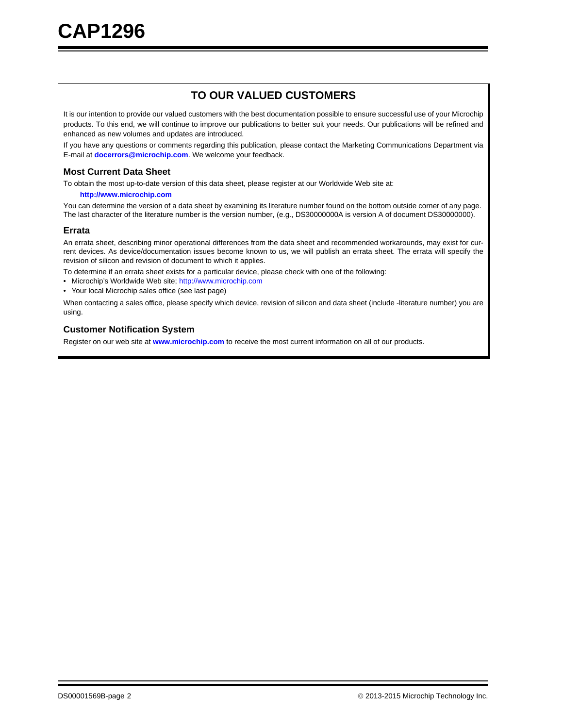## **TO OUR VALUED CUSTOMERS**

It is our intention to provide our valued customers with the best documentation possible to ensure successful use of your Microchip products. To this end, we will continue to improve our publications to better suit your needs. Our publications will be refined and enhanced as new volumes and updates are introduced.

If you have any questions or comments regarding this publication, please contact the Marketing Communications Department via E-mail at **[docerrors@microchip.com](mailto:docerrors@microchip.com)**. We welcome your feedback.

## **Most Current Data Sheet**

To obtain the most up-to-date version of this data sheet, please register at our Worldwide Web site at:

#### **http://www.microchip.com**

You can determine the version of a data sheet by examining its literature number found on the bottom outside corner of any page. The last character of the literature number is the version number, (e.g., DS30000000A is version A of document DS30000000).

#### **Errata**

An errata sheet, describing minor operational differences from the data sheet and recommended workarounds, may exist for current devices. As device/documentation issues become known to us, we will publish an errata sheet. The errata will specify the revision of silicon and revision of document to which it applies.

To determine if an errata sheet exists for a particular device, please check with one of the following:

• [Microchip's Worldwide Web site; h](http://www.microchip.com)ttp://www.microchip.com

• Your local Microchip sales office (see last page)

When contacting a sales office, please specify which device, revision of silicon and data sheet (include -literature number) you are using.

#### **Customer Notification System**

Register on our web site at **[www.microchip.com](http://www.microchip.com)** to receive the most current information on all of our products.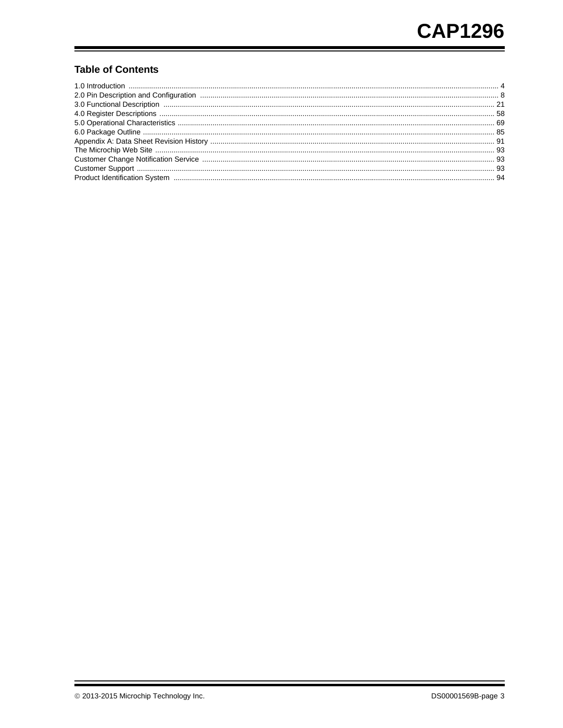## **Table of Contents**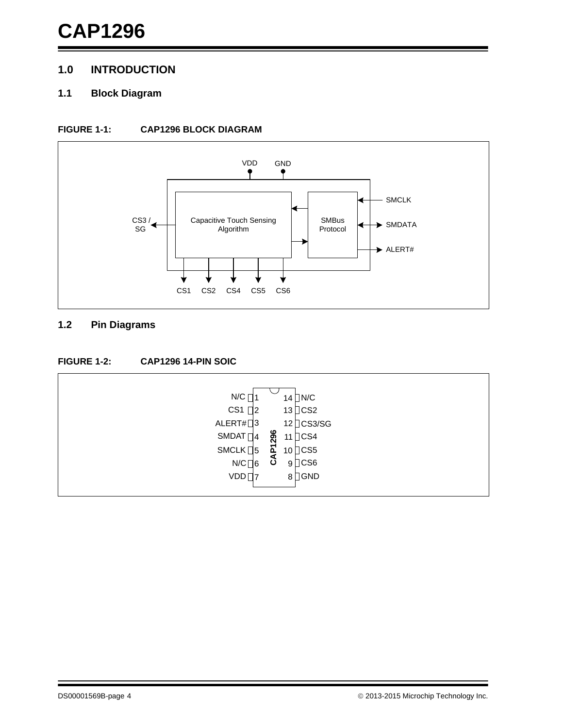## **CAP1296**

## **1.0 INTRODUCTION**

## **1.1 Block Diagram**

## **FIGURE 1-1: CAP1296 BLOCK DIAGRAM**



## **1.2 Pin Diagrams**

## **FIGURE 1-2: CAP1296 14-PIN SOIC**

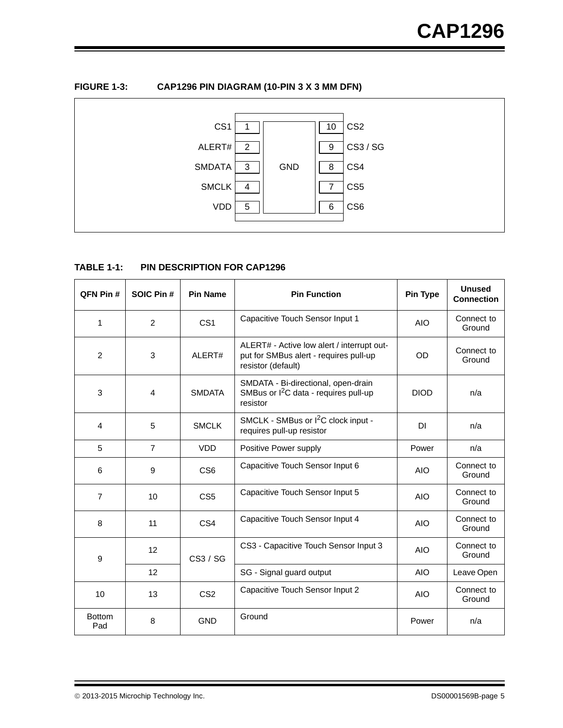## **FIGURE 1-3: CAP1296 PIN DIAGRAM (10-PIN 3 X 3 MM DFN)**



## **TABLE 1-1: PIN DESCRIPTION FOR CAP1296**

| QFN Pin #            | SOIC Pin #     | <b>Pin Name</b> | <b>Pin Function</b>                                                                                        | <b>Pin Type</b> | <b>Unused</b><br><b>Connection</b> |
|----------------------|----------------|-----------------|------------------------------------------------------------------------------------------------------------|-----------------|------------------------------------|
| 1                    | 2              | CS <sub>1</sub> | Capacitive Touch Sensor Input 1                                                                            | <b>AIO</b>      | Connect to<br>Ground               |
| 2                    | 3              | ALERT#          | ALERT# - Active low alert / interrupt out-<br>put for SMBus alert - requires pull-up<br>resistor (default) | <b>OD</b>       | Connect to<br>Ground               |
| 3                    | $\overline{4}$ | <b>SMDATA</b>   | SMDATA - Bi-directional, open-drain<br>SMBus or I <sup>2</sup> C data - requires pull-up<br>resistor       | <b>DIOD</b>     | n/a                                |
| 4                    | 5              | <b>SMCLK</b>    | SMCLK - SMBus or $I2C$ clock input -<br>requires pull-up resistor                                          | <b>DI</b>       | n/a                                |
| 5                    | $\overline{7}$ | <b>VDD</b>      | Positive Power supply                                                                                      | Power           | n/a                                |
| 6                    | 9              | CS <sub>6</sub> | Capacitive Touch Sensor Input 6                                                                            | <b>AIO</b>      | Connect to<br>Ground               |
| $\overline{7}$       | 10             | CS <sub>5</sub> | Capacitive Touch Sensor Input 5                                                                            | <b>AIO</b>      | Connect to<br>Ground               |
| 8                    | 11             | CS <sub>4</sub> | Capacitive Touch Sensor Input 4                                                                            | <b>AIO</b>      | Connect to<br>Ground               |
| 9                    | 12             | CS3 / SG        | CS3 - Capacitive Touch Sensor Input 3                                                                      | <b>AIO</b>      | Connect to<br>Ground               |
|                      | 12             |                 | SG - Signal guard output                                                                                   | <b>AIO</b>      | Leave Open                         |
| 10                   | 13             | CS <sub>2</sub> | Capacitive Touch Sensor Input 2                                                                            | <b>AIO</b>      | Connect to<br>Ground               |
| <b>Bottom</b><br>Pad | 8              | <b>GND</b>      | Ground                                                                                                     | Power           | n/a                                |

© 2013-2015 Microchip Technology Inc. Compared to the control of the DS00001569B-page 5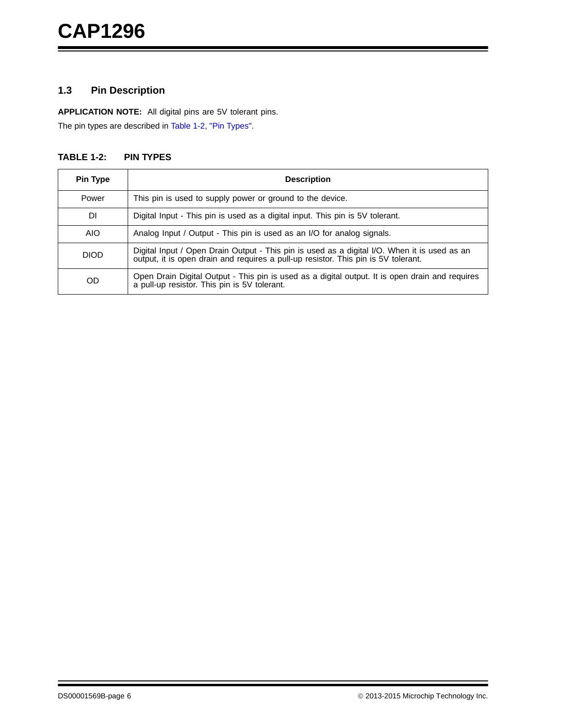## **1.3 Pin Description**

**APPLICATION NOTE:** All digital pins are 5V tolerant pins. The pin types are described in [Table 1-2, "Pin Types".](#page-5-0)

## <span id="page-5-0"></span>**TABLE 1-2: PIN TYPES**

| <b>Pin Type</b> | <b>Description</b>                                                                                                                                                              |
|-----------------|---------------------------------------------------------------------------------------------------------------------------------------------------------------------------------|
| Power           | This pin is used to supply power or ground to the device.                                                                                                                       |
| DI              | Digital Input - This pin is used as a digital input. This pin is 5V tolerant.                                                                                                   |
| <b>AIO</b>      | Analog Input / Output - This pin is used as an I/O for analog signals.                                                                                                          |
| <b>DIOD</b>     | Digital Input / Open Drain Output - This pin is used as a digital I/O. When it is used as an output, it is open drain and requires a pull-up resistor. This pin is 5V tolerant. |
| OD.             | Open Drain Digital Output - This pin is used as a digital output. It is open drain and requires<br>a pull-up resistor. This pin is 5V tolerant.                                 |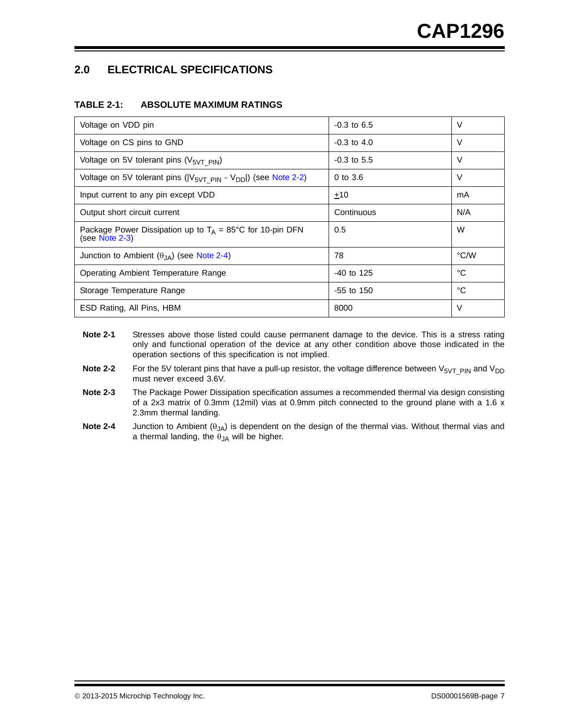## **2.0 ELECTRICAL SPECIFICATIONS**

## **TABLE 2-1: ABSOLUTE MAXIMUM RATINGS**

| Voltage on VDD pin                                                                     | $-0.3$ to 6.5   | V      |
|----------------------------------------------------------------------------------------|-----------------|--------|
| Voltage on CS pins to GND                                                              | $-0.3$ to $4.0$ | $\vee$ |
| Voltage on 5V tolerant pins ( $V_{5VT}$ PIN)                                           | $-0.3$ to 5.5   | $\vee$ |
| Voltage on 5V tolerant pins ( V <sub>5VT_PIN</sub> - V <sub>DD</sub>  ) (see Note 2-2) | $0$ to $3.6$    | $\vee$ |
| Input current to any pin except VDD                                                    | ±10             | mA     |
| Output short circuit current                                                           | Continuous      | N/A    |
| Package Power Dissipation up to $T_A = 85^{\circ}$ C for 10-pin DFN<br>(see Note 2-3)  | 0.5             | W      |
| Junction to Ambient $(\theta_{JA})$ (see Note 2-4)                                     | 78              | °C/W   |
| Operating Ambient Temperature Range                                                    | $-40$ to 125    | °C     |
| Storage Temperature Range                                                              | $-55$ to 150    | °C     |
| ESD Rating, All Pins, HBM                                                              | 8000            | V      |

- **Note 2-1** Stresses above those listed could cause permanent damage to the device. This is a stress rating only and functional operation of the device at any other condition above those indicated in the operation sections of this specification is not implied.
- <span id="page-6-0"></span>**Note 2-2** For the 5V tolerant pins that have a pull-up resistor, the voltage difference between  $V_{5VT-PHN}$  and  $V_{DD}$ must never exceed 3.6V.
- <span id="page-6-1"></span>**Note 2-3** The Package Power Dissipation specification assumes a recommended thermal via design consisting of a 2x3 matrix of 0.3mm (12mil) vias at 0.9mm pitch connected to the ground plane with a 1.6 x 2.3mm thermal landing.
- <span id="page-6-2"></span>**Note 2-4** Junction to Ambient  $(\theta_{JA})$  is dependent on the design of the thermal vias. Without thermal vias and a thermal landing, the  $\theta_{JA}$  will be higher.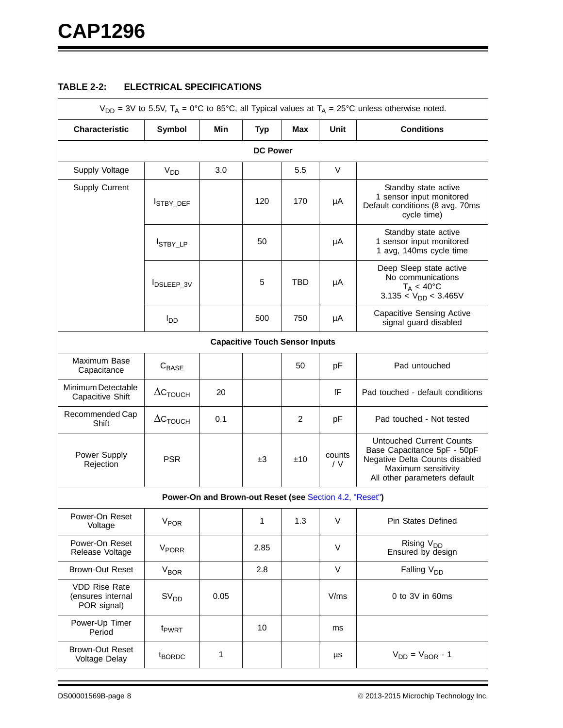## **TABLE 2-2: ELECTRICAL SPECIFICATIONS**

| $V_{DD}$ = 3V to 5.5V, T <sub>A</sub> = 0°C to 85°C, all Typical values at T <sub>A</sub> = 25°C unless otherwise noted. |                                       |                                                         |                 |                |                      |                                                                                                                                                         |  |  |  |  |  |
|--------------------------------------------------------------------------------------------------------------------------|---------------------------------------|---------------------------------------------------------|-----------------|----------------|----------------------|---------------------------------------------------------------------------------------------------------------------------------------------------------|--|--|--|--|--|
| Characteristic                                                                                                           | <b>Symbol</b>                         | Min                                                     | <b>Typ</b>      | Max            | Unit                 | <b>Conditions</b>                                                                                                                                       |  |  |  |  |  |
|                                                                                                                          |                                       |                                                         | <b>DC Power</b> |                |                      |                                                                                                                                                         |  |  |  |  |  |
| Supply Voltage                                                                                                           | V <sub>DD</sub>                       | 3.0                                                     |                 | 5.5            | $\vee$               |                                                                                                                                                         |  |  |  |  |  |
| <b>Supply Current</b>                                                                                                    | STBY_DEF                              |                                                         | 120             | 170            | μA                   | Standby state active<br>1 sensor input monitored<br>Default conditions (8 avg, 70ms<br>cycle time)                                                      |  |  |  |  |  |
|                                                                                                                          | STBY_LP                               |                                                         | 50              |                | μA                   | Standby state active<br>1 sensor input monitored<br>1 avg, 140ms cycle time                                                                             |  |  |  |  |  |
|                                                                                                                          | <b>IDSLEEP_3V</b>                     |                                                         | 5               | <b>TBD</b>     | μA                   | Deep Sleep state active<br>No communications<br>$T_A < 40^{\circ}$ C<br>$3.135 < V_{DD} < 3.465V$                                                       |  |  |  |  |  |
|                                                                                                                          | $I_{DD}$                              |                                                         | 500             | 750            | μA                   | <b>Capacitive Sensing Active</b><br>signal guard disabled                                                                                               |  |  |  |  |  |
|                                                                                                                          | <b>Capacitive Touch Sensor Inputs</b> |                                                         |                 |                |                      |                                                                                                                                                         |  |  |  |  |  |
| Maximum Base<br>Capacitance                                                                                              | $C_{\text{BASE}}$                     |                                                         |                 | 50             | pF                   | Pad untouched                                                                                                                                           |  |  |  |  |  |
| Minimum Detectable<br><b>Capacitive Shift</b>                                                                            | $\Delta C_{TOUCH}$                    | 20                                                      |                 |                | fF                   | Pad touched - default conditions                                                                                                                        |  |  |  |  |  |
| Recommended Cap<br>Shift                                                                                                 | $\Delta C_{TOUCH}$                    | 0.1                                                     |                 | $\overline{c}$ | рF                   | Pad touched - Not tested                                                                                                                                |  |  |  |  |  |
| Power Supply<br>Rejection                                                                                                | <b>PSR</b>                            |                                                         | ±3              | ±10            | counts<br>$\sqrt{V}$ | <b>Untouched Current Counts</b><br>Base Capacitance 5pF - 50pF<br>Negative Delta Counts disabled<br>Maximum sensitivity<br>All other parameters default |  |  |  |  |  |
|                                                                                                                          |                                       | Power-On and Brown-out Reset (see Section 4.2, "Reset") |                 |                |                      |                                                                                                                                                         |  |  |  |  |  |
| Power-On Reset<br>Voltage                                                                                                | V <sub>POR</sub>                      |                                                         | 1               | 1.3            | $\vee$               | Pin States Defined                                                                                                                                      |  |  |  |  |  |
| Power-On Reset<br>Release Voltage                                                                                        | V <sub>PORR</sub>                     |                                                         | 2.85            |                | V                    | Rising V <sub>DD</sub><br>Ensured by design                                                                                                             |  |  |  |  |  |
| <b>Brown-Out Reset</b>                                                                                                   | <b>V<sub>BOR</sub></b>                |                                                         | 2.8             |                | $\vee$               | Falling V <sub>DD</sub>                                                                                                                                 |  |  |  |  |  |
| <b>VDD Rise Rate</b><br>(ensures internal<br>POR signal)                                                                 | SV <sub>DD</sub>                      | 0.05                                                    |                 |                | V/ms                 | 0 to 3V in 60ms                                                                                                                                         |  |  |  |  |  |
| Power-Up Timer<br>Period                                                                                                 | t <sub>PWRT</sub>                     |                                                         | 10              |                | ms                   |                                                                                                                                                         |  |  |  |  |  |
| <b>Brown-Out Reset</b><br>Voltage Delay                                                                                  | t <sub>BORDC</sub>                    | 1                                                       |                 |                | μs                   | $V_{DD} = V_{BOR} - 1$                                                                                                                                  |  |  |  |  |  |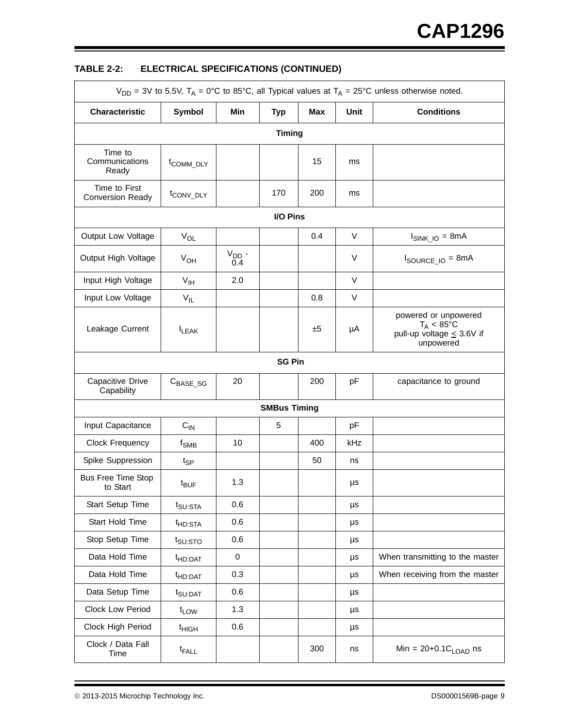|                                          | $V_{DD}$ = 3V to 5.5V, T <sub>A</sub> = 0°C to 85°C, all Typical values at T <sub>A</sub> = 25°C unless otherwise noted. |                   |                     |            |               |                                                                                             |  |  |  |  |  |  |  |
|------------------------------------------|--------------------------------------------------------------------------------------------------------------------------|-------------------|---------------------|------------|---------------|---------------------------------------------------------------------------------------------|--|--|--|--|--|--|--|
| Characteristic                           | <b>Symbol</b>                                                                                                            | Min               | <b>Typ</b>          | <b>Max</b> | Unit          | <b>Conditions</b>                                                                           |  |  |  |  |  |  |  |
|                                          | <b>Timing</b>                                                                                                            |                   |                     |            |               |                                                                                             |  |  |  |  |  |  |  |
| Time to<br>Communications<br>Ready       | t <sub>COMM_DLY</sub>                                                                                                    |                   |                     | 15         | ms            |                                                                                             |  |  |  |  |  |  |  |
| Time to First<br><b>Conversion Ready</b> | t <sub>CONV_DLY</sub>                                                                                                    |                   | 170                 | 200        | ms            |                                                                                             |  |  |  |  |  |  |  |
|                                          |                                                                                                                          |                   | I/O Pins            |            |               |                                                                                             |  |  |  |  |  |  |  |
| Output Low Voltage                       | $V_{OL}$                                                                                                                 |                   |                     | 0.4        | V             | $I_{SINK\_IO} = 8mA$                                                                        |  |  |  |  |  |  |  |
| Output High Voltage                      | $V_{OH}$                                                                                                                 | $V_{DD}$ -<br>0.4 |                     |            | V             | $I_{\text{SOURCE\_IO}} = 8 \text{mA}$                                                       |  |  |  |  |  |  |  |
| Input High Voltage                       | $V_{\text{IH}}$                                                                                                          | 2.0               |                     |            | V             |                                                                                             |  |  |  |  |  |  |  |
| Input Low Voltage                        | $V_{IL}$                                                                                                                 |                   |                     | 0.8        | V             |                                                                                             |  |  |  |  |  |  |  |
| Leakage Current                          | <b>ILEAK</b>                                                                                                             |                   |                     | ±5         | μA            | powered or unpowered<br>$T_A < 85^{\circ}$ C<br>pull-up voltage $\leq$ 3.6V if<br>unpowered |  |  |  |  |  |  |  |
|                                          |                                                                                                                          |                   | <b>SG Pin</b>       |            |               |                                                                                             |  |  |  |  |  |  |  |
| Capacitive Drive<br>Capability           | $C_{\text{BASE}\_\text{SG}}$                                                                                             | 20                |                     | 200        | pF            | capacitance to ground                                                                       |  |  |  |  |  |  |  |
|                                          |                                                                                                                          |                   | <b>SMBus Timing</b> |            |               |                                                                                             |  |  |  |  |  |  |  |
| Input Capacitance                        | $C_{IN}$                                                                                                                 |                   | 5                   |            | pF            |                                                                                             |  |  |  |  |  |  |  |
| Clock Frequency                          | $f_{\mathsf{SMB}}$                                                                                                       | 10                |                     | 400        | kHz           |                                                                                             |  |  |  |  |  |  |  |
| Spike Suppression                        | $t_{SP}$                                                                                                                 |                   |                     | 50         | ns            |                                                                                             |  |  |  |  |  |  |  |
| <b>Bus Free Time Stop</b><br>to Start    | $t_{\text{BUF}}$                                                                                                         | 1.3               |                     |            | $\mu\text{s}$ |                                                                                             |  |  |  |  |  |  |  |
| Start Setup Time                         | $t_{\text{SU:STA}}$                                                                                                      | 0.6               |                     |            | μs            |                                                                                             |  |  |  |  |  |  |  |
| Start Hold Time                          | t <sub>HD:STA</sub>                                                                                                      | 0.6               |                     |            | μs            |                                                                                             |  |  |  |  |  |  |  |
| Stop Setup Time                          | t <sub>SU:STO</sub>                                                                                                      | 0.6               |                     |            | μs            |                                                                                             |  |  |  |  |  |  |  |
| Data Hold Time                           | <sup>t</sup> HD:DAT                                                                                                      | $\mathbf 0$       |                     |            | μs            | When transmitting to the master                                                             |  |  |  |  |  |  |  |
| Data Hold Time                           | <sup>t</sup> HD:DAT                                                                                                      | 0.3               |                     |            | $\mu s$       | When receiving from the master                                                              |  |  |  |  |  |  |  |
| Data Setup Time                          | $t_{\text{SU:DAT}}$                                                                                                      | 0.6               |                     |            | μs            |                                                                                             |  |  |  |  |  |  |  |
| Clock Low Period                         | $t_{LOW}$                                                                                                                | 1.3               |                     |            | μs            |                                                                                             |  |  |  |  |  |  |  |
| Clock High Period                        | t <sub>HIGH</sub>                                                                                                        | 0.6               |                     |            | μs            |                                                                                             |  |  |  |  |  |  |  |
| Clock / Data Fall<br>Time                | <sup>t</sup> FALL                                                                                                        |                   |                     | 300        | ns            | Min = $20+0.1C_{LOAD}$ ns                                                                   |  |  |  |  |  |  |  |

## **TABLE 2-2: ELECTRICAL SPECIFICATIONS (CONTINUED)**

© 2013-2015 Microchip Technology Inc. COMEXANDED SOME DESIGNATION DESIGNATION DESIGNATION DESIGNATION OF PAGE 9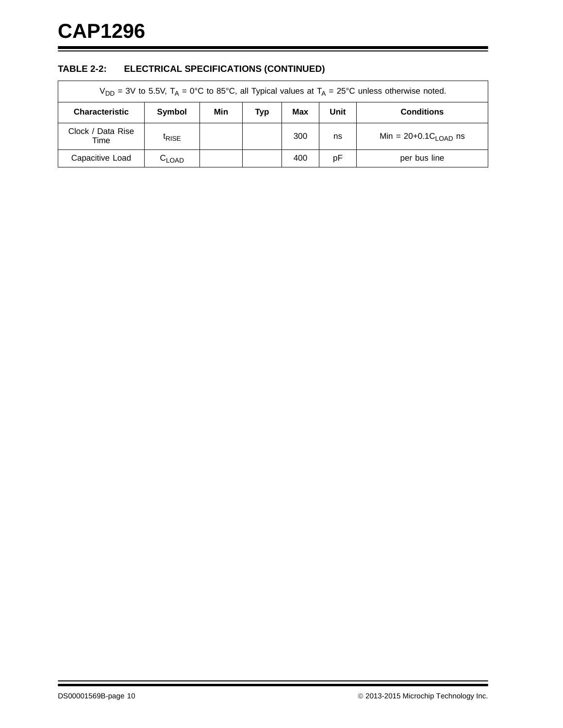## **TABLE 2-2: ELECTRICAL SPECIFICATIONS (CONTINUED)**

| $V_{DD}$ = 3V to 5.5V, T <sub>A</sub> = 0°C to 85°C, all Typical values at T <sub>A</sub> = 25°C unless otherwise noted. |                   |  |  |     |    |                           |  |  |  |  |  |
|--------------------------------------------------------------------------------------------------------------------------|-------------------|--|--|-----|----|---------------------------|--|--|--|--|--|
| Unit<br><b>Characteristic</b><br><b>Max</b><br>Min<br><b>Conditions</b><br>Symbol<br>Typ                                 |                   |  |  |     |    |                           |  |  |  |  |  |
| Clock / Data Rise<br>Time                                                                                                | <sup>I</sup> RISE |  |  | 300 | ns | Min = $20+0.1C_{LOAD}$ ns |  |  |  |  |  |
| Capacitive Load                                                                                                          | $C_{\text{LOAD}}$ |  |  | 400 | рF | per bus line              |  |  |  |  |  |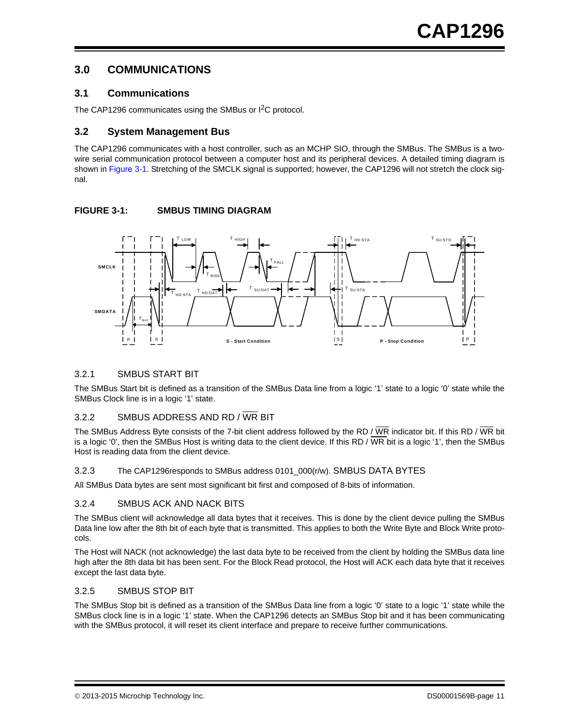## **3.0 COMMUNICATIONS**

## **3.1 Communications**

The CAP1296 communicates using the SMBus or  $I^2C$  protocol.

## **3.2 System Management Bus**

The CAP1296 communicates with a host controller, such as an MCHP SIO, through the SMBus. The SMBus is a twowire serial communication protocol between a computer host and its peripheral devices. A detailed timing diagram is shown in [Figure 3-1.](#page-10-0) Stretching of the SMCLK signal is supported; however, the CAP1296 will not stretch the clock signal.

## <span id="page-10-0"></span>**FIGURE 3-1: SMBUS TIMING DIAGRAM**



## 3.2.1 SMBUS START BIT

The SMBus Start bit is defined as a transition of the SMBus Data line from a logic '1' state to a logic '0' state while the SMBus Clock line is in a logic '1' state.

## 3.2.2 SMBUS ADDRESS AND RD / WR BIT

The SMBus Address Byte consists of the 7-bit client address followed by the RD /  $\overline{\text{WR}}$  indicator bit. If this RD /  $\overline{\text{WR}}$  bit is a logic '0', then the SMBus Host is writing data to the client device. If this RD / WR bit is a logic '1', then the SMBus Host is reading data from the client device.

### 3.2.3 The CAP1296responds to SMBus address 0101\_000(r/w). SMBUS DATA BYTES

All SMBus Data bytes are sent most significant bit first and composed of 8-bits of information.

## 3.2.4 SMBUS ACK AND NACK BITS

The SMBus client will acknowledge all data bytes that it receives. This is done by the client device pulling the SMBus Data line low after the 8th bit of each byte that is transmitted. This applies to both the Write Byte and Block Write protocols.

The Host will NACK (not acknowledge) the last data byte to be received from the client by holding the SMBus data line high after the 8th data bit has been sent. For the Block Read protocol, the Host will ACK each data byte that it receives except the last data byte.

## 3.2.5 SMBUS STOP BIT

The SMBus Stop bit is defined as a transition of the SMBus Data line from a logic '0' state to a logic '1' state while the SMBus clock line is in a logic '1' state. When the CAP1296 detects an SMBus Stop bit and it has been communicating with the SMBus protocol, it will reset its client interface and prepare to receive further communications.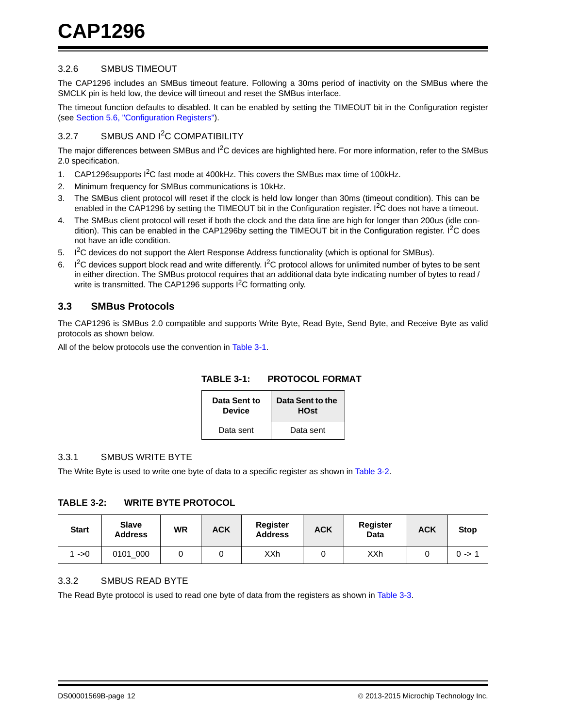## 3.2.6 SMBUS TIMEOUT

The CAP1296 includes an SMBus timeout feature. Following a 30ms period of inactivity on the SMBus where the SMCLK pin is held low, the device will timeout and reset the SMBus interface.

The timeout function defaults to disabled. It can be enabled by setting the TIMEOUT bit in the Configuration register (see [Section 5.6, "Configuration Registers"](#page-30-0)).

## 3.2.7 SMBUS AND <sup>2</sup>C COMPATIBILITY

The major differences between SMBus and I<sup>2</sup>C devices are highlighted here. For more information, refer to the SMBus 2.0 specification.

- 1. CAP1296 supports  $1<sup>2</sup>C$  fast mode at 400 kHz. This covers the SMBus max time of 100 kHz.
- 2. Minimum frequency for SMBus communications is 10kHz.
- 3. The SMBus client protocol will reset if the clock is held low longer than 30ms (timeout condition). This can be enabled in the CAP1296 by setting the TIMEOUT bit in the Configuration register. I<sup>2</sup>C does not have a timeout.
- 4. The SMBus client protocol will reset if both the clock and the data line are high for longer than 200us (idle condition). This can be enabled in the CAP1296by setting the TIMEOUT bit in the Configuration register. I<sup>2</sup>C does not have an idle condition.
- 5. I<sup>2</sup>C devices do not support the Alert Response Address functionality (which is optional for SMBus).
- 6. I<sup>2</sup>C devices support block read and write differently. I<sup>2</sup>C protocol allows for unlimited number of bytes to be sent in either direction. The SMBus protocol requires that an additional data byte indicating number of bytes to read / write is transmitted. The CAP1296 supports I<sup>2</sup>C formatting only.

## **3.3 SMBus Protocols**

The CAP1296 is SMBus 2.0 compatible and supports Write Byte, Read Byte, Send Byte, and Receive Byte as valid protocols as shown below.

All of the below protocols use the convention in [Table 3-1.](#page-11-0)

| Data Sent to  | Data Sent to the |
|---------------|------------------|
| <b>Device</b> | <b>HOst</b>      |
| Data sent     | Data sent        |

<span id="page-11-0"></span>**TABLE 3-1: PROTOCOL FORMAT**

### 3.3.1 SMBUS WRITE BYTE

The Write Byte is used to write one byte of data to a specific register as shown in [Table 3-2](#page-11-1).

### <span id="page-11-1"></span>**TABLE 3-2: WRITE BYTE PROTOCOL**

| <b>Start</b> | <b>Slave</b><br><b>Address</b> | <b>WR</b> | <b>ACK</b> | <b>Register</b><br><b>Address</b> | <b>ACK</b> | <b>Register</b><br>Data | <b>ACK</b> | <b>Stop</b> |
|--------------|--------------------------------|-----------|------------|-----------------------------------|------------|-------------------------|------------|-------------|
| $\sim 0$     | 0101 000                       |           |            | XXh                               |            | <b>XXh</b>              |            | $0 - > 0$   |

## 3.3.2 SMBUS READ BYTE

The Read Byte protocol is used to read one byte of data from the registers as shown in [Table 3-3.](#page-12-0)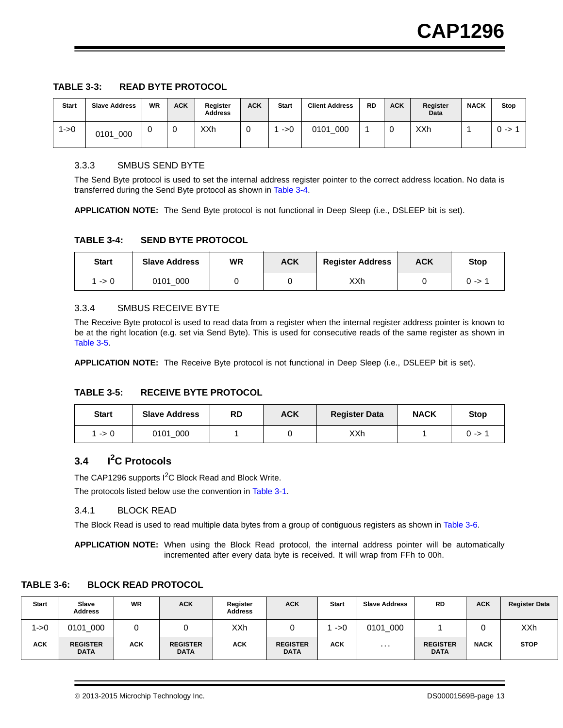## <span id="page-12-0"></span>**TABLE 3-3: READ BYTE PROTOCOL**

| <b>Start</b> | <b>Slave Address</b> | WR | <b>ACK</b> | Register<br><b>Address</b> | <b>ACK</b> | <b>Start</b> | <b>Client Address</b> | <b>RD</b> | <b>ACK</b> | Register<br>Data | <b>NACK</b> | <b>Stop</b> |
|--------------|----------------------|----|------------|----------------------------|------------|--------------|-----------------------|-----------|------------|------------------|-------------|-------------|
| $1 - 50$     | 000<br>0101          |    |            | <b>XXh</b>                 |            | $\sim 0$     | 0101 000              |           | 0          | XXh              |             | $0 - > 0$   |

## 3.3.3 SMBUS SEND BYTE

The Send Byte protocol is used to set the internal address register pointer to the correct address location. No data is transferred during the Send Byte protocol as shown in [Table 3-4.](#page-12-2)

**APPLICATION NOTE:** The Send Byte protocol is not functional in Deep Sleep (i.e., DSLEEP bit is set).

## <span id="page-12-2"></span>**TABLE 3-4: SEND BYTE PROTOCOL**

| <b>Start</b> | <b>Slave Address</b> | <b>WR</b> | <b>ACK</b> | <b>Register Address</b> | <b>ACK</b> | <b>Stop</b> |
|--------------|----------------------|-----------|------------|-------------------------|------------|-------------|
| -> 0         | 0101 000             |           |            | XXh                     |            | $0 -$       |

## 3.3.4 SMBUS RECEIVE BYTE

The Receive Byte protocol is used to read data from a register when the internal register address pointer is known to be at the right location (e.g. set via Send Byte). This is used for consecutive reads of the same register as shown in [Table 3-5.](#page-12-3)

**APPLICATION NOTE:** The Receive Byte protocol is not functional in Deep Sleep (i.e., DSLEEP bit is set).

## <span id="page-12-3"></span>**TABLE 3-5: RECEIVE BYTE PROTOCOL**

| <b>Start</b>    | <b>Slave Address</b> | RD | <b>ACK</b> | <b>Register Data</b> | <b>NACK</b> | <b>Stop</b> |
|-----------------|----------------------|----|------------|----------------------|-------------|-------------|
| $\rightarrow 0$ | 0101 000             |    |            | XXh                  |             | $0 -$       |

## **3.4 I2C Protocols**

The CAP1296 supports  $I^2C$  Block Read and Block Write.

The protocols listed below use the convention in [Table 3-1.](#page-11-0)

## 3.4.1 BLOCK READ

The Block Read is used to read multiple data bytes from a group of contiguous registers as shown in [Table 3-6](#page-12-1).

**APPLICATION NOTE:** When using the Block Read protocol, the internal address pointer will be automatically incremented after every data byte is received. It will wrap from FFh to 00h.

### <span id="page-12-1"></span>**TABLE 3-6: BLOCK READ PROTOCOL**

| <b>Start</b> | Slave<br><b>Address</b>        | WR         | <b>ACK</b>                     | Register<br><b>Address</b> | <b>ACK</b>                     | <b>Start</b> | <b>Slave Address</b> | <b>RD</b>                      | <b>ACK</b>  | <b>Register Data</b> |
|--------------|--------------------------------|------------|--------------------------------|----------------------------|--------------------------------|--------------|----------------------|--------------------------------|-------------|----------------------|
| 1->0         | 000<br>0101                    |            |                                | XXh                        |                                | ->0          | 0101 000             |                                |             | XXh                  |
| <b>ACK</b>   | <b>REGISTER</b><br><b>DATA</b> | <b>ACK</b> | <b>REGISTER</b><br><b>DATA</b> | <b>ACK</b>                 | <b>REGISTER</b><br><b>DATA</b> | <b>ACK</b>   | .                    | <b>REGISTER</b><br><b>DATA</b> | <b>NACK</b> | <b>STOP</b>          |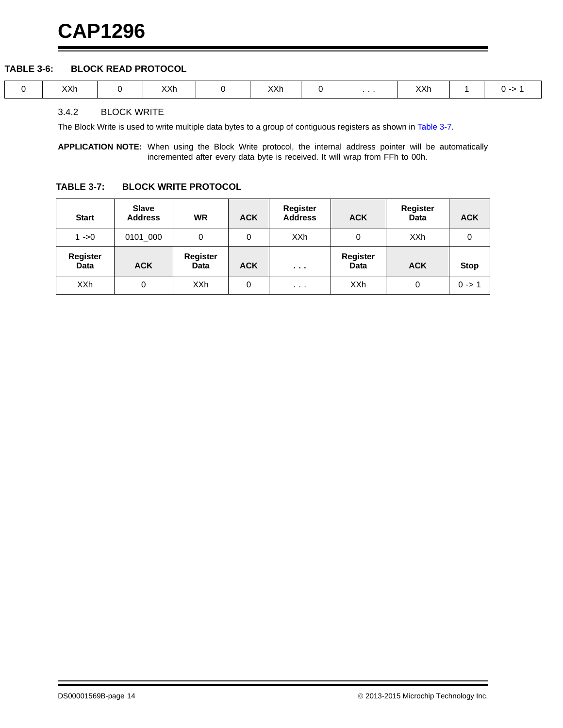## **CAP1296**

## **TABLE 3-6: BLOCK READ PROTOCOL**

|  | <b>VVL</b><br><b>AAN</b> |  | <b>VVL</b><br>ᄾᄉᆝᆝ |  | XXh |  |  | $\mathbf{v}$<br>AAL. |  |  |
|--|--------------------------|--|--------------------|--|-----|--|--|----------------------|--|--|
|--|--------------------------|--|--------------------|--|-----|--|--|----------------------|--|--|

### 3.4.2 BLOCK WRITE

The Block Write is used to write multiple data bytes to a group of contiguous registers as shown in [Table 3-7](#page-13-0).

**APPLICATION NOTE:** When using the Block Write protocol, the internal address pointer will be automatically incremented after every data byte is received. It will wrap from FFh to 00h.

## <span id="page-13-0"></span>**TABLE 3-7: BLOCK WRITE PROTOCOL**

| <b>Start</b>                   | <b>Slave</b><br><b>Address</b> | <b>WR</b>               | <b>ACK</b> | <b>Register</b><br><b>Address</b> | <b>ACK</b>              | <b>Register</b><br><b>Data</b> | <b>ACK</b>        |
|--------------------------------|--------------------------------|-------------------------|------------|-----------------------------------|-------------------------|--------------------------------|-------------------|
| $1 - 0$                        | 0101 000                       | 0                       | 0          | XXh                               | 0                       | <b>XXh</b>                     |                   |
| <b>Register</b><br><b>Data</b> | <b>ACK</b>                     | <b>Register</b><br>Data | <b>ACK</b> | $\sim$ $\sim$ $\sim$              | <b>Register</b><br>Data | <b>ACK</b>                     | <b>Stop</b>       |
| <b>XXh</b>                     | 0                              | XXh                     | 0          | $\cdots$                          | XXh                     | 0                              | $0 \rightarrow 1$ |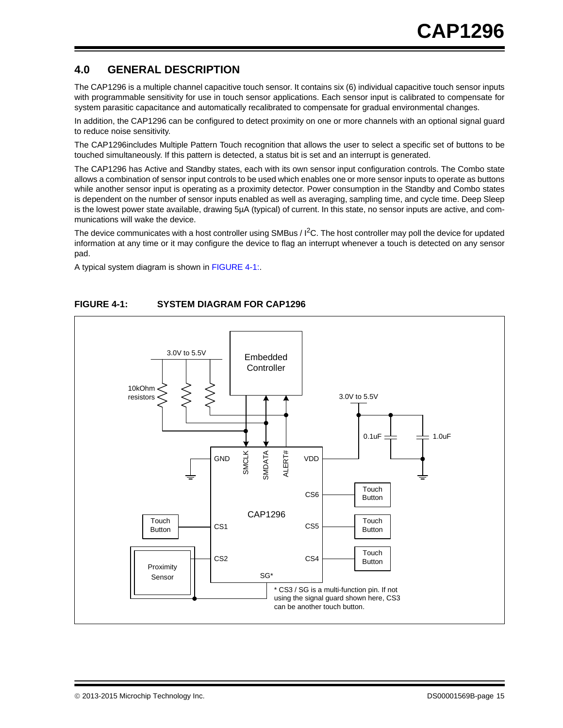## **4.0 GENERAL DESCRIPTION**

The CAP1296 is a multiple channel capacitive touch sensor. It contains six (6) individual capacitive touch sensor inputs with programmable sensitivity for use in touch sensor applications. Each sensor input is calibrated to compensate for system parasitic capacitance and automatically recalibrated to compensate for gradual environmental changes.

In addition, the CAP1296 can be configured to detect proximity on one or more channels with an optional signal guard to reduce noise sensitivity.

The CAP1296includes Multiple Pattern Touch recognition that allows the user to select a specific set of buttons to be touched simultaneously. If this pattern is detected, a status bit is set and an interrupt is generated.

The CAP1296 has Active and Standby states, each with its own sensor input configuration controls. The Combo state allows a combination of sensor input controls to be used which enables one or more sensor inputs to operate as buttons while another sensor input is operating as a proximity detector. Power consumption in the Standby and Combo states is dependent on the number of sensor inputs enabled as well as averaging, sampling time, and cycle time. Deep Sleep is the lowest power state available, drawing 5µA (typical) of current. In this state, no sensor inputs are active, and communications will wake the device.

The device communicates with a host controller using SMBus  $/1^2C$ . The host controller may poll the device for updated information at any time or it may configure the device to flag an interrupt whenever a touch is detected on any sensor pad.

A typical system diagram is shown in [FIGURE 4-1:](#page-14-0).

<span id="page-14-0"></span>

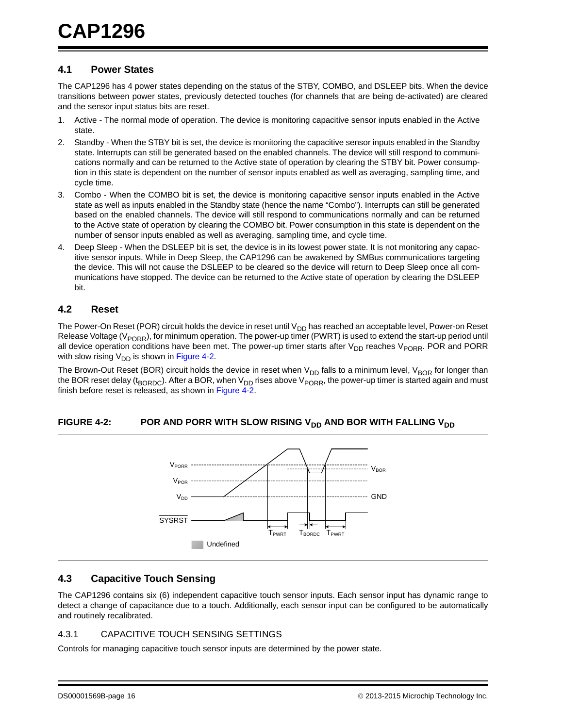## <span id="page-15-2"></span>**4.1 Power States**

The CAP1296 has 4 power states depending on the status of the STBY, COMBO, and DSLEEP bits. When the device transitions between power states, previously detected touches (for channels that are being de-activated) are cleared and the sensor input status bits are reset.

- 1. Active The normal mode of operation. The device is monitoring capacitive sensor inputs enabled in the Active state.
- 2. Standby When the STBY bit is set, the device is monitoring the capacitive sensor inputs enabled in the Standby state. Interrupts can still be generated based on the enabled channels. The device will still respond to communications normally and can be returned to the Active state of operation by clearing the STBY bit. Power consumption in this state is dependent on the number of sensor inputs enabled as well as averaging, sampling time, and cycle time.
- 3. Combo When the COMBO bit is set, the device is monitoring capacitive sensor inputs enabled in the Active state as well as inputs enabled in the Standby state (hence the name "Combo"). Interrupts can still be generated based on the enabled channels. The device will still respond to communications normally and can be returned to the Active state of operation by clearing the COMBO bit. Power consumption in this state is dependent on the number of sensor inputs enabled as well as averaging, sampling time, and cycle time.
- 4. Deep Sleep When the DSLEEP bit is set, the device is in its lowest power state. It is not monitoring any capacitive sensor inputs. While in Deep Sleep, the CAP1296 can be awakened by SMBus communications targeting the device. This will not cause the DSLEEP to be cleared so the device will return to Deep Sleep once all communications have stopped. The device can be returned to the Active state of operation by clearing the DSLEEP bit.

## <span id="page-15-0"></span>**4.2 Reset**

The Power-On Reset (POR) circuit holds the device in reset until V<sub>DD</sub> has reached an acceptable level, Power-on Reset Release Voltage ( $V_{PORR}$ ), for minimum operation. The power-up timer (PWRT) is used to extend the start-up period until all device operation conditions have been met. The power-up timer starts after V<sub>DD</sub> reaches V<sub>PORR</sub>. POR and PORR with slow rising  $V_{DD}$  is shown in [Figure 4-2.](#page-15-1)

The Brown-Out Reset (BOR) circuit holds the device in reset when  $V_{DD}$  falls to a minimum level,  $V_{BOR}$  for longer than the BOR reset delay (t<sub>BORDC</sub>). After a BOR, when V<sub>DD</sub> rises above V<sub>PORR</sub>, the power-up timer is started again and must finish before reset is released, as shown in [Figure 4-2](#page-15-1).

<span id="page-15-1"></span>



## **4.3 Capacitive Touch Sensing**

The CAP1296 contains six (6) independent capacitive touch sensor inputs. Each sensor input has dynamic range to detect a change of capacitance due to a touch. Additionally, each sensor input can be configured to be automatically and routinely recalibrated.

## 4.3.1 CAPACITIVE TOUCH SENSING SETTINGS

Controls for managing capacitive touch sensor inputs are determined by the power state.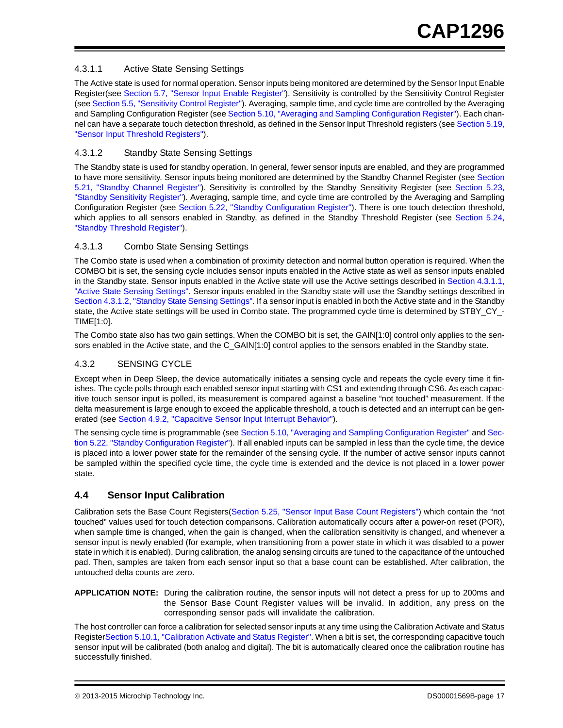## <span id="page-16-0"></span>4.3.1.1 Active State Sensing Settings

The Active state is used for normal operation. Sensor inputs being monitored are determined by the Sensor Input Enable Register(see [Section 5.7, "Sensor Input Enable Register"](#page-32-0)). Sensitivity is controlled by the Sensitivity Control Register (see [Section 5.5, "Sensitivity Control Register"\)](#page-29-0). Averaging, sample time, and cycle time are controlled by the Averaging and Sampling Configuration Register (see [Section 5.10, "Averaging and Sampling Configuration Register"](#page-35-0)). Each channel can have a separate touch detection threshold, as defined in the Sensor Input Threshold registers (see [Section 5.19,](#page-43-0) ["Sensor Input Threshold Registers"](#page-43-0)).

## <span id="page-16-5"></span><span id="page-16-1"></span>4.3.1.2 Standby State Sensing Settings

The Standby state is used for standby operation. In general, fewer sensor inputs are enabled, and they are programmed to have more sensitivity. Sensor inputs being monitored are determined by the Standby Channel Register (see [Section](#page-44-0) [5.21, "Standby Channel Register"\)](#page-44-0). Sensitivity is controlled by the Standby Sensitivity Register (see [Section 5.23,](#page-46-0) ["Standby Sensitivity Register"\)](#page-46-0). Averaging, sample time, and cycle time are controlled by the Averaging and Sampling Configuration Register (see [Section 5.22, "Standby Configuration Register"](#page-45-0)). There is one touch detection threshold, which applies to all sensors enabled in Standby, as defined in the Standby Threshold Register (see [Section 5.24,](#page-47-0) ["Standby Threshold Register"](#page-47-0)).

### <span id="page-16-2"></span>4.3.1.3 Combo State Sensing Settings

The Combo state is used when a combination of proximity detection and normal button operation is required. When the COMBO bit is set, the sensing cycle includes sensor inputs enabled in the Active state as well as sensor inputs enabled in the Standby state. Sensor inputs enabled in the Active state will use the Active settings described in [Section 4.3.1.1,](#page-16-0) ["Active State Sensing Settings"](#page-16-0). Sensor inputs enabled in the Standby state will use the Standby settings described in [Section 4.3.1.2, "Standby State Sensing Settings".](#page-16-1) If a sensor input is enabled in both the Active state and in the Standby state, the Active state settings will be used in Combo state. The programmed cycle time is determined by STBY\_CY\_-TIME[1:0].

The Combo state also has two gain settings. When the COMBO bit is set, the GAIN[1:0] control only applies to the sensors enabled in the Active state, and the C\_GAIN[1:0] control applies to the sensors enabled in the Standby state.

## <span id="page-16-4"></span>4.3.2 SENSING CYCLE

Except when in Deep Sleep, the device automatically initiates a sensing cycle and repeats the cycle every time it finishes. The cycle polls through each enabled sensor input starting with CS1 and extending through CS6. As each capacitive touch sensor input is polled, its measurement is compared against a baseline "not touched" measurement. If the delta measurement is large enough to exceed the applicable threshold, a touch is detected and an interrupt can be generated (see [Section 4.9.2, "Capacitive Sensor Input Interrupt Behavior"](#page-19-0)).

The sensing cycle time is programmable (see [Section 5.10, "Averaging and Sampling Configuration Register"](#page-35-0) and [Sec](#page-45-0)[tion 5.22, "Standby Configuration Register"](#page-45-0)). If all enabled inputs can be sampled in less than the cycle time, the device is placed into a lower power state for the remainder of the sensing cycle. If the number of active sensor inputs cannot be sampled within the specified cycle time, the cycle time is extended and the device is not placed in a lower power state.

## <span id="page-16-3"></span>**4.4 Sensor Input Calibration**

Calibration sets the Base Count Registers([Section 5.25, "Sensor Input Base Count Registers"](#page-47-1)) which contain the "not touched" values used for touch detection comparisons. Calibration automatically occurs after a power-on reset (POR), when sample time is changed, when the gain is changed, when the calibration sensitivity is changed, and whenever a sensor input is newly enabled (for example, when transitioning from a power state in which it was disabled to a power state in which it is enabled). During calibration, the analog sensing circuits are tuned to the capacitance of the untouched pad. Then, samples are taken from each sensor input so that a base count can be established. After calibration, the untouched delta counts are zero.

#### **APPLICATION NOTE:** During the calibration routine, the sensor inputs will not detect a press for up to 200ms and the Sensor Base Count Register values will be invalid. In addition, any press on the corresponding sensor pads will invalidate the calibration.

The host controller can force a calibration for selected sensor inputs at any time using the Calibration Activate and Status Registe[rSection 5.10.1, "Calibration Activate and Status Register"](#page-36-0). When a bit is set, the corresponding capacitive touch sensor input will be calibrated (both analog and digital). The bit is automatically cleared once the calibration routine has successfully finished.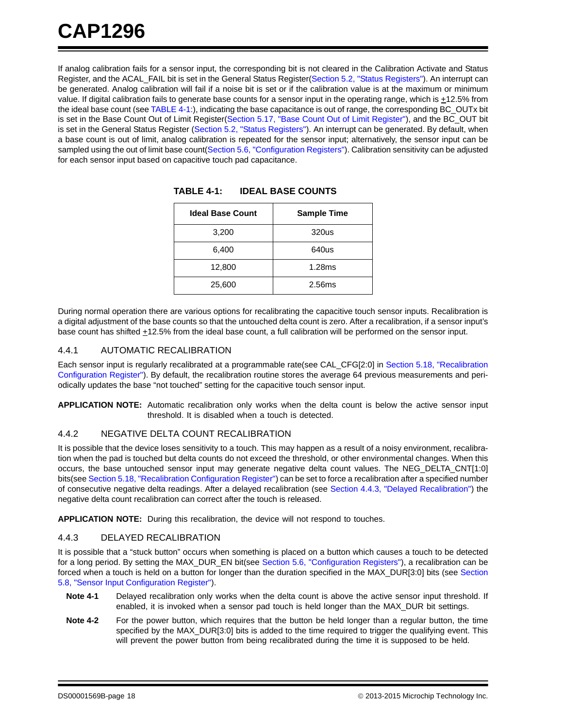If analog calibration fails for a sensor input, the corresponding bit is not cleared in the Calibration Activate and Status Register, and the ACAL\_FAIL bit is set in the General Status Register[\(Section 5.2, "Status Registers"](#page-27-0)). An interrupt can be generated. Analog calibration will fail if a noise bit is set or if the calibration value is at the maximum or minimum value. If digital calibration fails to generate base counts for a sensor input in the operating range, which is +12.5% from the ideal base count (see [TABLE 4-1:\)](#page-17-1), indicating the base capacitance is out of range, the corresponding BC\_OUTx bit is set in the Base Count Out of Limit Register[\(Section 5.17, "Base Count Out of Limit Register"](#page-41-0)), and the BC\_OUT bit is set in the General Status Register [\(Section 5.2, "Status Registers"](#page-27-0)). An interrupt can be generated. By default, when a base count is out of limit, analog calibration is repeated for the sensor input; alternatively, the sensor input can be sampled using the out of limit base count([Section 5.6, "Configuration Registers"\)](#page-30-0). Calibration sensitivity can be adjusted for each sensor input based on capacitive touch pad capacitance.

| <b>Ideal Base Count</b> | <b>Sample Time</b> |
|-------------------------|--------------------|
| 3,200                   | 320us              |
| 6,400                   | 640us              |
| 12,800                  | 1.28ms             |
| 25,600                  | 2.56ms             |

<span id="page-17-4"></span><span id="page-17-1"></span>**TABLE 4-1: IDEAL BASE COUNTS**

During normal operation there are various options for recalibrating the capacitive touch sensor inputs. Recalibration is a digital adjustment of the base counts so that the untouched delta count is zero. After a recalibration, if a sensor input's base count has shifted  $\pm 12.5\%$  from the ideal base count, a full calibration will be performed on the sensor input.

### <span id="page-17-5"></span><span id="page-17-2"></span>4.4.1 AUTOMATIC RECALIBRATION

Each sensor input is regularly recalibrated at a programmable rate(see CAL\_CFG[2:0] in [Section 5.18, "Recalibration](#page-42-0) [Configuration Register"\)](#page-42-0). By default, the recalibration routine stores the average 64 previous measurements and periodically updates the base "not touched" setting for the capacitive touch sensor input.

**APPLICATION NOTE:** Automatic recalibration only works when the delta count is below the active sensor input threshold. It is disabled when a touch is detected.

### <span id="page-17-6"></span>4.4.2 NEGATIVE DELTA COUNT RECALIBRATION

It is possible that the device loses sensitivity to a touch. This may happen as a result of a noisy environment, recalibration when the pad is touched but delta counts do not exceed the threshold, or other environmental changes. When this occurs, the base untouched sensor input may generate negative delta count values. The NEG\_DELTA\_CNT[1:0] bits(see [Section 5.18, "Recalibration Configuration Register"\)](#page-42-0) can be set to force a recalibration after a specified number of consecutive negative delta readings. After a delayed recalibration (see [Section 4.4.3, "Delayed Recalibration"\)](#page-17-0) the negative delta count recalibration can correct after the touch is released.

**APPLICATION NOTE:** During this recalibration, the device will not respond to touches.

### <span id="page-17-3"></span><span id="page-17-0"></span>4.4.3 DELAYED RECALIBRATION

It is possible that a "stuck button" occurs when something is placed on a button which causes a touch to be detected for a long period. By setting the MAX\_DUR\_EN bit(see [Section 5.6, "Configuration Registers"](#page-30-0)), a recalibration can be forced when a touch is held on a button for longer than the duration specified in the MAX\_DUR[3:0] bits (see [Section](#page-32-1) [5.8, "Sensor Input Configuration Register"\)](#page-32-1).

- **Note 4-1** Delayed recalibration only works when the delta count is above the active sensor input threshold. If enabled, it is invoked when a sensor pad touch is held longer than the MAX\_DUR bit settings.
- **Note 4-2** For the power button, which requires that the button be held longer than a regular button, the time specified by the MAX\_DUR[3:0] bits is added to the time required to trigger the qualifying event. This will prevent the power button from being recalibrated during the time it is supposed to be held.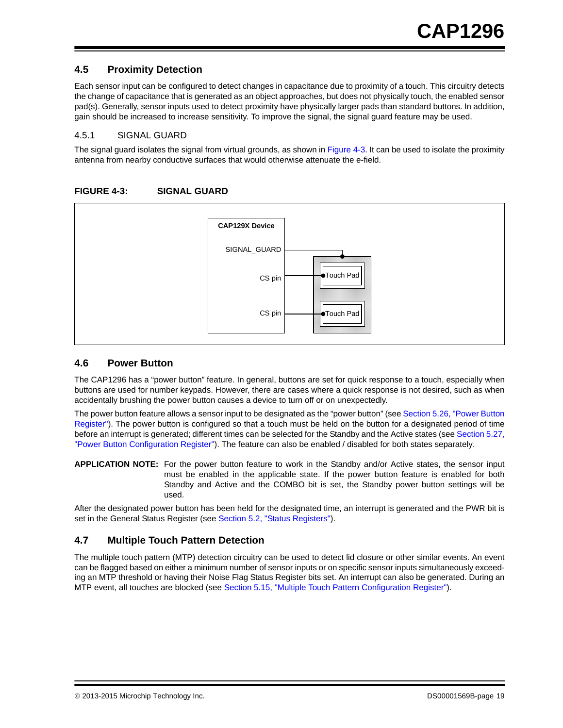## **4.5 Proximity Detection**

Each sensor input can be configured to detect changes in capacitance due to proximity of a touch. This circuitry detects the change of capacitance that is generated as an object approaches, but does not physically touch, the enabled sensor pad(s). Generally, sensor inputs used to detect proximity have physically larger pads than standard buttons. In addition, gain should be increased to increase sensitivity. To improve the signal, the signal guard feature may be used.

## <span id="page-18-4"></span>4.5.1 SIGNAL GUARD

The signal guard isolates the signal from virtual grounds, as shown in [Figure 4-3](#page-18-0). It can be used to isolate the proximity antenna from nearby conductive surfaces that would otherwise attenuate the e-field.



## <span id="page-18-0"></span>**FIGURE 4-3: SIGNAL GUARD**

## <span id="page-18-2"></span><span id="page-18-1"></span>**4.6 Power Button**

The CAP1296 has a "power button" feature. In general, buttons are set for quick response to a touch, especially when buttons are used for number keypads. However, there are cases where a quick response is not desired, such as when accidentally brushing the power button causes a device to turn off or on unexpectedly.

The power button feature allows a sensor input to be designated as the "power button" (see [Section 5.26, "Power Button](#page-48-0) [Register"\)](#page-48-0). The power button is configured so that a touch must be held on the button for a designated period of time before an interrupt is generated; different times can be selected for the Standby and the Active states (see [Section 5.27,](#page-49-0) ["Power Button Configuration Register"](#page-49-0)). The feature can also be enabled / disabled for both states separately.

**APPLICATION NOTE:** For the power button feature to work in the Standby and/or Active states, the sensor input must be enabled in the applicable state. If the power button feature is enabled for both Standby and Active and the COMBO bit is set, the Standby power button settings will be used.

After the designated power button has been held for the designated time, an interrupt is generated and the PWR bit is set in the General Status Register (see [Section 5.2, "Status Registers"\)](#page-27-0).

## <span id="page-18-3"></span>**4.7 Multiple Touch Pattern Detection**

The multiple touch pattern (MTP) detection circuitry can be used to detect lid closure or other similar events. An event can be flagged based on either a minimum number of sensor inputs or on specific sensor inputs simultaneously exceeding an MTP threshold or having their Noise Flag Status Register bits set. An interrupt can also be generated. During an MTP event, all touches are blocked (see [Section 5.15, "Multiple Touch Pattern Configuration Register"](#page-39-0)).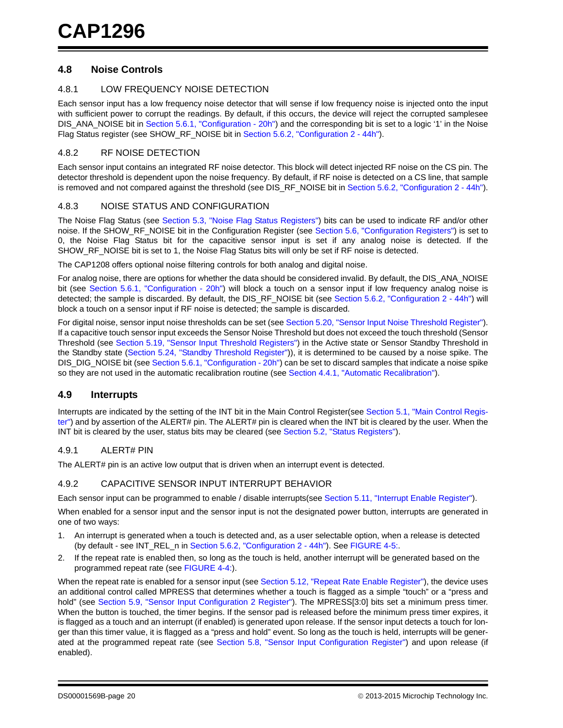## **4.8 Noise Controls**

## 4.8.1 LOW FREQUENCY NOISE DETECTION

Each sensor input has a low frequency noise detector that will sense if low frequency noise is injected onto the input with sufficient power to corrupt the readings. By default, if this occurs, the device will reject the corrupted samplesee DIS ANA\_NOISE bit in [Section 5.6.1, "Configuration - 20h"](#page-30-1)) and the corresponding bit is set to a logic '1' in the Noise Flag Status register (see SHOW\_RF\_NOISE bit in [Section 5.6.2, "Configuration 2 - 44h"](#page-31-0)).

## 4.8.2 RF NOISE DETECTION

Each sensor input contains an integrated RF noise detector. This block will detect injected RF noise on the CS pin. The detector threshold is dependent upon the noise frequency. By default, if RF noise is detected on a CS line, that sample is removed and not compared against the threshold (see DIS\_RF\_NOISE bit in [Section 5.6.2, "Configuration 2 - 44h"\)](#page-31-0).

## <span id="page-19-2"></span>4.8.3 NOISE STATUS AND CONFIGURATION

The Noise Flag Status (see [Section 5.3, "Noise Flag Status Registers"](#page-28-0)) bits can be used to indicate RF and/or other noise. If the SHOW\_RF\_NOISE bit in the Configuration Register (see [Section 5.6, "Configuration Registers"\)](#page-30-0) is set to 0, the Noise Flag Status bit for the capacitive sensor input is set if any analog noise is detected. If the SHOW\_RF\_NOISE bit is set to 1, the Noise Flag Status bits will only be set if RF noise is detected.

The CAP1208 offers optional noise filtering controls for both analog and digital noise.

For analog noise, there are options for whether the data should be considered invalid. By default, the DIS\_ANA\_NOISE bit (see [Section 5.6.1, "Configuration - 20h"](#page-30-1)) will block a touch on a sensor input if low frequency analog noise is detected; the sample is discarded. By default, the DIS\_RF\_NOISE bit (see [Section 5.6.2, "Configuration 2 - 44h"\)](#page-31-0) will block a touch on a sensor input if RF noise is detected; the sample is discarded.

For digital noise, sensor input noise thresholds can be set (see [Section 5.20, "Sensor Input Noise Threshold Register"\)](#page-44-1). If a capacitive touch sensor input exceeds the Sensor Noise Threshold but does not exceed the touch threshold (Sensor Threshold (see [Section 5.19, "Sensor Input Threshold Registers"](#page-43-0)) in the Active state or Sensor Standby Threshold in the Standby state [\(Section 5.24, "Standby Threshold Register"\)](#page-47-0)), it is determined to be caused by a noise spike. The DIS\_DIG\_NOISE bit (see [Section 5.6.1, "Configuration - 20h"](#page-30-1)) can be set to discard samples that indicate a noise spike so they are not used in the automatic recalibration routine (see [Section 4.4.1, "Automatic Recalibration"](#page-17-2)).

## <span id="page-19-1"></span>**4.9 Interrupts**

Interrupts are indicated by the setting of the INT bit in the Main Control Register(see [Section 5.1, "Main Control Regis](#page-25-0)[ter"\)](#page-25-0) and by assertion of the ALERT# pin. The ALERT# pin is cleared when the INT bit is cleared by the user. When the INT bit is cleared by the user, status bits may be cleared (see [Section 5.2, "Status Registers"](#page-27-0)).

### 4.9.1 ALERT# PIN

The ALERT# pin is an active low output that is driven when an interrupt event is detected.

### <span id="page-19-3"></span><span id="page-19-0"></span>4.9.2 CAPACITIVE SENSOR INPUT INTERRUPT BEHAVIOR

Each sensor input can be programmed to enable / disable interrupts(see [Section 5.11, "Interrupt Enable Register"\)](#page-37-0).

When enabled for a sensor input and the sensor input is not the designated power button, interrupts are generated in one of two ways:

- 1. An interrupt is generated when a touch is detected and, as a user selectable option, when a release is detected (by default - see INT\_REL\_n in [Section 5.6.2, "Configuration 2 - 44h"\)](#page-31-0). See [FIGURE 4-5:](#page-20-0).
- 2. If the repeat rate is enabled then, so long as the touch is held, another interrupt will be generated based on the programmed repeat rate (see [FIGURE 4-4:](#page-20-1)).

When the repeat rate is enabled for a sensor input (see [Section 5.12, "Repeat Rate Enable Register"](#page-38-0)), the device uses an additional control called MPRESS that determines whether a touch is flagged as a simple "touch" or a "press and hold" (see [Section 5.9, "Sensor Input Configuration 2 Register"\)](#page-34-0). The MPRESS[3:0] bits set a minimum press timer. When the button is touched, the timer begins. If the sensor pad is released before the minimum press timer expires, it is flagged as a touch and an interrupt (if enabled) is generated upon release. If the sensor input detects a touch for longer than this timer value, it is flagged as a "press and hold" event. So long as the touch is held, interrupts will be generated at the programmed repeat rate (see [Section 5.8, "Sensor Input Configuration Register"](#page-32-1)) and upon release (if enabled).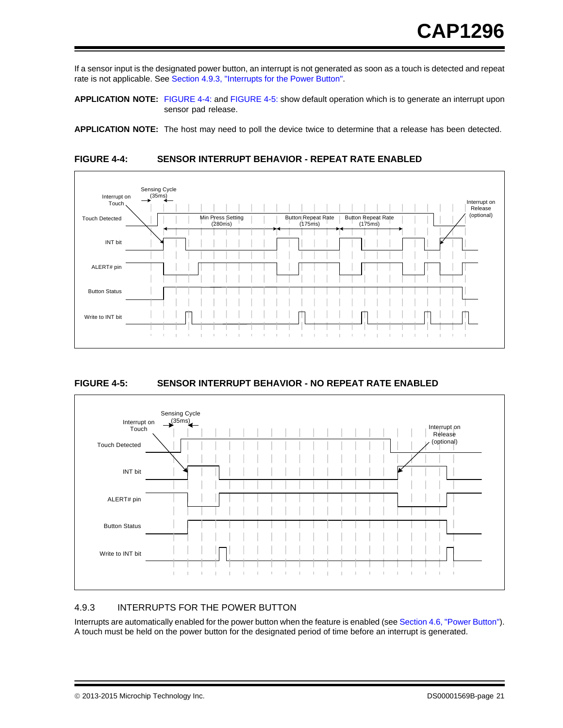If a sensor input is the designated power button, an interrupt is not generated as soon as a touch is detected and repeat rate is not applicable. See [Section 4.9.3, "Interrupts for the Power Button"](#page-20-2).

**APPLICATION NOTE:** [FIGURE 4-4:](#page-20-1) and [FIGURE 4-5:](#page-20-0) show default operation which is to generate an interrupt upon sensor pad release.

**APPLICATION NOTE:** The host may need to poll the device twice to determine that a release has been detected.

## <span id="page-20-1"></span>**FIGURE 4-4: SENSOR INTERRUPT BEHAVIOR - REPEAT RATE ENABLED**



### <span id="page-20-0"></span>**FIGURE 4-5: SENSOR INTERRUPT BEHAVIOR - NO REPEAT RATE ENABLED**



## <span id="page-20-2"></span>4.9.3 INTERRUPTS FOR THE POWER BUTTON

Interrupts are automatically enabled for the power button when the feature is enabled (see [Section 4.6, "Power Button"\)](#page-18-1). A touch must be held on the power button for the designated period of time before an interrupt is generated.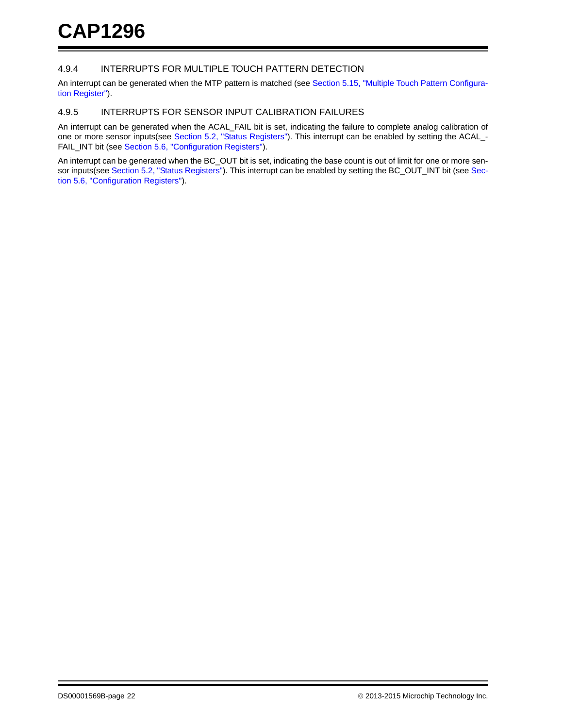## 4.9.4 INTERRUPTS FOR MULTIPLE TOUCH PATTERN DETECTION

An interrupt can be generated when the MTP pattern is matched (see [Section 5.15, "Multiple Touch Pattern Configura](#page-39-0)[tion Register"\)](#page-39-0).

## 4.9.5 INTERRUPTS FOR SENSOR INPUT CALIBRATION FAILURES

An interrupt can be generated when the ACAL\_FAIL bit is set, indicating the failure to complete analog calibration of one or more sensor inputs(see [Section 5.2, "Status Registers"\)](#page-27-0). This interrupt can be enabled by setting the ACAL\_- FAIL\_INT bit (see [Section 5.6, "Configuration Registers"\)](#page-30-0).

An interrupt can be generated when the BC\_OUT bit is set, indicating the base count is out of limit for one or more sen-sor inputs(see [Section 5.2, "Status Registers"](#page-27-0)). This interrupt can be enabled by setting the BC\_OUT\_INT bit (see [Sec](#page-30-0)[tion 5.6, "Configuration Registers"\)](#page-30-0).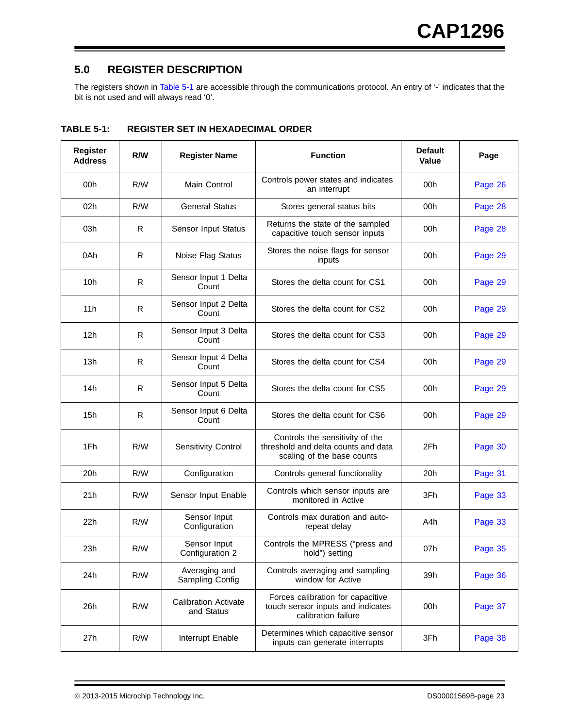## **5.0 REGISTER DESCRIPTION**

The registers shown in [Table 5-1](#page-22-0) are accessible through the communications protocol. An entry of '-' indicates that the bit is not used and will always read '0'.

| <b>Register</b><br><b>Address</b> | R/W | <b>Register Name</b>                                                | <b>Function</b>                                                                                      | <b>Default</b><br>Value | Page    |
|-----------------------------------|-----|---------------------------------------------------------------------|------------------------------------------------------------------------------------------------------|-------------------------|---------|
| 00h                               | R/W | Controls power states and indicates<br>Main Control<br>an interrupt |                                                                                                      | 00h                     | Page 26 |
| 02h                               | R/W | <b>General Status</b>                                               | Stores general status bits                                                                           | 00h                     | Page 28 |
| 03h                               | R   | Sensor Input Status                                                 | Returns the state of the sampled<br>capacitive touch sensor inputs                                   | 00h                     | Page 28 |
| 0Ah                               | R.  | Noise Flag Status                                                   | Stores the noise flags for sensor<br>inputs                                                          | 00h                     | Page 29 |
| 10h                               | R.  | Sensor Input 1 Delta<br>Count                                       | Stores the delta count for CS1                                                                       | 00h                     | Page 29 |
| 11h                               | R   | Sensor Input 2 Delta<br>Count                                       | Stores the delta count for CS2                                                                       | 00h                     | Page 29 |
| 12h                               | R   | Sensor Input 3 Delta<br>Count                                       | Stores the delta count for CS3                                                                       | 00h                     | Page 29 |
| 13h                               | R   | Sensor Input 4 Delta<br>Count                                       | Stores the delta count for CS4                                                                       | 00h                     | Page 29 |
| 14h                               | R   | Sensor Input 5 Delta<br>Count                                       | Stores the delta count for CS5                                                                       | 00h                     | Page 29 |
| 15h                               | R   | Sensor Input 6 Delta<br>Count                                       | Stores the delta count for CS6                                                                       | 00h                     | Page 29 |
| 1Fh                               | R/W | Sensitivity Control                                                 | Controls the sensitivity of the<br>threshold and delta counts and data<br>scaling of the base counts | 2Fh                     | Page 30 |
| 20h                               | R/W | Configuration                                                       | Controls general functionality                                                                       | 20h                     | Page 31 |
| 21h                               | R/W | Sensor Input Enable                                                 | Controls which sensor inputs are<br>monitored in Active                                              | 3Fh                     | Page 33 |
| 22h                               | R/W | Sensor Input<br>Configuration                                       | Controls max duration and auto-<br>repeat delay                                                      | A4h                     | Page 33 |
| 23h                               | R/W | Sensor Input<br>Configuration 2                                     | Controls the MPRESS ("press and<br>hold") setting                                                    | 07h                     | Page 35 |
| 24h                               | R/W | Averaging and<br>Sampling Config                                    | Controls averaging and sampling<br>window for Active                                                 | 39h                     | Page 36 |
| 26h                               | R/W | <b>Calibration Activate</b><br>and Status                           | Forces calibration for capacitive<br>touch sensor inputs and indicates<br>calibration failure        | 00h                     | Page 37 |
| 27h                               | R/W | Interrupt Enable                                                    | Determines which capacitive sensor<br>inputs can generate interrupts                                 | 3Fh                     | Page 38 |

## <span id="page-22-0"></span>**TABLE 5-1: REGISTER SET IN HEXADECIMAL ORDER**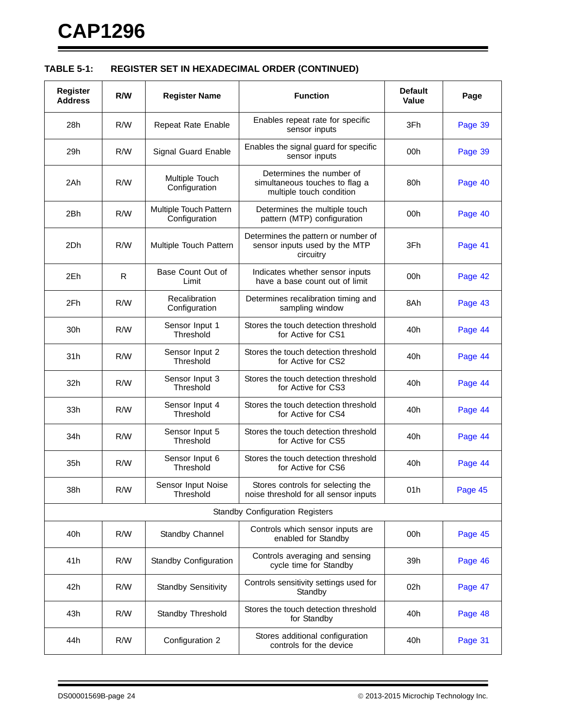## **TABLE 5-1: REGISTER SET IN HEXADECIMAL ORDER (CONTINUED)**

| <b>Register</b><br><b>Address</b> | R/W | <b>Register Name</b>                    | <b>Function</b>                                                                        | <b>Default</b><br><b>Value</b> | Page    |
|-----------------------------------|-----|-----------------------------------------|----------------------------------------------------------------------------------------|--------------------------------|---------|
| 28h                               | R/W | <b>Repeat Rate Enable</b>               | Enables repeat rate for specific<br>sensor inputs                                      | 3Fh                            | Page 39 |
| 29h                               | R/W | Signal Guard Enable                     | Enables the signal guard for specific<br>sensor inputs                                 | 00h                            | Page 39 |
| 2Ah                               | R/W | Multiple Touch<br>Configuration         | Determines the number of<br>simultaneous touches to flag a<br>multiple touch condition | 80h                            | Page 40 |
| 2Bh                               | R/W | Multiple Touch Pattern<br>Configuration | Determines the multiple touch<br>pattern (MTP) configuration                           | 00h                            | Page 40 |
| 2Dh                               | R/W | Multiple Touch Pattern                  | Determines the pattern or number of<br>sensor inputs used by the MTP<br>circuitry      | 3Fh                            | Page 41 |
| 2Eh                               | R   | Base Count Out of<br>Limit              | Indicates whether sensor inputs<br>have a base count out of limit                      | 00h                            | Page 42 |
| 2Fh                               | R/W | Recalibration<br>Configuration          | Determines recalibration timing and<br>sampling window                                 | 8Ah                            | Page 43 |
| 30h                               | R/W | Sensor Input 1<br>Threshold             | Stores the touch detection threshold<br>for Active for CS1                             | 40h                            | Page 44 |
| 31h                               | R/W | Sensor Input 2<br>Threshold             | Stores the touch detection threshold<br>for Active for CS2                             | 40h                            | Page 44 |
| 32h                               | R/W | Sensor Input 3<br>Threshold             | Stores the touch detection threshold<br>for Active for CS3                             | 40h                            | Page 44 |
| 33h                               | R/W | Sensor Input 4<br>Threshold             | Stores the touch detection threshold<br>for Active for CS4                             | 40h                            | Page 44 |
| 34h                               | R/W | Sensor Input 5<br>Threshold             | Stores the touch detection threshold<br>for Active for CS5                             | 40h                            | Page 44 |
| 35h                               | R/W | Sensor Input 6<br>Threshold             | Stores the touch detection threshold<br>for Active for CS6                             | 40h                            | Page 44 |
| 38h                               | R/W | Sensor Input Noise<br>Threshold         | Stores controls for selecting the<br>noise threshold for all sensor inputs             | 01h                            | Page 45 |
|                                   |     |                                         | <b>Standby Configuration Registers</b>                                                 |                                |         |
| 40h                               | R/W | Standby Channel                         | Controls which sensor inputs are<br>enabled for Standby                                | 00h                            | Page 45 |
| 41h                               | R/W | Standby Configuration                   | Controls averaging and sensing<br>cycle time for Standby                               | 39h                            | Page 46 |
| 42h                               | R/W | <b>Standby Sensitivity</b>              | Controls sensitivity settings used for<br>Standby                                      | 02h                            | Page 47 |
| 43h                               | R/W | Standby Threshold                       | Stores the touch detection threshold<br>for Standby                                    | 40h                            | Page 48 |
| 44h                               | R/W | Configuration 2                         | Stores additional configuration<br>controls for the device                             | 40h                            | Page 31 |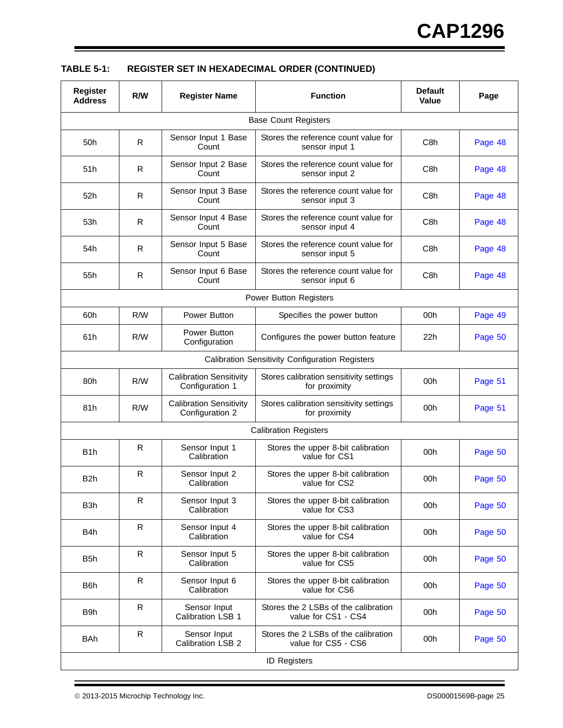| <b>Register</b><br><b>Address</b>               | R/W          | <b>Register Name</b>                              | <b>Function</b>                                             | <b>Default</b><br>Value | Page    |  |  |  |
|-------------------------------------------------|--------------|---------------------------------------------------|-------------------------------------------------------------|-------------------------|---------|--|--|--|
| <b>Base Count Registers</b>                     |              |                                                   |                                                             |                         |         |  |  |  |
| 50h                                             | R            | Sensor Input 1 Base<br>Count                      | Stores the reference count value for<br>sensor input 1      | C <sub>8h</sub>         | Page 48 |  |  |  |
| 51h                                             | ${\sf R}$    | Sensor Input 2 Base<br>Count                      | Stores the reference count value for<br>sensor input 2      | C <sub>8</sub> h        | Page 48 |  |  |  |
| 52h                                             | $\mathsf{R}$ | Sensor Input 3 Base<br>Count                      | Stores the reference count value for<br>sensor input 3      | C <sub>8</sub> h        | Page 48 |  |  |  |
| 53h                                             | R            | Sensor Input 4 Base<br>Count                      | Stores the reference count value for<br>sensor input 4      | C8h                     | Page 48 |  |  |  |
| 54h                                             | R            | Sensor Input 5 Base<br>Count                      | Stores the reference count value for<br>sensor input 5      | C <sub>8</sub> h        | Page 48 |  |  |  |
| 55h                                             | R            | Sensor Input 6 Base<br>Count                      | Stores the reference count value for<br>sensor input 6      | C <sub>8h</sub>         | Page 48 |  |  |  |
| Power Button Registers                          |              |                                                   |                                                             |                         |         |  |  |  |
| 60h                                             | R/W          | Power Button                                      | Specifies the power button                                  | 00h                     | Page 49 |  |  |  |
| 61h                                             | R/W          | Power Button<br>Configuration                     | Configures the power button feature                         | 22h                     | Page 50 |  |  |  |
| Calibration Sensitivity Configuration Registers |              |                                                   |                                                             |                         |         |  |  |  |
| 80h                                             | R/W          | <b>Calibration Sensitivity</b><br>Configuration 1 | Stores calibration sensitivity settings<br>for proximity    | 00h                     | Page 51 |  |  |  |
| 81h                                             | R/W          | <b>Calibration Sensitivity</b><br>Configuration 2 | Stores calibration sensitivity settings<br>for proximity    | 00h                     | Page 51 |  |  |  |
|                                                 |              |                                                   | <b>Calibration Registers</b>                                |                         |         |  |  |  |
| B <sub>1</sub> h                                | R            | Sensor Input 1<br>Calibration                     | Stores the upper 8-bit calibration<br>value for CS1         | 00h                     | Page 50 |  |  |  |
| B <sub>2</sub> h                                | R            | Sensor Input 2<br>Calibration                     | Stores the upper 8-bit calibration<br>value for CS2         | 00h                     | Page 50 |  |  |  |
| B <sub>3</sub> h                                | $\mathsf{R}$ | Sensor Input 3<br>Calibration                     | Stores the upper 8-bit calibration<br>value for CS3         | 00h                     | Page 50 |  |  |  |
| B <sub>4</sub> h                                | $\mathsf{R}$ | Sensor Input 4<br>Calibration                     | Stores the upper 8-bit calibration<br>value for CS4         | 00h                     | Page 50 |  |  |  |
| B <sub>5</sub> h                                | R            | Sensor Input 5<br>Calibration                     | Stores the upper 8-bit calibration<br>value for CS5         | 00h                     | Page 50 |  |  |  |
| B <sub>6</sub> h                                | R            | Sensor Input 6<br>Calibration                     | Stores the upper 8-bit calibration<br>value for CS6         | 00h                     | Page 50 |  |  |  |
| B <sub>9</sub> h                                | R            | Sensor Input<br>Calibration LSB 1                 | Stores the 2 LSBs of the calibration<br>value for CS1 - CS4 | 00h                     | Page 50 |  |  |  |
| <b>BAh</b>                                      | R            | Sensor Input<br>Calibration LSB 2                 | Stores the 2 LSBs of the calibration<br>value for CS5 - CS6 | 00h                     | Page 50 |  |  |  |
|                                                 |              |                                                   | <b>ID Registers</b>                                         |                         |         |  |  |  |

|  | <b>TABLE 5-1:</b> | <b>REGISTER SET IN HEXADECIMAL ORDER (CONTINUED)</b> |  |  |
|--|-------------------|------------------------------------------------------|--|--|
|--|-------------------|------------------------------------------------------|--|--|

© 2013-2015 Microchip Technology Inc. Compared the Control of the DS00001569B-page 25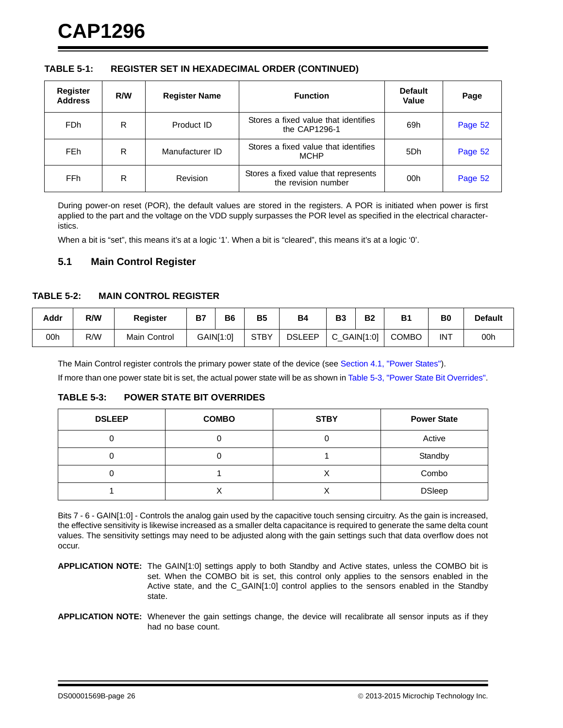| <b>TABLE 5-1:</b> | <b>REGISTER SET IN HEXADECIMAL ORDER (CONTINUED)</b> |
|-------------------|------------------------------------------------------|
|-------------------|------------------------------------------------------|

| <b>Register</b><br><b>Address</b> | R/W | <b>Register Name</b> | <b>Function</b>                                             | <b>Default</b><br>Value | Page    |
|-----------------------------------|-----|----------------------|-------------------------------------------------------------|-------------------------|---------|
| <b>FDh</b>                        | R   | Product ID           | Stores a fixed value that identifies<br>the CAP1296-1       | 69h                     | Page 52 |
| <b>FEh</b>                        | R   | Manufacturer ID      | Stores a fixed value that identifies<br><b>MCHP</b>         | 5 <sub>Dh</sub>         | Page 52 |
| <b>FFh</b>                        | R   | Revision             | Stores a fixed value that represents<br>the revision number | 00h                     | Page 52 |

During power-on reset (POR), the default values are stored in the registers. A POR is initiated when power is first applied to the part and the voltage on the VDD supply surpasses the POR level as specified in the electrical characteristics.

When a bit is "set", this means it's at a logic '1'. When a bit is "cleared", this means it's at a logic '0'.

## <span id="page-25-1"></span><span id="page-25-0"></span>**5.1 Main Control Register**

#### **TABLE 5-2: MAIN CONTROL REGISTER**

| Addr | R/W | Register            | D7<br>ъ.  | B <sub>6</sub> | <b>B5</b>   | B4            | <b>B3</b> | Β2        | <b>B1</b>    | вo  | <b>Default</b> |
|------|-----|---------------------|-----------|----------------|-------------|---------------|-----------|-----------|--------------|-----|----------------|
| 00h  | R/W | <b>Main Control</b> | GAIN[1:0] |                | <b>STBY</b> | <b>DSLEEP</b> | ັ         | GAIN[1:0] | <b>COMBO</b> | INT | 00h            |

The Main Control register controls the primary power state of the device (see [Section 4.1, "Power States"\)](#page-15-2).

If more than one power state bit is set, the actual power state will be as shown in [Table 5-3, "Power State Bit Overrides"](#page-25-2).

<span id="page-25-2"></span>

| <b>TABLE 5-3:</b> |  | <b>POWER STATE BIT OVERRIDES</b> |
|-------------------|--|----------------------------------|
|-------------------|--|----------------------------------|

| <b>DSLEEP</b> | <b>COMBO</b> | <b>STBY</b> | <b>Power State</b> |
|---------------|--------------|-------------|--------------------|
|               |              |             | Active             |
|               |              |             | Standby            |
|               |              |             | Combo              |
|               |              |             | <b>DSleep</b>      |

Bits 7 - 6 - GAIN[1:0] - Controls the analog gain used by the capacitive touch sensing circuitry. As the gain is increased, the effective sensitivity is likewise increased as a smaller delta capacitance is required to generate the same delta count values. The sensitivity settings may need to be adjusted along with the gain settings such that data overflow does not occur.

- **APPLICATION NOTE:** The GAIN[1:0] settings apply to both Standby and Active states, unless the COMBO bit is set. When the COMBO bit is set, this control only applies to the sensors enabled in the Active state, and the C\_GAIN[1:0] control applies to the sensors enabled in the Standby state.
- **APPLICATION NOTE:** Whenever the gain settings change, the device will recalibrate all sensor inputs as if they had no base count.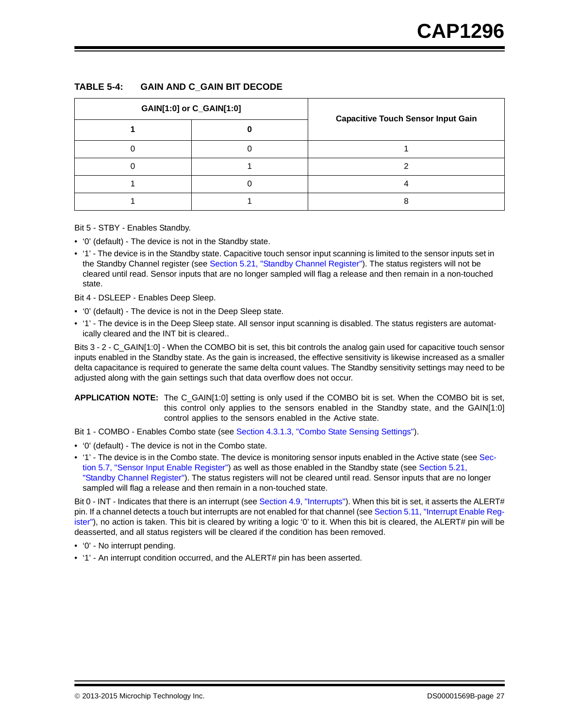| GAIN[1:0] or C_GAIN[1:0] | <b>Capacitive Touch Sensor Input Gain</b> |
|--------------------------|-------------------------------------------|
|                          |                                           |
|                          |                                           |
|                          |                                           |
|                          |                                           |
|                          |                                           |

Bit 5 - STBY - Enables Standby.

- '0' (default) The device is not in the Standby state.
- '1' The device is in the Standby state. Capacitive touch sensor input scanning is limited to the sensor inputs set in the Standby Channel register (see [Section 5.21, "Standby Channel Register"](#page-44-3)). The status registers will not be cleared until read. Sensor inputs that are no longer sampled will flag a release and then remain in a non-touched state.

Bit 4 - DSLEEP - Enables Deep Sleep.

- '0' (default) The device is not in the Deep Sleep state.
- '1' The device is in the Deep Sleep state. All sensor input scanning is disabled. The status registers are automatically cleared and the INT bit is cleared..

Bits 3 - 2 - C\_GAIN[1:0] - When the COMBO bit is set, this bit controls the analog gain used for capacitive touch sensor inputs enabled in the Standby state. As the gain is increased, the effective sensitivity is likewise increased as a smaller delta capacitance is required to generate the same delta count values. The Standby sensitivity settings may need to be adjusted along with the gain settings such that data overflow does not occur.

**APPLICATION NOTE:** The C\_GAIN[1:0] setting is only used if the COMBO bit is set. When the COMBO bit is set, this control only applies to the sensors enabled in the Standby state, and the GAIN[1:0] control applies to the sensors enabled in the Active state.

Bit 1 - COMBO - Enables Combo state (see [Section 4.3.1.3, "Combo State Sensing Settings"](#page-16-2)).

- '0' (default) The device is not in the Combo state.
- '1' The device is in the Combo state. The device is monitoring sensor inputs enabled in the Active state (see [Sec](#page-32-2)[tion 5.7, "Sensor Input Enable Register"](#page-32-2)) as well as those enabled in the Standby state (see [Section 5.21,](#page-44-3)  ["Standby Channel Register"\)](#page-44-3). The status registers will not be cleared until read. Sensor inputs that are no longer sampled will flag a release and then remain in a non-touched state.

Bit 0 - INT - Indicates that there is an interrupt (see [Section 4.9, "Interrupts"\)](#page-19-1). When this bit is set, it asserts the ALERT# pin. If a channel detects a touch but interrupts are not enabled for that channel (see [Section 5.11, "Interrupt Enable Reg](#page-37-1)[ister"](#page-37-1)), no action is taken. This bit is cleared by writing a logic '0' to it. When this bit is cleared, the ALERT# pin will be deasserted, and all status registers will be cleared if the condition has been removed.

- '0' No interrupt pending.
- '1' An interrupt condition occurred, and the ALERT# pin has been asserted.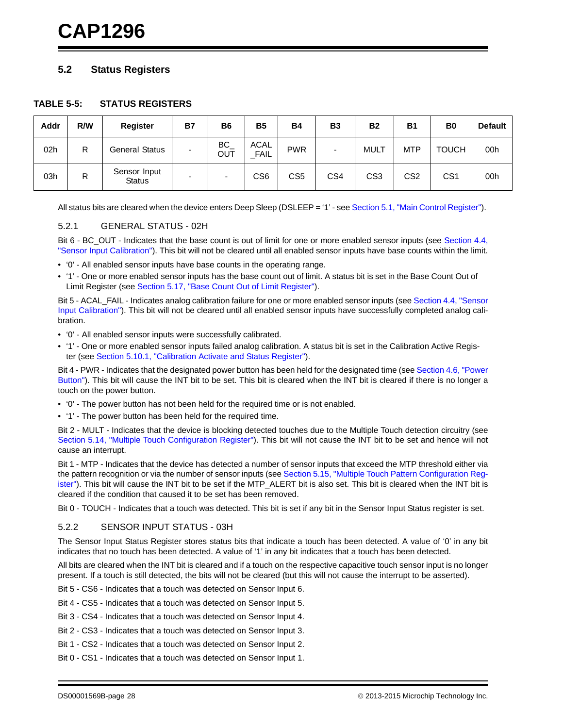## <span id="page-27-1"></span><span id="page-27-0"></span>**5.2 Status Registers**

#### **TABLE 5-5: STATUS REGISTERS**

| Addr            | R/W | <b>Register</b>               | <b>B7</b>                | <b>B6</b>                | <b>B5</b>                  | <b>B4</b>       | <b>B3</b>                | <b>B2</b>       | <b>B1</b>       | B <sub>0</sub> | <b>Default</b> |
|-----------------|-----|-------------------------------|--------------------------|--------------------------|----------------------------|-----------------|--------------------------|-----------------|-----------------|----------------|----------------|
| 02 <sub>h</sub> | R   | <b>General Status</b>         | $\overline{\phantom{0}}$ | BC<br>OUT                | <b>ACAL</b><br><b>FAIL</b> | <b>PWR</b>      | $\overline{\phantom{0}}$ | MULT            | <b>MTP</b>      | <b>TOUCH</b>   | 00h            |
| 03h             | R   | Sensor Input<br><b>Status</b> | -                        | $\overline{\phantom{0}}$ | CS <sub>6</sub>            | CS <sub>5</sub> | CS4                      | CS <sub>3</sub> | CS <sub>2</sub> | CS1            | 00h            |

All status bits are cleared when the device enters Deep Sleep (DSLEEP = '1' - see [Section 5.1, "Main Control Register"\)](#page-25-1).

#### 5.2.1 GENERAL STATUS - 02H

Bit 6 - BC OUT - Indicates that the base count is out of limit for one or more enabled sensor inputs (see [Section 4.4,](#page-16-3) ["Sensor Input Calibration"\)](#page-16-3). This bit will not be cleared until all enabled sensor inputs have base counts within the limit.

- '0' All enabled sensor inputs have base counts in the operating range.
- '1' One or more enabled sensor inputs has the base count out of limit. A status bit is set in the Base Count Out of Limit Register (see [Section 5.17, "Base Count Out of Limit Register"](#page-41-1)).

Bit 5 - ACAL\_FAIL - Indicates analog calibration failure for one or more enabled sensor inputs (see [Section 4.4, "Sensor](#page-16-3) [Input Calibration"\)](#page-16-3). This bit will not be cleared until all enabled sensor inputs have successfully completed analog calibration.

- '0' All enabled sensor inputs were successfully calibrated.
- '1' One or more enabled sensor inputs failed analog calibration. A status bit is set in the Calibration Active Register (see [Section 5.10.1, "Calibration Activate and Status Register"](#page-36-1)).

Bit 4 - PWR - Indicates that the designated power button has been held for the designated time (see [Section 4.6, "Power](#page-18-2) [Button"](#page-18-2)). This bit will cause the INT bit to be set. This bit is cleared when the INT bit is cleared if there is no longer a touch on the power button.

- '0' The power button has not been held for the required time or is not enabled.
- '1' The power button has been held for the required time.

Bit 2 - MULT - Indicates that the device is blocking detected touches due to the Multiple Touch detection circuitry (see [Section 5.14, "Multiple Touch Configuration Register"\)](#page-39-1). This bit will not cause the INT bit to be set and hence will not cause an interrupt.

Bit 1 - MTP - Indicates that the device has detected a number of sensor inputs that exceed the MTP threshold either via the pattern recognition or via the number of sensor inputs (see [Section 5.15, "Multiple Touch Pattern Configuration Reg](#page-39-2)[ister"](#page-39-2)). This bit will cause the INT bit to be set if the MTP\_ALERT bit is also set. This bit is cleared when the INT bit is cleared if the condition that caused it to be set has been removed.

Bit 0 - TOUCH - Indicates that a touch was detected. This bit is set if any bit in the Sensor Input Status register is set.

#### 5.2.2 SENSOR INPUT STATUS - 03H

The Sensor Input Status Register stores status bits that indicate a touch has been detected. A value of '0' in any bit indicates that no touch has been detected. A value of '1' in any bit indicates that a touch has been detected.

All bits are cleared when the INT bit is cleared and if a touch on the respective capacitive touch sensor input is no longer present. If a touch is still detected, the bits will not be cleared (but this will not cause the interrupt to be asserted).

- Bit 5 CS6 Indicates that a touch was detected on Sensor Input 6.
- Bit 4 CS5 Indicates that a touch was detected on Sensor Input 5.
- Bit 3 CS4 Indicates that a touch was detected on Sensor Input 4.
- Bit 2 CS3 Indicates that a touch was detected on Sensor Input 3.
- Bit 1 CS2 Indicates that a touch was detected on Sensor Input 2.
- Bit 0 CS1 Indicates that a touch was detected on Sensor Input 1.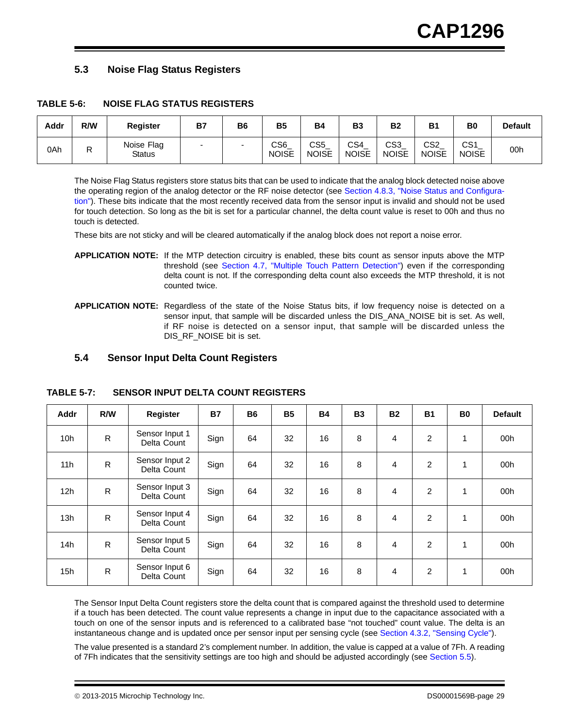## <span id="page-28-1"></span><span id="page-28-0"></span>**5.3 Noise Flag Status Registers**

#### **TABLE 5-6: NOISE FLAG STATUS REGISTERS**

| Addr | R/W | <b>Register</b>             | Β7 | B <sub>6</sub> | <b>B5</b>                       | <b>B4</b>           | B <sub>3</sub>      | <b>B2</b>           | <b>B1</b>                       | B <sub>0</sub>                  | <b>Default</b> |
|------|-----|-----------------------------|----|----------------|---------------------------------|---------------------|---------------------|---------------------|---------------------------------|---------------------------------|----------------|
| 0Ah  |     | Noise Flag<br><b>Status</b> | -  | -              | CS <sub>6</sub><br><b>NOISE</b> | CS5<br><b>NOISE</b> | CS4<br><b>NOISE</b> | CS3<br><b>NOISE</b> | CS <sub>2</sub><br><b>NOISE</b> | CS <sub>1</sub><br><b>NOISE</b> | 00h            |

The Noise Flag Status registers store status bits that can be used to indicate that the analog block detected noise above the operating region of the analog detector or the RF noise detector (see [Section 4.8.3, "Noise Status and Configura](#page-19-2)[tion"\)](#page-19-2). These bits indicate that the most recently received data from the sensor input is invalid and should not be used for touch detection. So long as the bit is set for a particular channel, the delta count value is reset to 00h and thus no touch is detected.

These bits are not sticky and will be cleared automatically if the analog block does not report a noise error.

- **APPLICATION NOTE:** If the MTP detection circuitry is enabled, these bits count as sensor inputs above the MTP threshold (see [Section 4.7, "Multiple Touch Pattern Detection"\)](#page-18-3) even if the corresponding delta count is not. If the corresponding delta count also exceeds the MTP threshold, it is not counted twice.
- **APPLICATION NOTE:** Regardless of the state of the Noise Status bits, if low frequency noise is detected on a sensor input, that sample will be discarded unless the DIS\_ANA\_NOISE bit is set. As well, if RF noise is detected on a sensor input, that sample will be discarded unless the DIS\_RF\_NOISE bit is set.

## <span id="page-28-2"></span>**5.4 Sensor Input Delta Count Registers**

| Addr            | R/W          | <b>Register</b>               | <b>B7</b> | <b>B6</b> | <b>B5</b> | <b>B4</b> | <b>B3</b> | <b>B2</b>      | <b>B1</b>      | <b>B0</b>    | <b>Default</b> |
|-----------------|--------------|-------------------------------|-----------|-----------|-----------|-----------|-----------|----------------|----------------|--------------|----------------|
| 10 <sub>h</sub> | $\mathsf{R}$ | Sensor Input 1<br>Delta Count | Sign      | 64        | 32        | 16        | 8         | $\overline{4}$ | $\overline{2}$ | 1            | 00h            |
| 11h             | $\mathsf{R}$ | Sensor Input 2<br>Delta Count | Sign      | 64        | 32        | 16        | 8         | $\overline{4}$ | $\overline{2}$ | $\mathbf{1}$ | 00h            |
| 12h             | $\mathsf{R}$ | Sensor Input 3<br>Delta Count | Sign      | 64        | 32        | 16        | 8         | $\overline{4}$ | $\overline{2}$ | $\mathbf{1}$ | 00h            |
| 13h             | $\mathsf{R}$ | Sensor Input 4<br>Delta Count | Sign      | 64        | 32        | 16        | 8         | $\overline{4}$ | 2              | 1            | 00h            |
| 14h             | $\mathsf{R}$ | Sensor Input 5<br>Delta Count | Sign      | 64        | 32        | 16        | 8         | $\overline{4}$ | 2              | 1            | 00h            |
| 15h             | $\mathsf{R}$ | Sensor Input 6<br>Delta Count | Sign      | 64        | 32        | 16        | 8         | $\overline{4}$ | $\overline{2}$ | 1            | 00h            |

## **TABLE 5-7: SENSOR INPUT DELTA COUNT REGISTERS**

The Sensor Input Delta Count registers store the delta count that is compared against the threshold used to determine if a touch has been detected. The count value represents a change in input due to the capacitance associated with a touch on one of the sensor inputs and is referenced to a calibrated base "not touched" count value. The delta is an instantaneous change and is updated once per sensor input per sensing cycle (see [Section 4.3.2, "Sensing Cycle"\)](#page-16-4).

The value presented is a standard 2's complement number. In addition, the value is capped at a value of 7Fh. A reading of 7Fh indicates that the sensitivity settings are too high and should be adjusted accordingly (see [Section 5.5\)](#page-29-1).

2013-2015 Microchip Technology Inc. DS00001569B-page 29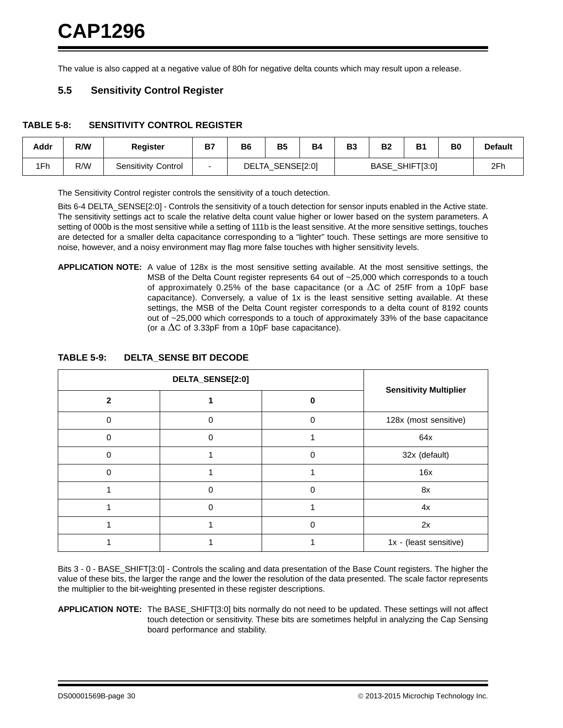## **CAP1296**

The value is also capped at a negative value of 80h for negative delta counts which may result upon a release.

## <span id="page-29-1"></span><span id="page-29-0"></span>**5.5 Sensitivity Control Register**

## **TABLE 5-8: SENSITIVITY CONTROL REGISTER**

| Addr | <b>R/W</b> | Register            | <b>B7</b> | <b>B6</b>        | <b>B5</b> | <b>B4</b> | B <sub>3</sub>  | D٥<br>DZ | D4 | B <sub>0</sub> | <b>Default</b> |
|------|------------|---------------------|-----------|------------------|-----------|-----------|-----------------|----------|----|----------------|----------------|
| 1Fh  | R/W        | Sensitivity Control |           | DELTA SENSE[2:0] |           |           | BASE SHIFT[3:0] |          |    |                | 2Fh            |

The Sensitivity Control register controls the sensitivity of a touch detection.

Bits 6-4 DELTA\_SENSE[2:0] - Controls the sensitivity of a touch detection for sensor inputs enabled in the Active state. The sensitivity settings act to scale the relative delta count value higher or lower based on the system parameters. A setting of 000b is the most sensitive while a setting of 111b is the least sensitive. At the more sensitive settings, touches are detected for a smaller delta capacitance corresponding to a "lighter" touch. These settings are more sensitive to noise, however, and a noisy environment may flag more false touches with higher sensitivity levels.

**APPLICATION NOTE:** A value of 128x is the most sensitive setting available. At the most sensitive settings, the MSB of the Delta Count register represents 64 out of ~25,000 which corresponds to a touch of approximately 0.25% of the base capacitance (or a  $\Delta C$  of 25fF from a 10pF base capacitance). Conversely, a value of 1x is the least sensitive setting available. At these settings, the MSB of the Delta Count register corresponds to a delta count of 8192 counts out of ~25,000 which corresponds to a touch of approximately 33% of the base capacitance (or a  $\Delta C$  of 3.33pF from a 10pF base capacitance).

|          | DELTA_SENSE[2:0] | <b>Sensitivity Multiplier</b> |                        |  |
|----------|------------------|-------------------------------|------------------------|--|
| 2        |                  |                               |                        |  |
| $\Omega$ | 0                | O                             | 128x (most sensitive)  |  |
| $\Omega$ | $\Omega$         |                               | 64x                    |  |
| $\Omega$ |                  | 0                             | 32x (default)          |  |
| $\Omega$ |                  |                               | 16x                    |  |
|          | $\Omega$         | 0                             | 8x                     |  |
|          | $\Omega$         |                               | 4x                     |  |
|          |                  | 0                             | 2x                     |  |
|          |                  |                               | 1x - (least sensitive) |  |

### **TABLE 5-9: DELTA\_SENSE BIT DECODE**

Bits 3 - 0 - BASE\_SHIFT[3:0] - Controls the scaling and data presentation of the Base Count registers. The higher the value of these bits, the larger the range and the lower the resolution of the data presented. The scale factor represents the multiplier to the bit-weighting presented in these register descriptions.

#### **APPLICATION NOTE:** The BASE\_SHIFT[3:0] bits normally do not need to be updated. These settings will not affect touch detection or sensitivity. These bits are sometimes helpful in analyzing the Cap Sensing board performance and stability.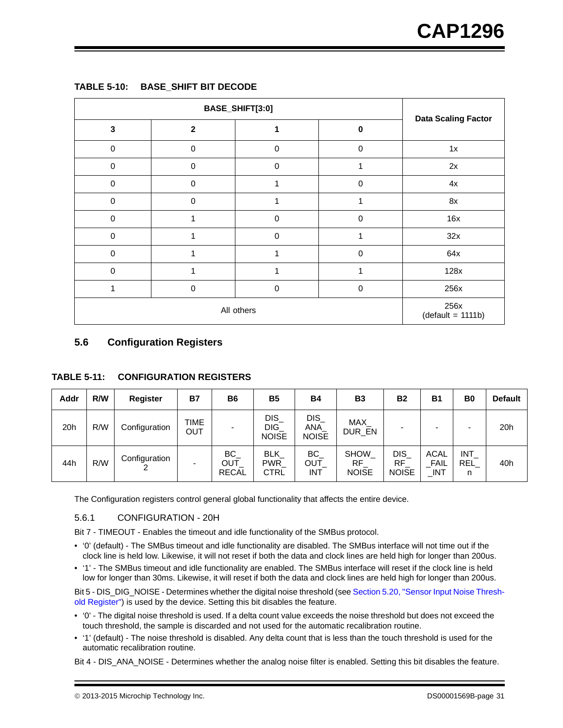|              |              | BASE_SHIFT[3:0] |             |                            |  |  |  |  |
|--------------|--------------|-----------------|-------------|----------------------------|--|--|--|--|
| $\mathbf{3}$ | $\mathbf{2}$ |                 | $\mathbf 0$ | <b>Data Scaling Factor</b> |  |  |  |  |
| $\mathbf 0$  | $\mathbf 0$  | $\mathbf 0$     | $\mathbf 0$ | 1x                         |  |  |  |  |
| $\mathbf 0$  | $\mathbf 0$  | $\mathbf 0$     | 1           | 2x                         |  |  |  |  |
| $\mathbf 0$  | $\mathbf 0$  |                 | $\mathbf 0$ | 4x                         |  |  |  |  |
| $\mathbf 0$  | $\mathbf 0$  |                 |             | 8x                         |  |  |  |  |
| $\mathbf 0$  |              | $\mathbf 0$     | $\mathbf 0$ | 16x                        |  |  |  |  |
| $\mathbf 0$  |              | $\Omega$        |             | 32x                        |  |  |  |  |
| $\Omega$     |              |                 | $\Omega$    | 64x                        |  |  |  |  |
| $\mathbf 0$  |              |                 |             | 128x                       |  |  |  |  |
|              | $\mathbf 0$  | $\Omega$        | $\Omega$    | 256x                       |  |  |  |  |
|              | All others   |                 |             |                            |  |  |  |  |

## **TABLE 5-10: BASE\_SHIFT BIT DECODE**

## <span id="page-30-2"></span><span id="page-30-0"></span>**5.6 Configuration Registers**

|  | TABLE 5-11: CONFIGURATION REGISTERS |
|--|-------------------------------------|
|--|-------------------------------------|

| Addr | R/W | <b>Register</b> | <b>B7</b>                | <b>B6</b>                        | <b>B5</b>                        | <b>B4</b>                  | <b>B3</b>                         | <b>B2</b>                        | <b>B1</b>                  | B <sub>0</sub>                | <b>Default</b> |
|------|-----|-----------------|--------------------------|----------------------------------|----------------------------------|----------------------------|-----------------------------------|----------------------------------|----------------------------|-------------------------------|----------------|
| 20h  | R/W | Configuration   | TIME<br>OUT              |                                  | DIS.<br>DIG<br><b>NOISE</b>      | DIS<br>ANA<br><b>NOISE</b> | MAX<br>DUR EN                     |                                  |                            |                               | 20h            |
| 44h  | R/W | Configuration   | $\overline{\phantom{0}}$ | BC<br><b>OUT</b><br><b>RECAL</b> | <b>BLK</b><br>PWR<br><b>CTRL</b> | BC<br>OUT<br>INT           | <b>SHOW</b><br>RF<br><b>NOISE</b> | <b>DIS</b><br>RF<br><b>NOISE</b> | <b>ACAL</b><br>FAIL<br>INT | <b>INT</b><br><b>REL</b><br>n | 40h            |

The Configuration registers control general global functionality that affects the entire device.

### <span id="page-30-1"></span>5.6.1 CONFIGURATION - 20H

Bit 7 - TIMEOUT - Enables the timeout and idle functionality of the SMBus protocol.

- '0' (default) The SMBus timeout and idle functionality are disabled. The SMBus interface will not time out if the clock line is held low. Likewise, it will not reset if both the data and clock lines are held high for longer than 200us.
- '1' The SMBus timeout and idle functionality are enabled. The SMBus interface will reset if the clock line is held low for longer than 30ms. Likewise, it will reset if both the data and clock lines are held high for longer than 200us.

Bit 5 - DIS\_DIG\_NOISE - Determines whether the digital noise threshold (see [Section 5.20, "Sensor Input Noise Thresh](#page-44-2)[old Register"](#page-44-2)) is used by the device. Setting this bit disables the feature.

- '0' The digital noise threshold is used. If a delta count value exceeds the noise threshold but does not exceed the touch threshold, the sample is discarded and not used for the automatic recalibration routine.
- '1' (default) The noise threshold is disabled. Any delta count that is less than the touch threshold is used for the automatic recalibration routine.

Bit 4 - DIS\_ANA\_NOISE - Determines whether the analog noise filter is enabled. Setting this bit disables the feature.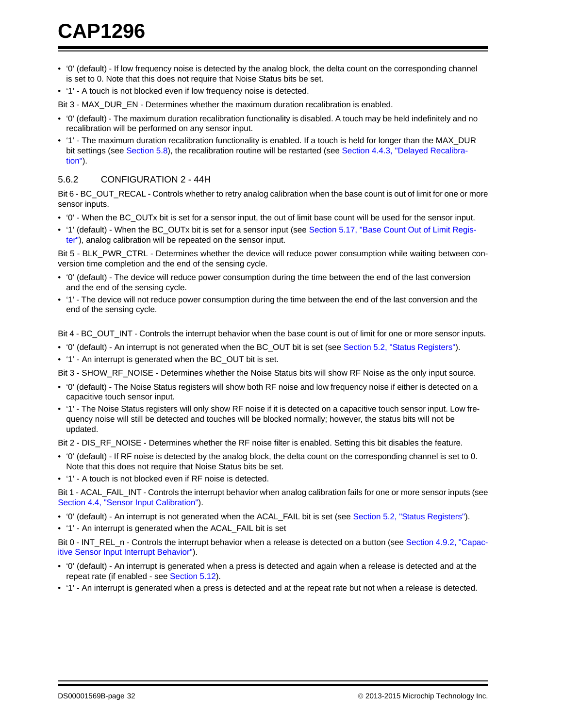## **CAP1296**

- '0' (default) If low frequency noise is detected by the analog block, the delta count on the corresponding channel is set to 0. Note that this does not require that Noise Status bits be set.
- '1' A touch is not blocked even if low frequency noise is detected.

Bit 3 - MAX\_DUR\_EN - Determines whether the maximum duration recalibration is enabled.

- '0' (default) The maximum duration recalibration functionality is disabled. A touch may be held indefinitely and no recalibration will be performed on any sensor input.
- '1' The maximum duration recalibration functionality is enabled. If a touch is held for longer than the MAX\_DUR bit settings (see [Section 5.8](#page-32-3)), the recalibration routine will be restarted (see [Section 4.4.3, "Delayed Recalibra](#page-17-3)[tion"\)](#page-17-3).

## <span id="page-31-0"></span>5.6.2 CONFIGURATION 2 - 44H

Bit 6 - BC OUT RECAL - Controls whether to retry analog calibration when the base count is out of limit for one or more sensor inputs.

- '0' When the BC\_OUTx bit is set for a sensor input, the out of limit base count will be used for the sensor input.
- '1' (default) When the BC\_OUTx bit is set for a sensor input (see [Section 5.17, "Base Count Out of Limit Regis](#page-41-1)[ter"\)](#page-41-1), analog calibration will be repeated on the sensor input.

Bit 5 - BLK\_PWR\_CTRL - Determines whether the device will reduce power consumption while waiting between conversion time completion and the end of the sensing cycle.

- '0' (default) The device will reduce power consumption during the time between the end of the last conversion and the end of the sensing cycle.
- '1' The device will not reduce power consumption during the time between the end of the last conversion and the end of the sensing cycle.

Bit 4 - BC\_OUT\_INT - Controls the interrupt behavior when the base count is out of limit for one or more sensor inputs.

- '0' (default) An interrupt is not generated when the BC\_OUT bit is set (see [Section 5.2, "Status Registers"](#page-27-1)).
- '1' An interrupt is generated when the BC\_OUT bit is set.

Bit 3 - SHOW\_RF\_NOISE - Determines whether the Noise Status bits will show RF Noise as the only input source.

- '0' (default) The Noise Status registers will show both RF noise and low frequency noise if either is detected on a capacitive touch sensor input.
- '1' The Noise Status registers will only show RF noise if it is detected on a capacitive touch sensor input. Low frequency noise will still be detected and touches will be blocked normally; however, the status bits will not be updated.

Bit 2 - DIS\_RF\_NOISE - Determines whether the RF noise filter is enabled. Setting this bit disables the feature.

- '0' (default) If RF noise is detected by the analog block, the delta count on the corresponding channel is set to 0. Note that this does not require that Noise Status bits be set.
- '1' A touch is not blocked even if RF noise is detected.

Bit 1 - ACAL\_FAIL\_INT - Controls the interrupt behavior when analog calibration fails for one or more sensor inputs (see [Section 4.4, "Sensor Input Calibration"\)](#page-16-3).

- '0' (default) An interrupt is not generated when the ACAL\_FAIL bit is set (see [Section 5.2, "Status Registers"\)](#page-27-1).
- '1' An interrupt is generated when the ACAL\_FAIL bit is set

Bit 0 - INT\_REL\_n - Controls the interrupt behavior when a release is detected on a button (see [Section 4.9.2, "Capac](#page-19-3)[itive Sensor Input Interrupt Behavior"\)](#page-19-3).

- '0' (default) An interrupt is generated when a press is detected and again when a release is detected and at the repeat rate (if enabled - see [Section 5.12\)](#page-38-1).
- '1' An interrupt is generated when a press is detected and at the repeat rate but not when a release is detected.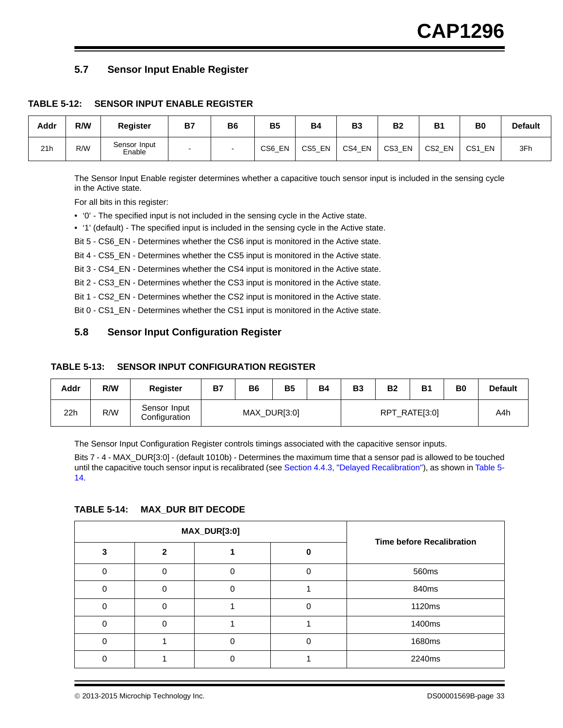## <span id="page-32-2"></span><span id="page-32-0"></span>**5.7 Sensor Input Enable Register**

## **TABLE 5-12: SENSOR INPUT ENABLE REGISTER**

| Addr | R/W | Register               | B7 | B <sub>6</sub> | <b>B5</b> | <b>B4</b> | B <sub>3</sub> | <b>B2</b> | <b>B1</b> | B <sub>0</sub> | <b>Default</b> |
|------|-----|------------------------|----|----------------|-----------|-----------|----------------|-----------|-----------|----------------|----------------|
| 21h  | R/W | Sensor Input<br>Enable |    |                | CS6 EN    | CS5 EN    | CS4_EN         | CS3 EN    | CS2 EN    | CS1 EN         | 3Fh            |

The Sensor Input Enable register determines whether a capacitive touch sensor input is included in the sensing cycle in the Active state.

For all bits in this register:

- '0' The specified input is not included in the sensing cycle in the Active state.
- '1' (default) The specified input is included in the sensing cycle in the Active state.
- Bit 5 CS6\_EN Determines whether the CS6 input is monitored in the Active state.
- Bit 4 CS5\_EN Determines whether the CS5 input is monitored in the Active state.
- Bit 3 CS4\_EN Determines whether the CS4 input is monitored in the Active state.
- Bit 2 CS3\_EN Determines whether the CS3 input is monitored in the Active state.
- Bit 1 CS2\_EN Determines whether the CS2 input is monitored in the Active state.
- Bit 0 CS1\_EN Determines whether the CS1 input is monitored in the Active state.

## <span id="page-32-3"></span><span id="page-32-1"></span>**5.8 Sensor Input Configuration Register**

## **TABLE 5-13: SENSOR INPUT CONFIGURATION REGISTER**

| Addr | R/W | Register                      | <b>B7</b> | <b>B6</b>    | <b>B5</b> | <b>B4</b> | <b>B3</b> | <b>B2</b> | <b>B1</b>     | B <sub>0</sub> | <b>Default</b> |
|------|-----|-------------------------------|-----------|--------------|-----------|-----------|-----------|-----------|---------------|----------------|----------------|
| 22h  | R/W | Sensor Input<br>Configuration |           | MAX_DUR[3:0] |           |           |           |           | RPT RATE[3:0] |                | A4h            |

The Sensor Input Configuration Register controls timings associated with the capacitive sensor inputs.

Bits 7 - 4 - MAX\_DUR[3:0] - (default 1010b) - Determines the maximum time that a sensor pad is allowed to be touched until the capacitive touch sensor input is recalibrated (see [Section 4.4.3, "Delayed Recalibration"](#page-17-3)), as shown in [Table 5-](#page-32-4) [14.](#page-32-4)

| MAX_DUR[3:0] | <b>Time before Recalibration</b> |   |        |
|--------------|----------------------------------|---|--------|
|              |                                  | ŋ |        |
|              | O                                |   | 560ms  |
|              | 0                                |   | 840ms  |
|              |                                  | ∩ | 1120ms |
|              |                                  |   | 1400ms |
|              | n                                |   | 1680ms |
|              |                                  |   | 2240ms |

## <span id="page-32-4"></span>**TABLE 5-14: MAX\_DUR BIT DECODE**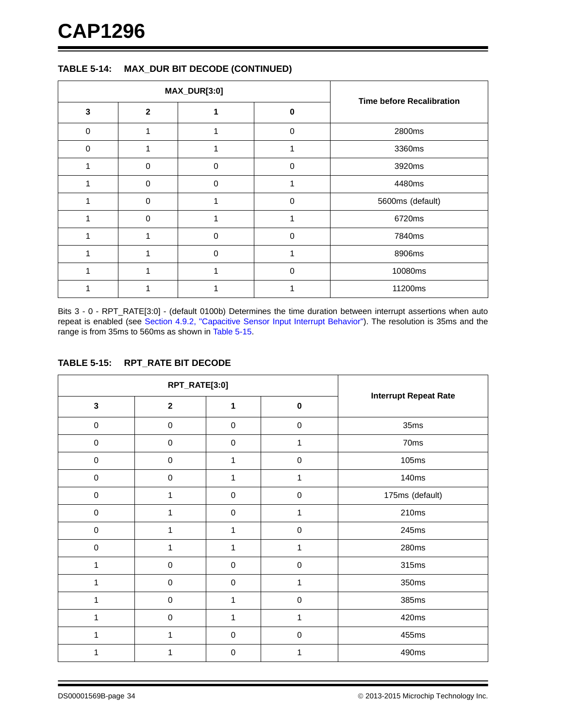|             | MAX_DUR[3:0]   |          |             |                                  |
|-------------|----------------|----------|-------------|----------------------------------|
| 3           | $\overline{2}$ |          | $\mathbf 0$ | <b>Time before Recalibration</b> |
| $\mathbf 0$ |                |          | $\mathbf 0$ | 2800ms                           |
| $\mathbf 0$ |                |          | 1           | 3360ms                           |
|             | $\Omega$       | $\Omega$ | $\mathbf 0$ | 3920ms                           |
|             | $\Omega$       | 0        | 4           | 4480ms                           |
|             | $\Omega$       |          | $\mathbf 0$ | 5600ms (default)                 |
|             | $\Omega$       |          |             | 6720ms                           |
|             |                | $\Omega$ | $\mathbf 0$ | 7840ms                           |
|             |                | $\Omega$ |             | 8906ms                           |
|             |                |          | $\mathbf 0$ | 10080ms                          |
|             |                |          |             | 11200ms                          |

## **TABLE 5-14: MAX\_DUR BIT DECODE (CONTINUED)**

Bits 3 - 0 - RPT\_RATE[3:0] - (default 0100b) Determines the time duration between interrupt assertions when auto repeat is enabled (see [Section 4.9.2, "Capacitive Sensor Input Interrupt Behavior"](#page-19-3)). The resolution is 35ms and the range is from 35ms to 560ms as shown in [Table 5-15.](#page-33-0)

|              | RPT_RATE[3:0]    |              |             |                              |
|--------------|------------------|--------------|-------------|------------------------------|
| $\mathbf{3}$ | $\mathbf{2}$     | 1            | $\pmb{0}$   | <b>Interrupt Repeat Rate</b> |
| $\pmb{0}$    | $\mathbf 0$      | $\mathbf 0$  | $\mathbf 0$ | 35ms                         |
| $\pmb{0}$    | $\mathbf 0$      | $\mathbf 0$  | 1           | 70ms                         |
| $\pmb{0}$    | $\mathbf 0$      | $\mathbf{1}$ | 0           | 105ms                        |
| $\pmb{0}$    | $\boldsymbol{0}$ | 1            | 1           | 140ms                        |
| $\pmb{0}$    | 1                | $\mathbf 0$  | $\pmb{0}$   | 175ms (default)              |
| $\pmb{0}$    | 1                | $\pmb{0}$    | 1           | 210ms                        |
| $\pmb{0}$    | 1                | 1            | $\mathbf 0$ | 245ms                        |
| $\mathbf 0$  | 1                | 1            | 1           | 280ms                        |
| 1            | $\pmb{0}$        | $\mathbf 0$  | $\mathbf 0$ | 315ms                        |
| 1            | $\mathbf 0$      | $\pmb{0}$    | 1           | 350ms                        |
| 1            | $\pmb{0}$        | 1            | $\,0\,$     | 385ms                        |
| 1            | $\boldsymbol{0}$ | 1            | 1           | 420ms                        |
| $\mathbf{1}$ | 1                | $\mathbf 0$  | $\mathbf 0$ | 455ms                        |
| 1            | 1                | $\pmb{0}$    | 1           | 490ms                        |

## <span id="page-33-0"></span>**TABLE 5-15: RPT\_RATE BIT DECODE**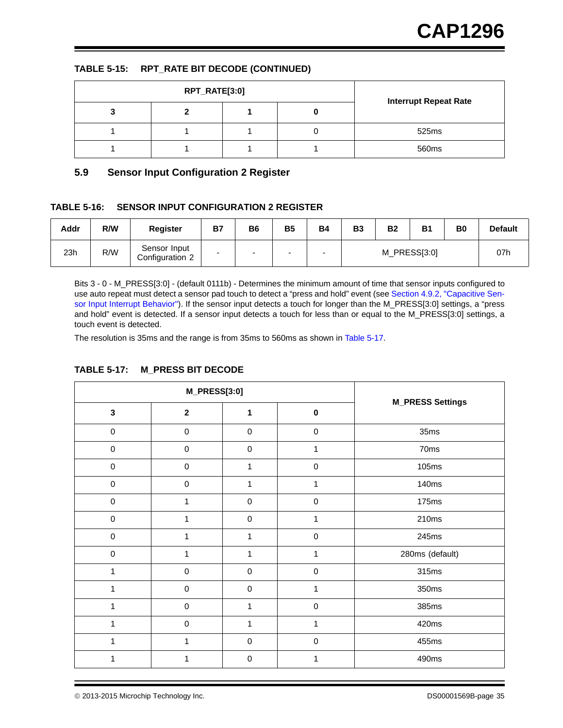## **TABLE 5-15: RPT\_RATE BIT DECODE (CONTINUED)**

| RPT_RATE[3:0] |  |                              |
|---------------|--|------------------------------|
|               |  | <b>Interrupt Repeat Rate</b> |
|               |  | 525ms                        |
|               |  | 560ms                        |

## <span id="page-34-1"></span><span id="page-34-0"></span>**5.9 Sensor Input Configuration 2 Register**

## **TABLE 5-16: SENSOR INPUT CONFIGURATION 2 REGISTER**

| Addr | R/W | <b>Register</b>                 | <b>B7</b> | <b>B6</b> | <b>B5</b> | <b>B4</b> | <b>B3</b> | <b>B2</b> | <b>B1</b>    | B <sub>0</sub> | <b>Default</b> |
|------|-----|---------------------------------|-----------|-----------|-----------|-----------|-----------|-----------|--------------|----------------|----------------|
| 23h  | R/W | Sensor Input<br>Configuration 2 | -         |           | -         |           |           |           | M_PRESS[3:0] |                | 07h            |

Bits 3 - 0 - M\_PRESS[3:0] - (default 0111b) - Determines the minimum amount of time that sensor inputs configured to use auto repeat must detect a sensor pad touch to detect a "press and hold" event (see [Section 4.9.2, "Capacitive Sen](#page-19-3)[sor Input Interrupt Behavior"\)](#page-19-3). If the sensor input detects a touch for longer than the M\_PRESS[3:0] settings, a "press and hold" event is detected. If a sensor input detects a touch for less than or equal to the M\_PRESS[3:0] settings, a touch event is detected.

The resolution is 35ms and the range is from 35ms to 560ms as shown in [Table 5-17](#page-34-2).

|              | M_PRESS[3:0]            |                  |           |                         |
|--------------|-------------------------|------------------|-----------|-------------------------|
| $\mathbf{3}$ | $\overline{\mathbf{2}}$ | 1                | $\bf{0}$  | <b>M_PRESS Settings</b> |
| $\pmb{0}$    | $\pmb{0}$               | $\boldsymbol{0}$ | $\pmb{0}$ | 35ms                    |
| $\pmb{0}$    | $\pmb{0}$               | $\pmb{0}$        | 1         | 70ms                    |
| $\mathbf 0$  | $\boldsymbol{0}$        | 1                | $\pmb{0}$ | 105ms                   |
| $\mathbf 0$  | $\mathbf 0$             | 1                | 1         | 140ms                   |
| $\pmb{0}$    | $\mathbf{1}$            | $\mathbf 0$      | $\pmb{0}$ | 175ms                   |
| $\pmb{0}$    | 1                       | $\pmb{0}$        | 1         | 210ms                   |
| $\mathbf 0$  | 1                       | 1                | 0         | 245ms                   |
| $\mathbf 0$  | 1                       | 1                | 1         | 280ms (default)         |
| 1            | $\pmb{0}$               | $\mathbf 0$      | $\pmb{0}$ | 315ms                   |
| 1            | $\pmb{0}$               | $\mathbf 0$      | 1         | 350ms                   |
| 1            | $\mathbf 0$             | 1                | 0         | 385ms                   |
| 1            | $\mathbf 0$             | 1                | 1         | 420ms                   |
| 1            | 1                       | $\mathbf 0$      | $\pmb{0}$ | 455ms                   |
| 1            | 1                       | $\mathbf 0$      | 1         | 490ms                   |

## <span id="page-34-2"></span>**TABLE 5-17: M\_PRESS BIT DECODE**

2013-2015 Microchip Technology Inc. DS00001569B-page 35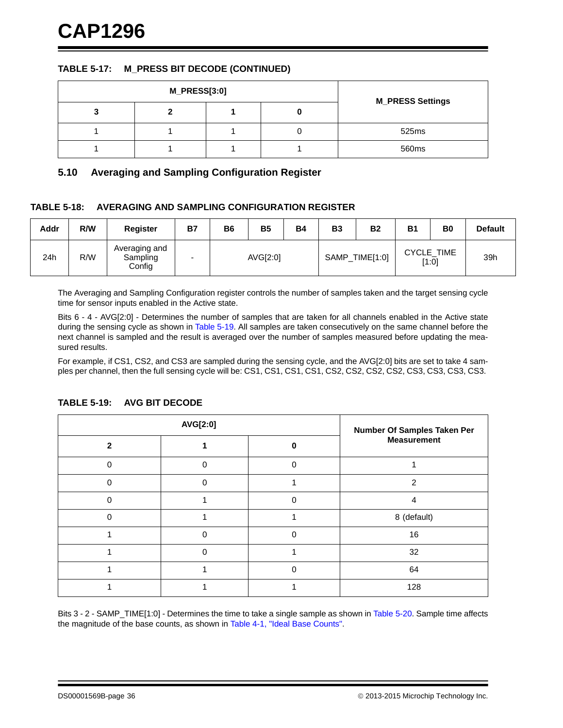## **TABLE 5-17: M\_PRESS BIT DECODE (CONTINUED)**

| M_PRESS[3:0] |  |                         |
|--------------|--|-------------------------|
|              |  | <b>M_PRESS Settings</b> |
|              |  | 525ms                   |
|              |  | 560ms                   |

## <span id="page-35-1"></span><span id="page-35-0"></span>**5.10 Averaging and Sampling Configuration Register**

## **TABLE 5-18: AVERAGING AND SAMPLING CONFIGURATION REGISTER**

| Addr | R/W | <b>Register</b>                     | <b>B7</b> | <b>B6</b> | <b>B5</b> | <b>B4</b> | <b>B3</b> | <b>B2</b> | <b>B1</b> | B <sub>0</sub>             | <b>Default</b> |
|------|-----|-------------------------------------|-----------|-----------|-----------|-----------|-----------|-----------|-----------|----------------------------|----------------|
| 24h  | R/W | Averaging and<br>Sampling<br>Config |           |           | AVG[2:0]  |           | SAMP_     | TIME[1:0] |           | <b>CYCLE TIME</b><br>[1:0] | 39h            |

The Averaging and Sampling Configuration register controls the number of samples taken and the target sensing cycle time for sensor inputs enabled in the Active state.

Bits 6 - 4 - AVG[2:0] - Determines the number of samples that are taken for all channels enabled in the Active state during the sensing cycle as shown in [Table 5-19](#page-35-2). All samples are taken consecutively on the same channel before the next channel is sampled and the result is averaged over the number of samples measured before updating the measured results.

For example, if CS1, CS2, and CS3 are sampled during the sensing cycle, and the AVG[2:0] bits are set to take 4 samples per channel, then the full sensing cycle will be: CS1, CS1, CS1, CS1, CS2, CS2, CS2, CS2, CS3, CS3, CS3, CS3.

|   | AVG[2:0] | Number Of Samples Taken Per |                    |
|---|----------|-----------------------------|--------------------|
| 2 |          |                             | <b>Measurement</b> |
| U | 0        |                             |                    |
| ი | 0        |                             | 2                  |
| ∩ |          |                             |                    |
| ი |          |                             | 8 (default)        |
|   | $\Omega$ |                             | 16                 |
|   | O        |                             | 32                 |
|   |          |                             | 64                 |
|   |          |                             | 128                |

### <span id="page-35-2"></span>**TABLE 5-19: AVG BIT DECODE**

Bits 3 - 2 - SAMP\_TIME[1:0] - Determines the time to take a single sample as shown in [Table 5-20](#page-36-2). Sample time affects the magnitude of the base counts, as shown in [Table 4-1, "Ideal Base Counts"](#page-17-4).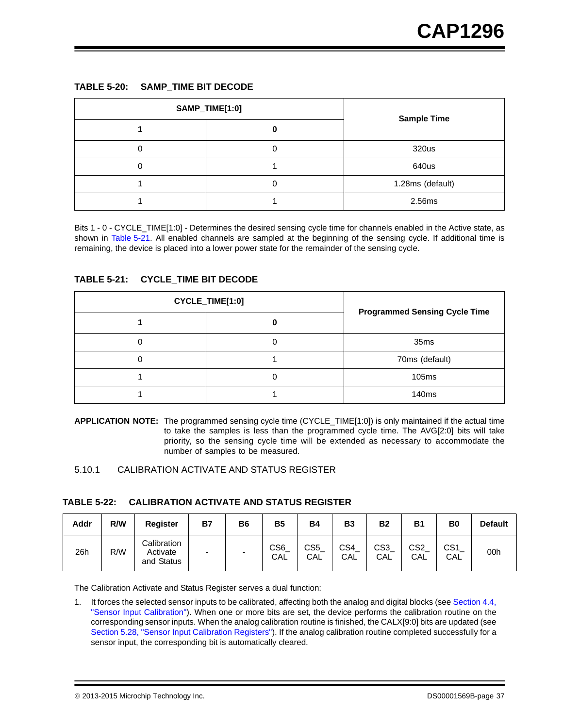| SAMP_TIME[1:0] |                    |  |  |  |
|----------------|--------------------|--|--|--|
|                | <b>Sample Time</b> |  |  |  |
|                | 320us              |  |  |  |
|                | 640us              |  |  |  |
|                | 1.28ms (default)   |  |  |  |
|                | 2.56ms             |  |  |  |

<span id="page-36-2"></span>**TABLE 5-20: SAMP\_TIME BIT DECODE**

Bits 1 - 0 - CYCLE\_TIME[1:0] - Determines the desired sensing cycle time for channels enabled in the Active state, as shown in [Table 5-21](#page-36-3). All enabled channels are sampled at the beginning of the sensing cycle. If additional time is remaining, the device is placed into a lower power state for the remainder of the sensing cycle.

<span id="page-36-3"></span>

| TABLE 5-21: CYCLE TIME BIT DECODE |  |  |
|-----------------------------------|--|--|
|-----------------------------------|--|--|

| CYCLE_TIME[1:0] | <b>Programmed Sensing Cycle Time</b> |                  |  |  |  |
|-----------------|--------------------------------------|------------------|--|--|--|
|                 |                                      |                  |  |  |  |
|                 |                                      | 35 <sub>ms</sub> |  |  |  |
|                 |                                      | 70ms (default)   |  |  |  |
|                 |                                      | 105ms            |  |  |  |
|                 |                                      | 140ms            |  |  |  |

**APPLICATION NOTE:** The programmed sensing cycle time (CYCLE\_TIME[1:0]) is only maintained if the actual time to take the samples is less than the programmed cycle time. The AVG[2:0] bits will take priority, so the sensing cycle time will be extended as necessary to accommodate the number of samples to be measured.

## <span id="page-36-1"></span><span id="page-36-0"></span>5.10.1 CALIBRATION ACTIVATE AND STATUS REGISTER

#### **TABLE 5-22: CALIBRATION ACTIVATE AND STATUS REGISTER**

| Addr | <b>R/W</b> | <b>Register</b>                       | <b>B7</b> | B <sub>6</sub> | <b>B5</b>  | <b>B4</b>    | <b>B3</b>  | <b>B2</b>  | <b>B1</b>              | B <sub>0</sub>         | <b>Default</b> |
|------|------------|---------------------------------------|-----------|----------------|------------|--------------|------------|------------|------------------------|------------------------|----------------|
| 26h  | R/W        | Calibration<br>Activate<br>and Status | -         | -              | CS6<br>CAL | $CS-$<br>CAL | CS4<br>CAL | CS3<br>CAL | CS <sub>2</sub><br>CAL | CS <sub>1</sub><br>CAL | 00h            |

The Calibration Activate and Status Register serves a dual function:

1. It forces the selected sensor inputs to be calibrated, affecting both the analog and digital blocks (see [Section 4.4,](#page-16-3) ["Sensor Input Calibration"\)](#page-16-3). When one or more bits are set, the device performs the calibration routine on the corresponding sensor inputs. When the analog calibration routine is finished, the CALX[9:0] bits are updated (see [Section 5.28, "Sensor Input Calibration Registers"\)](#page-49-1). If the analog calibration routine completed successfully for a sensor input, the corresponding bit is automatically cleared.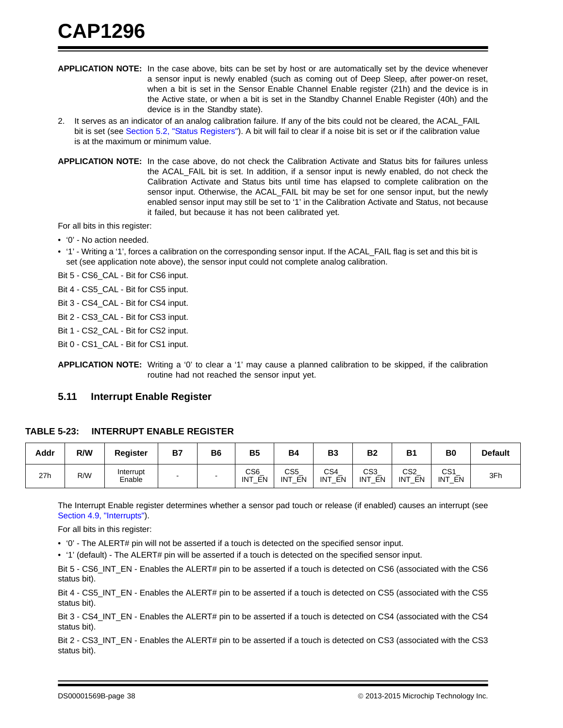## **CAP1296**

- **APPLICATION NOTE:** In the case above, bits can be set by host or are automatically set by the device whenever a sensor input is newly enabled (such as coming out of Deep Sleep, after power-on reset, when a bit is set in the Sensor Enable Channel Enable register (21h) and the device is in the Active state, or when a bit is set in the Standby Channel Enable Register (40h) and the device is in the Standby state).
- 2. It serves as an indicator of an analog calibration failure. If any of the bits could not be cleared, the ACAL\_FAIL bit is set (see [Section 5.2, "Status Registers"](#page-27-1)). A bit will fail to clear if a noise bit is set or if the calibration value is at the maximum or minimum value.
- **APPLICATION NOTE:** In the case above, do not check the Calibration Activate and Status bits for failures unless the ACAL\_FAIL bit is set. In addition, if a sensor input is newly enabled, do not check the Calibration Activate and Status bits until time has elapsed to complete calibration on the sensor input. Otherwise, the ACAL\_FAIL bit may be set for one sensor input, but the newly enabled sensor input may still be set to '1' in the Calibration Activate and Status, not because it failed, but because it has not been calibrated yet.

For all bits in this register:

- '0' No action needed.
- '1' Writing a '1', forces a calibration on the corresponding sensor input. If the ACAL\_FAIL flag is set and this bit is set (see application note above), the sensor input could not complete analog calibration.
- Bit 5 CS6\_CAL Bit for CS6 input.
- Bit 4 CS5\_CAL Bit for CS5 input.
- Bit 3 CS4\_CAL Bit for CS4 input.
- Bit 2 CS3\_CAL Bit for CS3 input.
- Bit 1 CS2\_CAL Bit for CS2 input.
- Bit 0 CS1\_CAL Bit for CS1 input.
- **APPLICATION NOTE:** Writing a '0' to clear a '1' may cause a planned calibration to be skipped, if the calibration routine had not reached the sensor input yet.

### <span id="page-37-1"></span><span id="page-37-0"></span>**5.11 Interrupt Enable Register**

#### **TABLE 5-23: INTERRUPT ENABLE REGISTER**

| Addr | R/W | <b>Register</b>     | <b>B7</b> | B <sub>6</sub> | <b>B5</b>               | <b>B4</b>               | B <sub>3</sub>                             | <b>B2</b>               | D.<br>D                 | BO                                         | <b>Default</b> |
|------|-----|---------------------|-----------|----------------|-------------------------|-------------------------|--------------------------------------------|-------------------------|-------------------------|--------------------------------------------|----------------|
| 27h  | R/W | Interrupt<br>Enable | -         |                | CS6<br>EN<br><b>INT</b> | CS5<br>EN<br><b>INT</b> | CS <sub>4</sub><br>$-$<br>EN<br><b>INT</b> | CS3<br>EN<br><b>INT</b> | CS2<br>EN<br><b>INT</b> | CS <sub>1</sub><br><b>INT</b><br><b>EN</b> | 3Fh            |

The Interrupt Enable register determines whether a sensor pad touch or release (if enabled) causes an interrupt (see [Section 4.9, "Interrupts"](#page-19-1)).

For all bits in this register:

- '0' The ALERT# pin will not be asserted if a touch is detected on the specified sensor input.
- '1' (default) The ALERT# pin will be asserted if a touch is detected on the specified sensor input.

Bit 5 - CS6\_INT\_EN - Enables the ALERT# pin to be asserted if a touch is detected on CS6 (associated with the CS6 status bit).

Bit 4 - CS5\_INT\_EN - Enables the ALERT# pin to be asserted if a touch is detected on CS5 (associated with the CS5 status bit).

Bit 3 - CS4\_INT\_EN - Enables the ALERT# pin to be asserted if a touch is detected on CS4 (associated with the CS4 status bit).

Bit 2 - CS3\_INT\_EN - Enables the ALERT# pin to be asserted if a touch is detected on CS3 (associated with the CS3 status bit).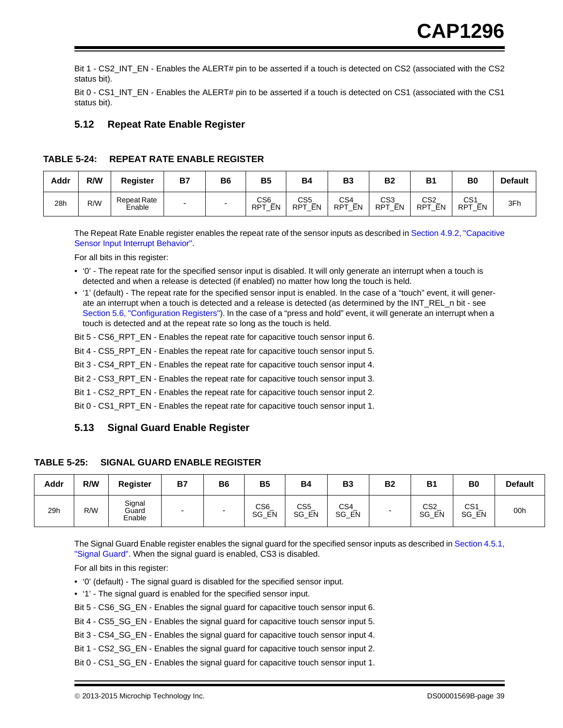Bit 1 - CS2\_INT\_EN - Enables the ALERT# pin to be asserted if a touch is detected on CS2 (associated with the CS2 status bit).

Bit 0 - CS1\_INT\_EN - Enables the ALERT# pin to be asserted if a touch is detected on CS1 (associated with the CS1 status bit).

## <span id="page-38-1"></span><span id="page-38-0"></span>**5.12 Repeat Rate Enable Register**

#### **TABLE 5-24: REPEAT RATE ENABLE REGISTER**

| Addr | R/W | <b>Register</b>       | <b>B7</b> | B <sub>6</sub> | <b>B5</b>        | <b>B4</b>                           | B <sub>3</sub>          | B <sub>2</sub>          | B'                      | B <sub>0</sub>                      | <b>Default</b> |
|------|-----|-----------------------|-----------|----------------|------------------|-------------------------------------|-------------------------|-------------------------|-------------------------|-------------------------------------|----------------|
| 28h  | R/W | Repeat Rate<br>Enable | -         |                | CS6<br>EN<br>RPT | CS <sub>5</sub><br>EN<br><b>RPT</b> | CS4<br>EN<br><b>RPT</b> | CS3<br><b>RPT</b><br>EN | CS2<br>EN<br><b>RPT</b> | CS <sub>1</sub><br>EN<br><b>RPT</b> | 3Fh            |

The Repeat Rate Enable register enables the repeat rate of the sensor inputs as described in [Section 4.9.2, "Capacitive](#page-19-3) [Sensor Input Interrupt Behavior"](#page-19-3).

For all bits in this register:

- '0' The repeat rate for the specified sensor input is disabled. It will only generate an interrupt when a touch is detected and when a release is detected (if enabled) no matter how long the touch is held.
- '1' (default) The repeat rate for the specified sensor input is enabled. In the case of a "touch" event, it will generate an interrupt when a touch is detected and a release is detected (as determined by the INT\_REL\_n bit - see [Section 5.6, "Configuration Registers"](#page-30-2)). In the case of a "press and hold" event, it will generate an interrupt when a touch is detected and at the repeat rate so long as the touch is held.
- Bit 5 CS6\_RPT\_EN Enables the repeat rate for capacitive touch sensor input 6.
- Bit 4 CS5\_RPT\_EN Enables the repeat rate for capacitive touch sensor input 5.
- Bit 3 CS4\_RPT\_EN Enables the repeat rate for capacitive touch sensor input 4.
- Bit 2 CS3\_RPT\_EN Enables the repeat rate for capacitive touch sensor input 3.
- Bit 1 CS2\_RPT\_EN Enables the repeat rate for capacitive touch sensor input 2.

<span id="page-38-3"></span>Bit 0 - CS1\_RPT\_EN - Enables the repeat rate for capacitive touch sensor input 1.

## <span id="page-38-2"></span>**5.13 Signal Guard Enable Register**

#### **TABLE 5-25: SIGNAL GUARD ENABLE REGISTER**

| <b>Addr</b> | R/W | <b>Register</b>           | B7 | <b>B6</b> | <b>B5</b>    | <b>B4</b>    | B <sub>3</sub> | <b>B2</b> | B <sub>1</sub> | B <sub>0</sub> | <b>Default</b> |
|-------------|-----|---------------------------|----|-----------|--------------|--------------|----------------|-----------|----------------|----------------|----------------|
| 29h         | R/W | Signal<br>Guard<br>Enable |    |           | CS6<br>SG_EN | CS5<br>SG_EN | CS4<br>SG_EN   | -         | CS2<br>SG EN   | CS1<br>SG_EN   | 00h            |

The Signal Guard Enable register enables the signal guard for the specified sensor inputs as described in [Section 4.5.1,](#page-18-4) ["Signal Guard".](#page-18-4) When the signal guard is enabled, CS3 is disabled.

For all bits in this register:

- '0' (default) The signal guard is disabled for the specified sensor input.
- '1' The signal guard is enabled for the specified sensor input.

Bit 5 - CS6\_SG\_EN - Enables the signal guard for capacitive touch sensor input 6.

Bit 4 - CS5\_SG\_EN - Enables the signal guard for capacitive touch sensor input 5.

Bit 3 - CS4\_SG\_EN - Enables the signal guard for capacitive touch sensor input 4.

Bit 1 - CS2 SG EN - Enables the signal guard for capacitive touch sensor input 2.

Bit 0 - CS1\_SG\_EN - Enables the signal guard for capacitive touch sensor input 1.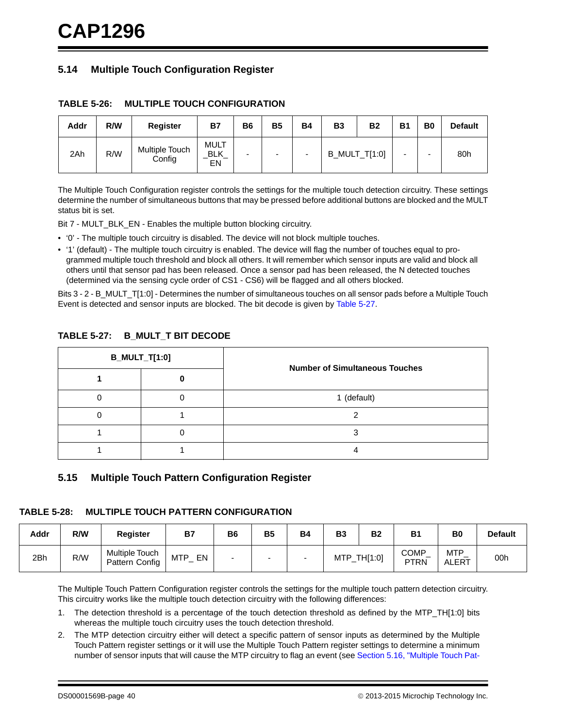## <span id="page-39-1"></span>**5.14 Multiple Touch Configuration Register**

| Addr | R/W | Register                 | <b>B7</b>                       | B <sub>6</sub> | <b>B5</b> | <b>B4</b>                | <b>B3</b> | <b>B2</b>            | <b>B1</b> | B <sub>0</sub> | <b>Default</b> |
|------|-----|--------------------------|---------------------------------|----------------|-----------|--------------------------|-----------|----------------------|-----------|----------------|----------------|
| 2Ah  | R/W | Multiple Touch<br>Config | <b>MULT</b><br><b>BLK</b><br>EN | -              |           | $\overline{\phantom{0}}$ |           | <b>B_MULT_T[1:0]</b> | -         |                | 80h            |

#### **TABLE 5-26: MULTIPLE TOUCH CONFIGURATION**

The Multiple Touch Configuration register controls the settings for the multiple touch detection circuitry. These settings determine the number of simultaneous buttons that may be pressed before additional buttons are blocked and the MULT status bit is set.

Bit 7 - MULT\_BLK\_EN - Enables the multiple button blocking circuitry.

- '0' The multiple touch circuitry is disabled. The device will not block multiple touches.
- '1' (default) The multiple touch circuitry is enabled. The device will flag the number of touches equal to programmed multiple touch threshold and block all others. It will remember which sensor inputs are valid and block all others until that sensor pad has been released. Once a sensor pad has been released, the N detected touches (determined via the sensing cycle order of CS1 - CS6) will be flagged and all others blocked.

Bits 3 - 2 - B\_MULT\_T[1:0] - Determines the number of simultaneous touches on all sensor pads before a Multiple Touch Event is detected and sensor inputs are blocked. The bit decode is given by [Table 5-27](#page-39-3).

<span id="page-39-3"></span>

| <b>B_MULT_T[1:0]</b> | <b>Number of Simultaneous Touches</b> |
|----------------------|---------------------------------------|
|                      |                                       |
|                      | 1 (default)                           |
|                      |                                       |
|                      |                                       |
|                      |                                       |

## <span id="page-39-2"></span><span id="page-39-0"></span>**5.15 Multiple Touch Pattern Configuration Register**

|  | TABLE 5-28: MULTIPLE TOUCH PATTERN CONFIGURATION |
|--|--------------------------------------------------|
|--|--------------------------------------------------|

| <b>Addr</b> | R/W | Register                         | <b>B7</b>        | <b>B6</b> | <b>B5</b> | <b>B4</b> | B <sub>3</sub> | <b>B2</b> | <b>B1</b>           | B <sub>0</sub>             | <b>Default</b> |
|-------------|-----|----------------------------------|------------------|-----------|-----------|-----------|----------------|-----------|---------------------|----------------------------|----------------|
| 2Bh         | R/W | Multiple Touch<br>Pattern Config | <b>MTP</b><br>EN | -         |           |           | MTP            | TH[1:0]   | COMP<br><b>PTRN</b> | <b>MTP</b><br><b>ALERT</b> | 00h            |

The Multiple Touch Pattern Configuration register controls the settings for the multiple touch pattern detection circuitry. This circuitry works like the multiple touch detection circuitry with the following differences:

- 1. The detection threshold is a percentage of the touch detection threshold as defined by the MTP\_TH[1:0] bits whereas the multiple touch circuitry uses the touch detection threshold.
- 2. The MTP detection circuitry either will detect a specific pattern of sensor inputs as determined by the Multiple Touch Pattern register settings or it will use the Multiple Touch Pattern register settings to determine a minimum number of sensor inputs that will cause the MTP circuitry to flag an event (see [Section 5.16, "Multiple Touch Pat-](#page-40-0)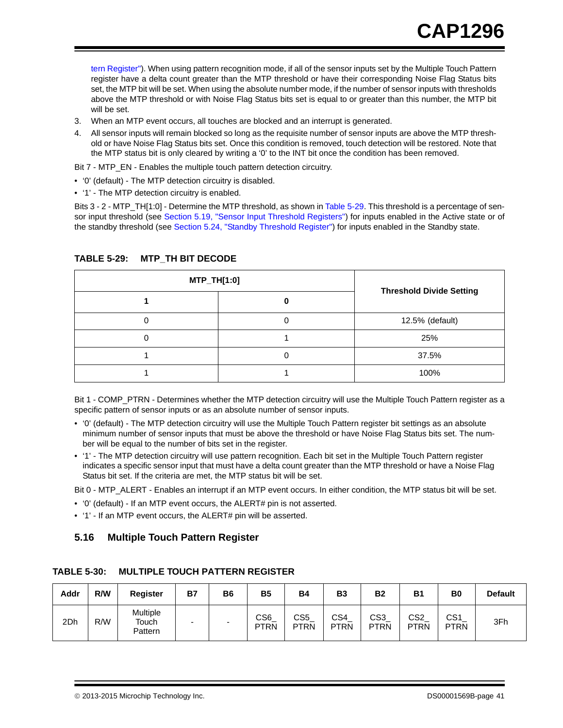[tern Register"](#page-40-0)). When using pattern recognition mode, if all of the sensor inputs set by the Multiple Touch Pattern register have a delta count greater than the MTP threshold or have their corresponding Noise Flag Status bits set, the MTP bit will be set. When using the absolute number mode, if the number of sensor inputs with thresholds above the MTP threshold or with Noise Flag Status bits set is equal to or greater than this number, the MTP bit will be set.

- 3. When an MTP event occurs, all touches are blocked and an interrupt is generated.
- 4. All sensor inputs will remain blocked so long as the requisite number of sensor inputs are above the MTP threshold or have Noise Flag Status bits set. Once this condition is removed, touch detection will be restored. Note that the MTP status bit is only cleared by writing a '0' to the INT bit once the condition has been removed.

Bit 7 - MTP\_EN - Enables the multiple touch pattern detection circuitry.

- '0' (default) The MTP detection circuitry is disabled.
- '1' The MTP detection circuitry is enabled.

Bits 3 - 2 - MTP\_TH[1:0] - Determine the MTP threshold, as shown in [Table 5-29.](#page-40-1) This threshold is a percentage of sensor input threshold (see [Section 5.19, "Sensor Input Threshold Registers"\)](#page-43-1) for inputs enabled in the Active state or of the standby threshold (see [Section 5.24, "Standby Threshold Register"](#page-47-2)) for inputs enabled in the Standby state.

| $MTP_TH[1:0]$ | <b>Threshold Divide Setting</b> |                 |
|---------------|---------------------------------|-----------------|
|               |                                 |                 |
| 0             |                                 | 12.5% (default) |
| ი             |                                 | 25%             |
|               |                                 | 37.5%           |
|               |                                 | 100%            |

## <span id="page-40-1"></span>**TABLE 5-29: MTP\_TH BIT DECODE**

Bit 1 - COMP\_PTRN - Determines whether the MTP detection circuitry will use the Multiple Touch Pattern register as a specific pattern of sensor inputs or as an absolute number of sensor inputs.

- '0' (default) The MTP detection circuitry will use the Multiple Touch Pattern register bit settings as an absolute minimum number of sensor inputs that must be above the threshold or have Noise Flag Status bits set. The number will be equal to the number of bits set in the register.
- '1' The MTP detection circuitry will use pattern recognition. Each bit set in the Multiple Touch Pattern register indicates a specific sensor input that must have a delta count greater than the MTP threshold or have a Noise Flag Status bit set. If the criteria are met, the MTP status bit will be set.

Bit 0 - MTP\_ALERT - Enables an interrupt if an MTP event occurs. In either condition, the MTP status bit will be set.

- '0' (default) If an MTP event occurs, the ALERT# pin is not asserted.
- '1' If an MTP event occurs, the ALERT# pin will be asserted.

## <span id="page-40-0"></span>**5.16 Multiple Touch Pattern Register**

### **TABLE 5-30: MULTIPLE TOUCH PATTERN REGISTER**

| Addr | R/W | <b>Register</b>              | <b>B7</b> | <b>B6</b> | <b>B5</b>          | <b>B4</b>          | <b>B3</b>          | <b>B2</b>          | <b>B1</b>          | B <sub>0</sub>                 | <b>Default</b> |
|------|-----|------------------------------|-----------|-----------|--------------------|--------------------|--------------------|--------------------|--------------------|--------------------------------|----------------|
| 2Dh  | R/W | Multiple<br>Touch<br>Pattern |           |           | CS6<br><b>PTRN</b> | CS5<br><b>PTRN</b> | CS4<br><b>PTRN</b> | CS3<br><b>PTRN</b> | CS2<br><b>PTRN</b> | CS <sub>1</sub><br><b>PTRN</b> | 3Fh            |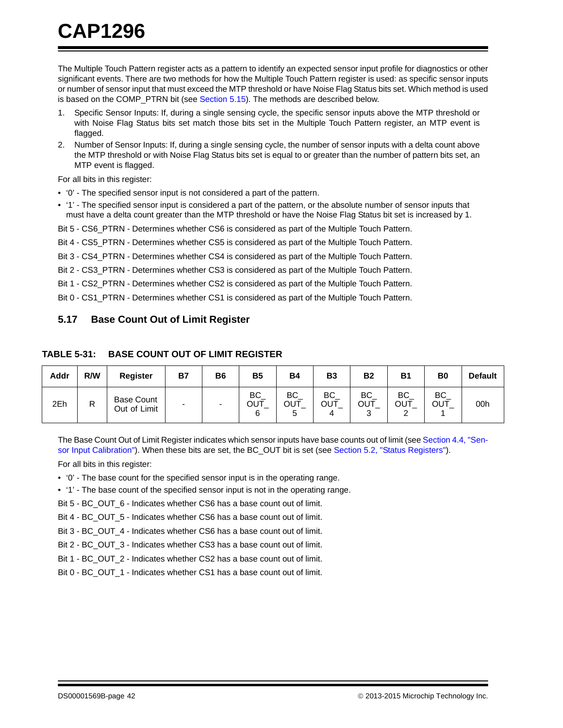The Multiple Touch Pattern register acts as a pattern to identify an expected sensor input profile for diagnostics or other significant events. There are two methods for how the Multiple Touch Pattern register is used: as specific sensor inputs or number of sensor input that must exceed the MTP threshold or have Noise Flag Status bits set. Which method is used is based on the COMP\_PTRN bit (see [Section 5.15](#page-39-2)). The methods are described below.

- 1. Specific Sensor Inputs: If, during a single sensing cycle, the specific sensor inputs above the MTP threshold or with Noise Flag Status bits set match those bits set in the Multiple Touch Pattern register, an MTP event is flagged.
- 2. Number of Sensor Inputs: If, during a single sensing cycle, the number of sensor inputs with a delta count above the MTP threshold or with Noise Flag Status bits set is equal to or greater than the number of pattern bits set, an MTP event is flagged.

For all bits in this register:

- '0' The specified sensor input is not considered a part of the pattern.
- '1' The specified sensor input is considered a part of the pattern, or the absolute number of sensor inputs that must have a delta count greater than the MTP threshold or have the Noise Flag Status bit set is increased by 1.

Bit 5 - CS6\_PTRN - Determines whether CS6 is considered as part of the Multiple Touch Pattern.

Bit 4 - CS5\_PTRN - Determines whether CS5 is considered as part of the Multiple Touch Pattern.

Bit 3 - CS4\_PTRN - Determines whether CS4 is considered as part of the Multiple Touch Pattern.

Bit 2 - CS3\_PTRN - Determines whether CS3 is considered as part of the Multiple Touch Pattern.

Bit 1 - CS2\_PTRN - Determines whether CS2 is considered as part of the Multiple Touch Pattern.

Bit 0 - CS1\_PTRN - Determines whether CS1 is considered as part of the Multiple Touch Pattern.

## <span id="page-41-1"></span><span id="page-41-0"></span>**5.17 Base Count Out of Limit Register**

## **TABLE 5-31: BASE COUNT OUT OF LIMIT REGISTER**

| Addr | R/W | <b>Register</b>                   | Β7 | B <sub>6</sub> | <b>B5</b> | <b>B4</b>        | <b>B3</b>        | <b>B2</b>        | B <sub>1</sub> | B <sub>0</sub> | <b>Default</b> |
|------|-----|-----------------------------------|----|----------------|-----------|------------------|------------------|------------------|----------------|----------------|----------------|
| 2Eh  | R   | <b>Base Count</b><br>Out of Limit |    |                | BC<br>OUT | <b>BC</b><br>OUT | <b>BC</b><br>OUT | ВC<br><b>OUT</b> | ВC<br>Ουτ      | ВC<br>OUT      | 00h            |

The Base Count Out of Limit Register indicates which sensor inputs have base counts out of limit (see [Section 4.4, "Sen](#page-16-3)[sor Input Calibration"\)](#page-16-3). When these bits are set, the BC\_OUT bit is set (see [Section 5.2, "Status Registers"\)](#page-27-1).

For all bits in this register:

• '0' - The base count for the specified sensor input is in the operating range.

• '1' - The base count of the specified sensor input is not in the operating range.

Bit 5 - BC\_OUT\_6 - Indicates whether CS6 has a base count out of limit.

Bit 4 - BC\_OUT\_5 - Indicates whether CS6 has a base count out of limit.

Bit 3 - BC\_OUT\_4 - Indicates whether CS6 has a base count out of limit.

Bit 2 - BC\_OUT\_3 - Indicates whether CS3 has a base count out of limit.

Bit 1 - BC\_OUT\_2 - Indicates whether CS2 has a base count out of limit.

Bit 0 - BC\_OUT\_1 - Indicates whether CS1 has a base count out of limit.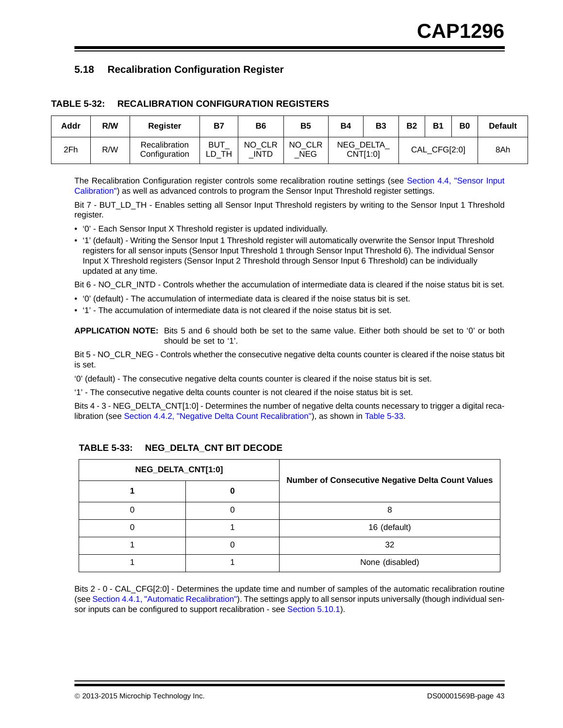## <span id="page-42-1"></span><span id="page-42-0"></span>**5.18 Recalibration Configuration Register**

| Addr | R/W | <b>Register</b>                | <b>B7</b>           | <b>B6</b>             | <b>B5</b>     | <b>B4</b> | <b>B3</b> | <b>B2</b> | <b>B1</b>    | B <sub>0</sub> | <b>Default</b> |
|------|-----|--------------------------------|---------------------|-----------------------|---------------|-----------|-----------|-----------|--------------|----------------|----------------|
| 2Fh  | R/W | Recalibration<br>Configuration | <b>BUT</b><br>LD TH | NO CLR<br><b>INTD</b> | NO CLR<br>NEG | NEG DELTA | CNT[1:0]  |           | CAL_CFG[2:0] |                | 8Ah            |

The Recalibration Configuration register controls some recalibration routine settings (see [Section 4.4, "Sensor Input](#page-16-3) [Calibration"](#page-16-3)) as well as advanced controls to program the Sensor Input Threshold register settings.

Bit 7 - BUT\_LD\_TH - Enables setting all Sensor Input Threshold registers by writing to the Sensor Input 1 Threshold register.

- '0' Each Sensor Input X Threshold register is updated individually.
- '1' (default) Writing the Sensor Input 1 Threshold register will automatically overwrite the Sensor Input Threshold registers for all sensor inputs (Sensor Input Threshold 1 through Sensor Input Threshold 6). The individual Sensor Input X Threshold registers (Sensor Input 2 Threshold through Sensor Input 6 Threshold) can be individually updated at any time.

Bit 6 - NO\_CLR\_INTD - Controls whether the accumulation of intermediate data is cleared if the noise status bit is set.

- '0' (default) The accumulation of intermediate data is cleared if the noise status bit is set.
- '1' The accumulation of intermediate data is not cleared if the noise status bit is set.

**APPLICATION NOTE:** Bits 5 and 6 should both be set to the same value. Either both should be set to '0' or both should be set to '1'.

Bit 5 - NO\_CLR\_NEG - Controls whether the consecutive negative delta counts counter is cleared if the noise status bit is set.

'0' (default) - The consecutive negative delta counts counter is cleared if the noise status bit is set.

'1' - The consecutive negative delta counts counter is not cleared if the noise status bit is set.

Bits 4 - 3 - NEG\_DELTA\_CNT[1:0] - Determines the number of negative delta counts necessary to trigger a digital recalibration (see [Section 4.4.2, "Negative Delta Count Recalibration"\)](#page-17-6), as shown in [Table 5-33.](#page-42-2)

| NEG_DELTA_CNT[1:0] | <b>Number of Consecutive Negative Delta Count Values</b> |  |  |  |  |  |
|--------------------|----------------------------------------------------------|--|--|--|--|--|
|                    |                                                          |  |  |  |  |  |
|                    |                                                          |  |  |  |  |  |
|                    | 16 (default)                                             |  |  |  |  |  |
|                    | 32                                                       |  |  |  |  |  |
|                    | None (disabled)                                          |  |  |  |  |  |

### <span id="page-42-2"></span>**TABLE 5-33: NEG\_DELTA\_CNT BIT DECODE**

Bits 2 - 0 - CAL\_CFG[2:0] - Determines the update time and number of samples of the automatic recalibration routine (see [Section 4.4.1, "Automatic Recalibration"\)](#page-17-5). The settings apply to all sensor inputs universally (though individual sensor inputs can be configured to support recalibration - see [Section 5.10.1](#page-36-1)).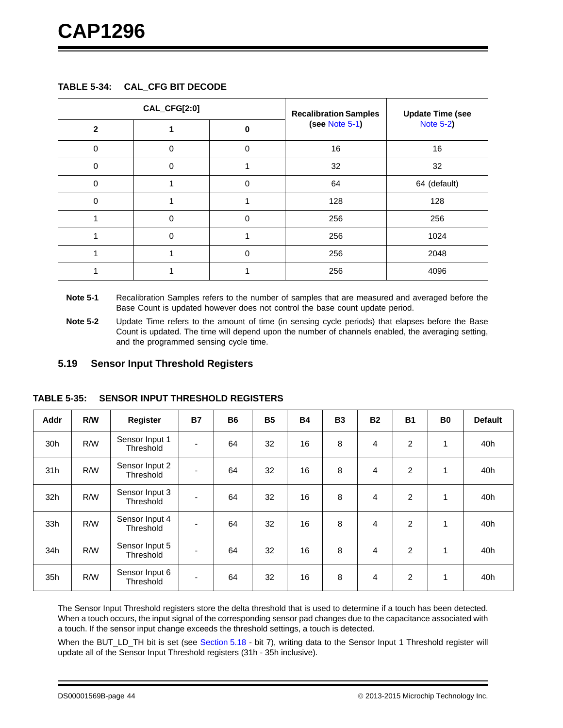|              | CAL_CFG[2:0] |          | <b>Recalibration Samples</b> | <b>Update Time (see</b> |  |  |
|--------------|--------------|----------|------------------------------|-------------------------|--|--|
| $\mathbf{2}$ |              | $\bf{0}$ | (see Note 5-1)               | Note 5-2)               |  |  |
| 0            | $\Omega$     | $\Omega$ | 16                           | 16                      |  |  |
| 0            | 0            |          | 32                           | 32                      |  |  |
| 0            |              | $\Omega$ | 64                           | 64 (default)            |  |  |
| 0            |              |          | 128                          | 128                     |  |  |
|              | $\Omega$     | $\Omega$ | 256                          | 256                     |  |  |
|              | $\Omega$     |          | 256                          | 1024                    |  |  |
|              |              | $\Omega$ | 256                          | 2048                    |  |  |
|              |              |          | 256                          | 4096                    |  |  |

## **TABLE 5-34: CAL\_CFG BIT DECODE**

- <span id="page-43-2"></span>**Note 5-1** Recalibration Samples refers to the number of samples that are measured and averaged before the Base Count is updated however does not control the base count update period.
- <span id="page-43-3"></span>**Note 5-2** Update Time refers to the amount of time (in sensing cycle periods) that elapses before the Base Count is updated. The time will depend upon the number of channels enabled, the averaging setting, and the programmed sensing cycle time.

## <span id="page-43-1"></span><span id="page-43-0"></span>**5.19 Sensor Input Threshold Registers**

| TABLE 5-35: SENSOR INPUT THRESHOLD REGISTERS |  |  |
|----------------------------------------------|--|--|
|----------------------------------------------|--|--|

| Addr            | R/W | Register                           | <b>B7</b> | <b>B6</b> | <b>B5</b> | <b>B4</b> | <b>B3</b> | <b>B2</b>      | <b>B1</b>      | B <sub>0</sub> | <b>Default</b> |
|-----------------|-----|------------------------------------|-----------|-----------|-----------|-----------|-----------|----------------|----------------|----------------|----------------|
| 30h             | R/W | Sensor Input 1<br><b>Threshold</b> |           | 64        | 32        | 16        | 8         | $\overline{4}$ | $\overline{2}$ | $\mathbf{1}$   | 40h            |
| 31h             | R/W | Sensor Input 2<br><b>Threshold</b> |           | 64        | 32        | 16        | 8         | 4              | $\overline{2}$ | $\mathbf{1}$   | 40h            |
| 32 <sub>h</sub> | R/W | Sensor Input 3<br>Threshold        |           | 64        | 32        | 16        | 8         | $\overline{4}$ | $\overline{2}$ | $\mathbf{1}$   | 40h            |
| 33h             | R/W | Sensor Input 4<br>Threshold        |           | 64        | 32        | 16        | 8         | $\overline{4}$ | $\overline{2}$ | $\mathbf{1}$   | 40h            |
| 34h             | R/W | Sensor Input 5<br>Threshold        |           | 64        | 32        | 16        | 8         | 4              | $\overline{2}$ | $\mathbf{1}$   | 40h            |
| 35h             | R/W | Sensor Input 6<br><b>Threshold</b> |           | 64        | 32        | 16        | 8         | $\overline{4}$ | $\overline{2}$ | $\mathbf{1}$   | 40h            |

The Sensor Input Threshold registers store the delta threshold that is used to determine if a touch has been detected. When a touch occurs, the input signal of the corresponding sensor pad changes due to the capacitance associated with a touch. If the sensor input change exceeds the threshold settings, a touch is detected.

When the BUT\_LD\_TH bit is set (see [Section 5.18](#page-42-1) - bit 7), writing data to the Sensor Input 1 Threshold register will update all of the Sensor Input Threshold registers (31h - 35h inclusive).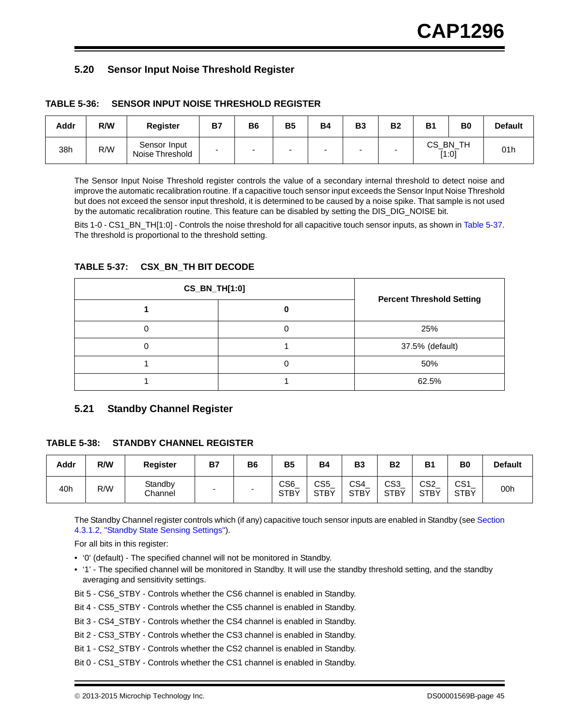## <span id="page-44-2"></span><span id="page-44-1"></span>**5.20 Sensor Input Noise Threshold Register**

| <b>SENSOR INPUT NOISE THRESHOLD REGISTER</b><br><b>TABLE 5-36:</b> |
|--------------------------------------------------------------------|
|--------------------------------------------------------------------|

| Addr | R/W | <b>Register</b>                 | Β7 | <b>B6</b> | <b>B5</b>                | <b>B4</b> | B <sub>3</sub> | <b>B2</b> | <b>B1</b>         | B <sub>0</sub> | <b>Default</b> |
|------|-----|---------------------------------|----|-----------|--------------------------|-----------|----------------|-----------|-------------------|----------------|----------------|
| 38h  | R/W | Sensor Input<br>Noise Threshold |    |           | $\overline{\phantom{a}}$ |           |                |           | CS_BN_TH<br>[1:0] |                | 01h            |

The Sensor Input Noise Threshold register controls the value of a secondary internal threshold to detect noise and improve the automatic recalibration routine. If a capacitive touch sensor input exceeds the Sensor Input Noise Threshold but does not exceed the sensor input threshold, it is determined to be caused by a noise spike. That sample is not used by the automatic recalibration routine. This feature can be disabled by setting the DIS\_DIG\_NOISE bit.

Bits 1-0 - CS1\_BN\_TH[1:0] - Controls the noise threshold for all capacitive touch sensor inputs, as shown in [Table 5-37.](#page-44-4) The threshold is proportional to the threshold setting.

| <b>CS_BN_TH[1:0]</b> |                                  |  |  |  |  |  |  |
|----------------------|----------------------------------|--|--|--|--|--|--|
|                      | <b>Percent Threshold Setting</b> |  |  |  |  |  |  |
|                      | 25%                              |  |  |  |  |  |  |
|                      | 37.5% (default)                  |  |  |  |  |  |  |
|                      | 50%                              |  |  |  |  |  |  |
|                      | 62.5%                            |  |  |  |  |  |  |

### <span id="page-44-4"></span>**TABLE 5-37: CSX\_BN\_TH BIT DECODE**

## <span id="page-44-3"></span><span id="page-44-0"></span>**5.21 Standby Channel Register**

### **TABLE 5-38: STANDBY CHANNEL REGISTER**

| Addr | R/W | <b>Register</b>    | <b>B7</b> | <b>B6</b> | <b>B5</b>          | <b>B4</b>          | B <sub>3</sub>                 | <b>B2</b>          | <b>B1</b>          | B0                             | <b>Default</b> |
|------|-----|--------------------|-----------|-----------|--------------------|--------------------|--------------------------------|--------------------|--------------------|--------------------------------|----------------|
| 40h  | R/W | Standby<br>Channel |           |           | CS6<br><b>STBY</b> | CS5<br><b>STBY</b> | CS <sub>4</sub><br><b>STBY</b> | CS3<br><b>STBY</b> | CS2<br><b>STBY</b> | CS <sub>1</sub><br><b>STBY</b> | 00h            |

The Standby Channel register controls which (if any) capacitive touch sensor inputs are enabled in Standby (see [Section](#page-16-5) [4.3.1.2, "Standby State Sensing Settings"](#page-16-5)).

For all bits in this register:

- '0' (default) The specified channel will not be monitored in Standby.
- '1' The specified channel will be monitored in Standby. It will use the standby threshold setting, and the standby averaging and sensitivity settings.

Bit 5 - CS6\_STBY - Controls whether the CS6 channel is enabled in Standby.

Bit 4 - CS5\_STBY - Controls whether the CS5 channel is enabled in Standby.

Bit 3 - CS4\_STBY - Controls whether the CS4 channel is enabled in Standby.

Bit 2 - CS3\_STBY - Controls whether the CS3 channel is enabled in Standby.

Bit 1 - CS2\_STBY - Controls whether the CS2 channel is enabled in Standby.

Bit 0 - CS1\_STBY - Controls whether the CS1 channel is enabled in Standby.

2013-2015 Microchip Technology Inc. DS00001569B-page 45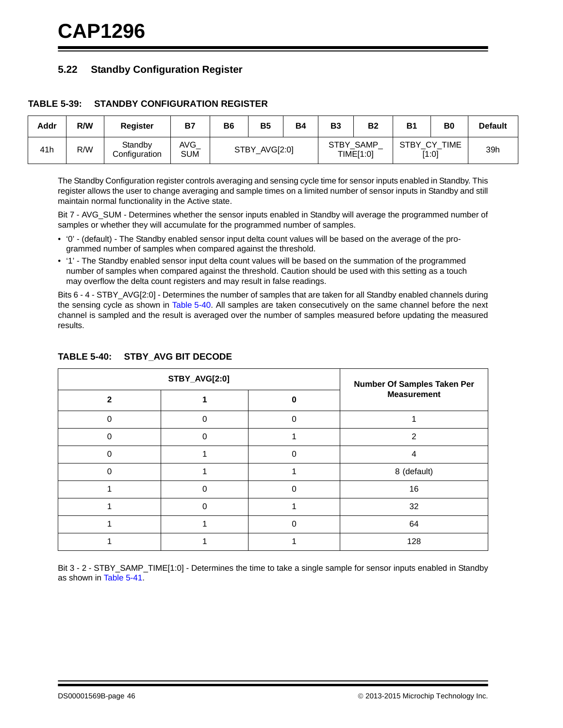## <span id="page-45-1"></span><span id="page-45-0"></span>**5.22 Standby Configuration Register**

## **TABLE 5-39: STANDBY CONFIGURATION REGISTER**

| Addr | R/W | <b>Register</b>          | <b>B7</b>                | <b>B6</b>         | <b>B5</b> | <b>B4</b> | B <sub>3</sub> | B <sub>2</sub>     | <b>B1</b>                                  | B <sub>0</sub> | <b>Default</b> |
|------|-----|--------------------------|--------------------------|-------------------|-----------|-----------|----------------|--------------------|--------------------------------------------|----------------|----------------|
| 41h  | R/W | Standby<br>Configuration | <b>AVG</b><br><b>SUM</b> | STBY<br>_AVG[2:0] |           |           | <b>STBY</b>    | _SAMP<br>TIME[1:0] | <b>STBY</b><br><b>TIME</b><br>CY.<br>[1:0] |                | 39h            |

The Standby Configuration register controls averaging and sensing cycle time for sensor inputs enabled in Standby. This register allows the user to change averaging and sample times on a limited number of sensor inputs in Standby and still maintain normal functionality in the Active state.

Bit 7 - AVG\_SUM - Determines whether the sensor inputs enabled in Standby will average the programmed number of samples or whether they will accumulate for the programmed number of samples.

- '0' (default) The Standby enabled sensor input delta count values will be based on the average of the programmed number of samples when compared against the threshold.
- '1' The Standby enabled sensor input delta count values will be based on the summation of the programmed number of samples when compared against the threshold. Caution should be used with this setting as a touch may overflow the delta count registers and may result in false readings.

Bits 6 - 4 - STBY\_AVG[2:0] - Determines the number of samples that are taken for all Standby enabled channels during the sensing cycle as shown in [Table 5-40](#page-45-2). All samples are taken consecutively on the same channel before the next channel is sampled and the result is averaged over the number of samples measured before updating the measured results.

|   | STBY_AVG[2:0] | Number Of Samples Taken Per |
|---|---------------|-----------------------------|
| 2 |               | <b>Measurement</b>          |
| ∩ |               |                             |
| O | O             | 2                           |
|   |               |                             |
| ∩ |               | 8 (default)                 |
|   | O             | 16                          |
|   |               | 32                          |
|   |               | 64                          |
|   |               | 128                         |

## <span id="page-45-2"></span>**TABLE 5-40: STBY\_AVG BIT DECODE**

Bit 3 - 2 - STBY\_SAMP\_TIME[1:0] - Determines the time to take a single sample for sensor inputs enabled in Standby as shown in [Table 5-41.](#page-46-2)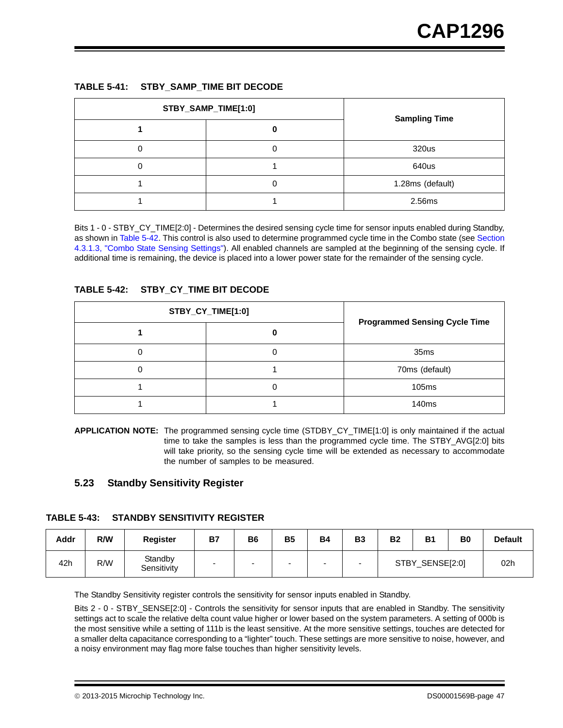<span id="page-46-2"></span>

| TABLE 5-41: STBY SAMP TIME BIT DECODE |  |  |  |  |  |
|---------------------------------------|--|--|--|--|--|
|---------------------------------------|--|--|--|--|--|

| STBY_SAMP_TIME[1:0] | <b>Sampling Time</b> |                  |
|---------------------|----------------------|------------------|
|                     | 0                    |                  |
|                     |                      | 320us            |
|                     |                      | 640us            |
|                     |                      | 1.28ms (default) |
|                     |                      | 2.56ms           |

Bits 1 - 0 - STBY\_CY\_TIME[2:0] - Determines the desired sensing cycle time for sensor inputs enabled during Standby, as shown in [Table 5-42](#page-46-3). This control is also used to determine programmed cycle time in the Combo state (see [Section](#page-16-2) [4.3.1.3, "Combo State Sensing Settings"](#page-16-2)). All enabled channels are sampled at the beginning of the sensing cycle. If additional time is remaining, the device is placed into a lower power state for the remainder of the sensing cycle.

## <span id="page-46-3"></span>**TABLE 5-42: STBY\_CY\_TIME BIT DECODE**

| STBY_CY_TIME[1:0] | <b>Programmed Sensing Cycle Time</b> |
|-------------------|--------------------------------------|
|                   |                                      |
|                   | 35 <sub>ms</sub>                     |
|                   | 70ms (default)                       |
|                   | 105ms                                |
|                   | 140 <sub>ms</sub>                    |

**APPLICATION NOTE:** The programmed sensing cycle time (STDBY\_CY\_TIME[1:0] is only maintained if the actual time to take the samples is less than the programmed cycle time. The STBY\_AVG[2:0] bits will take priority, so the sensing cycle time will be extended as necessary to accommodate the number of samples to be measured.

## <span id="page-46-1"></span><span id="page-46-0"></span>**5.23 Standby Sensitivity Register**

**TABLE 5-43: STANDBY SENSITIVITY REGISTER**

| <b>Addr</b> | R/W | <b>Register</b>        | <b>B7</b> | <b>B6</b> | <b>B5</b> | <b>B4</b> | B <sub>3</sub> | <b>B2</b> | B'              | B0 | <b>Default</b> |
|-------------|-----|------------------------|-----------|-----------|-----------|-----------|----------------|-----------|-----------------|----|----------------|
| 42h         | R/W | Standby<br>Sensitivity |           |           | $\sim$    |           |                |           | STBY_SENSE[2:0] |    | 02h            |

The Standby Sensitivity register controls the sensitivity for sensor inputs enabled in Standby.

Bits 2 - 0 - STBY\_SENSE[2:0] - Controls the sensitivity for sensor inputs that are enabled in Standby. The sensitivity settings act to scale the relative delta count value higher or lower based on the system parameters. A setting of 000b is the most sensitive while a setting of 111b is the least sensitive. At the more sensitive settings, touches are detected for a smaller delta capacitance corresponding to a "lighter" touch. These settings are more sensitive to noise, however, and a noisy environment may flag more false touches than higher sensitivity levels.

 <sup>2013-2015</sup> Microchip Technology Inc. DS00001569B-page 47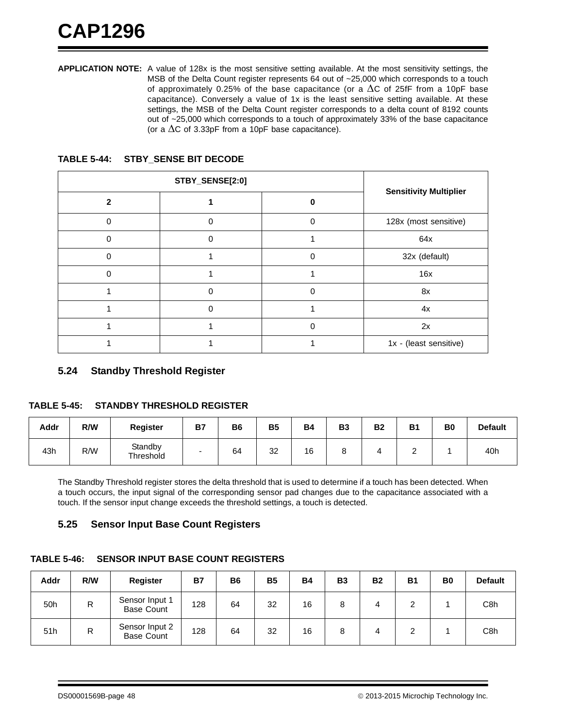**APPLICATION NOTE:** A value of 128x is the most sensitive setting available. At the most sensitivity settings, the MSB of the Delta Count register represents 64 out of ~25,000 which corresponds to a touch of approximately 0.25% of the base capacitance (or a  $\Delta C$  of 25fF from a 10pF base capacitance). Conversely a value of 1x is the least sensitive setting available. At these settings, the MSB of the Delta Count register corresponds to a delta count of 8192 counts out of ~25,000 which corresponds to a touch of approximately 33% of the base capacitance (or a  $\Delta C$  of 3.33pF from a 10pF base capacitance).

|          | STBY_SENSE[2:0] |   | <b>Sensitivity Multiplier</b> |  |  |  |  |
|----------|-----------------|---|-------------------------------|--|--|--|--|
| 2        |                 | 0 |                               |  |  |  |  |
| $\Omega$ | $\Omega$        |   | 128x (most sensitive)         |  |  |  |  |
| $\Omega$ | $\Omega$        |   | 64x                           |  |  |  |  |
| $\Omega$ |                 |   | 32x (default)                 |  |  |  |  |
| $\Omega$ |                 |   | 16x                           |  |  |  |  |
|          | $\Omega$        |   | 8x                            |  |  |  |  |
|          | $\Omega$        |   | 4x                            |  |  |  |  |
|          |                 | O | 2x                            |  |  |  |  |
|          |                 |   | 1x - (least sensitive)        |  |  |  |  |

## **TABLE 5-44: STBY\_SENSE BIT DECODE**

## <span id="page-47-2"></span><span id="page-47-0"></span>**5.24 Standby Threshold Register**

## **TABLE 5-45: STANDBY THRESHOLD REGISTER**

| Addr | R/W | Register             | <b>B7</b> | B <sub>6</sub> | <b>B5</b> | <b>B4</b> | B <sub>3</sub> | <b>B2</b> | B <sub>1</sub> | B0 | <b>Default</b> |
|------|-----|----------------------|-----------|----------------|-----------|-----------|----------------|-----------|----------------|----|----------------|
| 43h  | R/W | Standby<br>Threshold | -         | 64             | 32        | 16        | ∽<br>ุ         |           |                |    | 40h            |

The Standby Threshold register stores the delta threshold that is used to determine if a touch has been detected. When a touch occurs, the input signal of the corresponding sensor pad changes due to the capacitance associated with a touch. If the sensor input change exceeds the threshold settings, a touch is detected.

## <span id="page-47-3"></span><span id="page-47-1"></span>**5.25 Sensor Input Base Count Registers**

### **TABLE 5-46: SENSOR INPUT BASE COUNT REGISTERS**

| Addr | R/W | <b>Register</b>                     | <b>B7</b> | <b>B6</b> | <b>B5</b> | <b>B4</b> | <b>B3</b> | <b>B2</b> | <b>B1</b> | B <sub>0</sub> | <b>Default</b>   |
|------|-----|-------------------------------------|-----------|-----------|-----------|-----------|-----------|-----------|-----------|----------------|------------------|
| 50h  | R   | Sensor Input 1<br><b>Base Count</b> | 128       | 64        | 32        | 16        | 8         | 4         |           |                | C <sub>8</sub> h |
| 51h  | R   | Sensor Input 2<br><b>Base Count</b> | 128       | 64        | 32        | 16        | 8         | 4         | ົ         |                | C <sub>8</sub> h |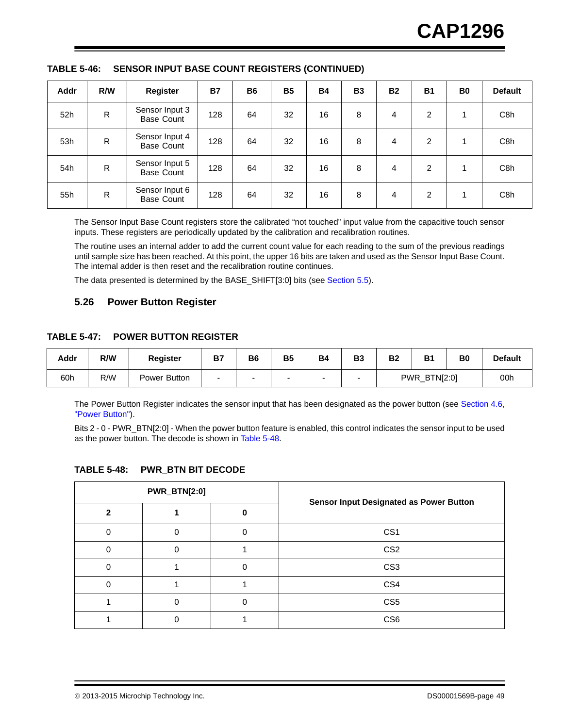| <b>Addr</b> | R/W          | <b>Register</b>                     | <b>B7</b> | <b>B6</b> | <b>B5</b> | <b>B4</b> | <b>B3</b> | <b>B2</b>      | <b>B1</b>      | B <sub>0</sub> | <b>Default</b>   |
|-------------|--------------|-------------------------------------|-----------|-----------|-----------|-----------|-----------|----------------|----------------|----------------|------------------|
| 52h         | $\mathsf{R}$ | Sensor Input 3<br><b>Base Count</b> | 128       | 64        | 32        | 16        | 8         | $\overline{4}$ | 2              | и              | C8h              |
| 53h         | $\mathsf{R}$ | Sensor Input 4<br><b>Base Count</b> | 128       | 64        | 32        | 16        | 8         | 4              | $\overline{2}$ |                | C <sub>8</sub> h |
| 54h         | $\mathsf{R}$ | Sensor Input 5<br><b>Base Count</b> | 128       | 64        | 32        | 16        | 8         | 4              | 2              |                | C <sub>8</sub> h |
| 55h         | $\mathsf{R}$ | Sensor Input 6<br><b>Base Count</b> | 128       | 64        | 32        | 16        | 8         | 4              | 2              |                | C <sub>8</sub> h |

**TABLE 5-46: SENSOR INPUT BASE COUNT REGISTERS (CONTINUED)**

The Sensor Input Base Count registers store the calibrated "not touched" input value from the capacitive touch sensor inputs. These registers are periodically updated by the calibration and recalibration routines.

The routine uses an internal adder to add the current count value for each reading to the sum of the previous readings until sample size has been reached. At this point, the upper 16 bits are taken and used as the Sensor Input Base Count. The internal adder is then reset and the recalibration routine continues.

The data presented is determined by the BASE\_SHIFT[3:0] bits (see [Section 5.5\)](#page-29-1).

## <span id="page-48-1"></span><span id="page-48-0"></span>**5.26 Power Button Register**

### **TABLE 5-47: POWER BUTTON REGISTER**

| Addr | r/w | Register     | D7<br>י כ | B <sub>6</sub> | <b>B5</b> | <b>B4</b> | <b>B3</b> | Β2                            | B <sub>1</sub> | B0  | <b>Default</b> |
|------|-----|--------------|-----------|----------------|-----------|-----------|-----------|-------------------------------|----------------|-----|----------------|
| 60h  | R/W | Power Button | -         |                |           |           |           | <b>PWR</b><br><b>BTNI2:01</b> |                | 00h |                |

The Power Button Register indicates the sensor input that has been designated as the power button (see [Section 4.6,](#page-18-2) ["Power Button"](#page-18-2)).

Bits 2 - 0 - PWR\_BTN[2:0] - When the power button feature is enabled, this control indicates the sensor input to be used as the power button. The decode is shown in [Table 5-48.](#page-48-2)

#### <span id="page-48-2"></span>**TABLE 5-48: PWR\_BTN BIT DECODE**

| <b>PWR_BTN[2:0]</b> |                                                |
|---------------------|------------------------------------------------|
|                     | <b>Sensor Input Designated as Power Button</b> |
|                     | CS <sub>1</sub>                                |
|                     | CS <sub>2</sub>                                |
|                     | CS <sub>3</sub>                                |
|                     | CS <sub>4</sub>                                |
|                     | CS <sub>5</sub>                                |
|                     | CS <sub>6</sub>                                |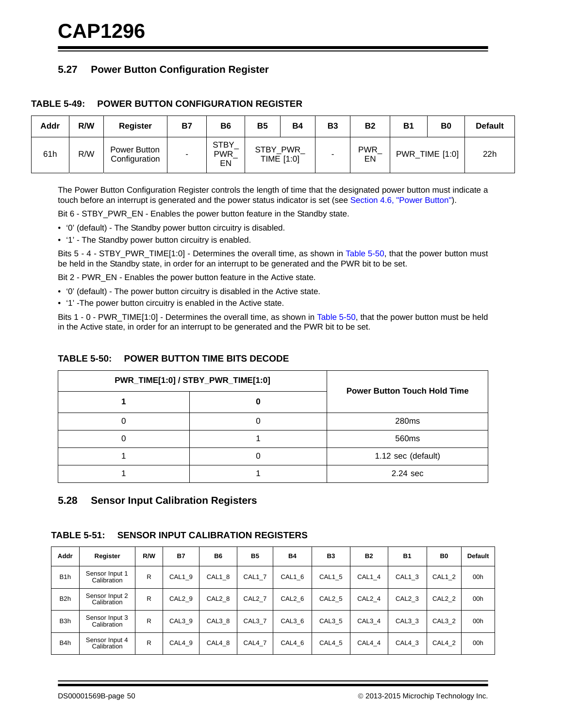## <span id="page-49-2"></span><span id="page-49-0"></span>**5.27 Power Button Configuration Register**

## **TABLE 5-49: POWER BUTTON CONFIGURATION REGISTER**

| Addr | R/W | <b>Register</b>               | <b>B7</b> | B <sub>6</sub>                  | <b>B5</b> | <b>B4</b>  | <b>B3</b> | <b>B2</b>        | <b>B1</b> | B <sub>0</sub> | <b>Default</b> |
|------|-----|-------------------------------|-----------|---------------------------------|-----------|------------|-----------|------------------|-----------|----------------|----------------|
| 61h  | R/W | Power Button<br>Configuration | -         | <b>STBY</b><br><b>PWR</b><br>EN | STBY_PWR_ | TIME [1:0] |           | <b>PWR</b><br>EN | PWR       | _TIME [1:0]    | 22h            |

The Power Button Configuration Register controls the length of time that the designated power button must indicate a touch before an interrupt is generated and the power status indicator is set (see [Section 4.6, "Power Button"](#page-18-2)).

Bit 6 - STBY\_PWR\_EN - Enables the power button feature in the Standby state.

• '0' (default) - The Standby power button circuitry is disabled.

• '1' - The Standby power button circuitry is enabled.

Bits 5 - 4 - STBY\_PWR\_TIME[1:0] - Determines the overall time, as shown in [Table 5-50](#page-49-3), that the power button must be held in the Standby state, in order for an interrupt to be generated and the PWR bit to be set.

Bit 2 - PWR\_EN - Enables the power button feature in the Active state.

- '0' (default) The power button circuitry is disabled in the Active state.
- '1' -The power button circuitry is enabled in the Active state.

Bits 1 - 0 - PWR\_TIME[1:0] - Determines the overall time, as shown in [Table 5-50,](#page-49-3) that the power button must be held in the Active state, in order for an interrupt to be generated and the PWR bit to be set.

| PWR_TIME[1:0] / STBY_PWR_TIME[1:0] | <b>Power Button Touch Hold Time</b> |
|------------------------------------|-------------------------------------|
|                                    |                                     |
|                                    | 280ms                               |
|                                    | 560ms                               |
|                                    | 1.12 sec (default)                  |
|                                    | $2.24$ sec                          |

## <span id="page-49-3"></span>**TABLE 5-50: POWER BUTTON TIME BITS DECODE**

## <span id="page-49-1"></span>**5.28 Sensor Input Calibration Registers**

### **TABLE 5-51: SENSOR INPUT CALIBRATION REGISTERS**

| Addr             | Register                      | R/W          | <b>B7</b> | <b>B6</b>         | <b>B5</b>          | <b>B4</b> | B <sub>3</sub>    | <b>B2</b> | <b>B1</b>         | B <sub>0</sub>    | <b>Default</b> |
|------------------|-------------------------------|--------------|-----------|-------------------|--------------------|-----------|-------------------|-----------|-------------------|-------------------|----------------|
| B <sub>1</sub> h | Sensor Input 1<br>Calibration | R            | CAL1 9    | CAL1 <sub>8</sub> | CAL1 7             | CAL1 6    | CAL1 <sub>5</sub> | CAL1 4    | CAL1 <sub>3</sub> | CAL1 <sub>2</sub> | 00h            |
| B <sub>2</sub> h | Sensor Input 2<br>Calibration | $\mathsf{R}$ | CAL2 9    | CAL2 8            | CAL2 7             | CAL2 6    | CAL2 5            | CAL2 4    | CAL2 3            | CAL2 <sub>2</sub> | 00h            |
| B <sub>3</sub> h | Sensor Input 3<br>Calibration | $\mathsf{R}$ | CAL3 9    | CAL3 8            | CAL <sub>3</sub> 7 | CAL3 6    | CAL3 5            | CAL3 4    | CAL3 3            | CAL3 2            | 00h            |
| B <sub>4</sub> h | Sensor Input 4<br>Calibration | R            | CAL4 9    | CAL4 8            | CAL4 7             | CAL4 6    | CAL4 5            | CAL4 4    | CAL4 3            | CAL4 2            | 00h            |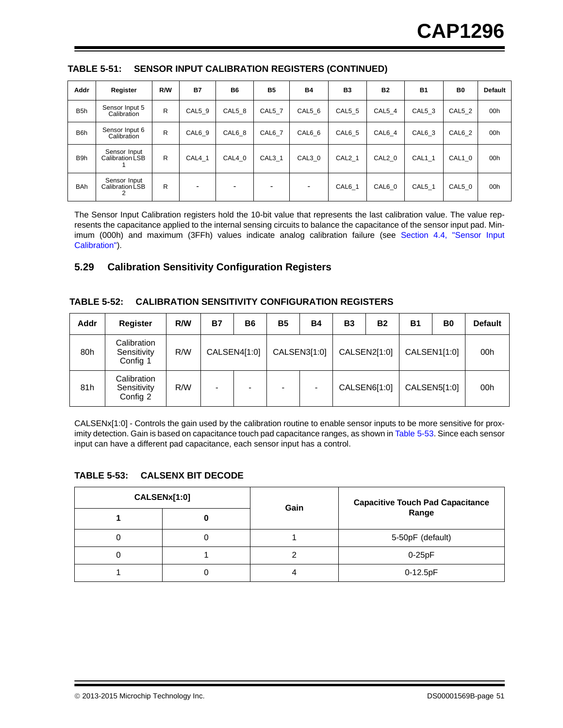| Addr             | Register                        | R/W          | <b>B7</b>      | <b>B6</b>                | <b>B5</b> | <b>B4</b>                | <b>B3</b> | <b>B2</b> | <b>B1</b> | B <sub>0</sub>    | <b>Default</b> |
|------------------|---------------------------------|--------------|----------------|--------------------------|-----------|--------------------------|-----------|-----------|-----------|-------------------|----------------|
| B <sub>5</sub> h | Sensor Input 5<br>Calibration   | R            | CAL5 9         | CAL5 8                   | CAL5 7    | CAL5 6                   | CAL5 5    | CAL5 4    | CAL5 3    | CAL5 2            | 00h            |
| B <sub>6</sub> h | Sensor Input 6<br>Calibration   | $\mathsf{R}$ | CAL6 9         | CAL6 8                   | CAL6 7    | CAL6 6                   | CAL6 5    | CAL6 4    | CAL6 3    | CAL6 <sub>2</sub> | 00h            |
| B <sub>9</sub> h | Sensor Input<br>Calibration LSB | R            | CAL4 1         | CAL4 0                   | CAL3 1    | CAL3 0                   | CAL2 1    | CAL2 0    | CAL1 1    | CAL1 0            | 00h            |
| <b>BAh</b>       | Sensor Input<br>Calibration LSB | R            | $\blacksquare$ | $\overline{\phantom{0}}$ | ۰         | $\overline{\phantom{0}}$ | CAL6_1    | CAL6 0    | CAL5 1    | CAL5 0            | 00h            |

**TABLE 5-51: SENSOR INPUT CALIBRATION REGISTERS (CONTINUED)**

The Sensor Input Calibration registers hold the 10-bit value that represents the last calibration value. The value represents the capacitance applied to the internal sensing circuits to balance the capacitance of the sensor input pad. Min-imum (000h) and maximum (3FFh) values indicate analog calibration failure (see [Section 4.4, "Sensor Input](#page-16-3) [Calibration"](#page-16-3)).

## <span id="page-50-2"></span><span id="page-50-0"></span>**5.29 Calibration Sensitivity Configuration Registers**

| TABLE 5-52: CALIBRATION SENSITIVITY CONFIGURATION REGISTERS |
|-------------------------------------------------------------|
|-------------------------------------------------------------|

| Addr | <b>Register</b>                        | R/W | <b>B7</b> | <b>B6</b>    | <b>B5</b> | <b>B4</b>    | <b>B3</b> | <b>B2</b>    | <b>B1</b> | B <sub>0</sub> | <b>Default</b> |
|------|----------------------------------------|-----|-----------|--------------|-----------|--------------|-----------|--------------|-----------|----------------|----------------|
| 80h  | Calibration<br>Sensitivity<br>Config 1 | R/W |           | CALSEN4[1:0] |           | CALSEN3[1:0] |           | CALSEN2[1:0] |           | CALSEN1[1:0]   | 00h            |
| 81h  | Calibration<br>Sensitivity<br>Config 2 | R/W | -         |              |           |              |           | CALSEN6[1:0] |           | CALSEN5[1:0]   | 00h            |

CALSENx[1:0] - Controls the gain used by the calibration routine to enable sensor inputs to be more sensitive for prox-imity detection. Gain is based on capacitance touch pad capacitance ranges, as shown in [Table 5-53.](#page-50-1) Since each sensor input can have a different pad capacitance, each sensor input has a control.

## <span id="page-50-1"></span>**TABLE 5-53: CALSENX BIT DECODE**

| CALSENx[1:0] | Gain | <b>Capacitive Touch Pad Capacitance</b> |
|--------------|------|-----------------------------------------|
|              |      | Range                                   |
|              |      | 5-50pF (default)                        |
|              |      | $0-25pF$                                |
|              | 4    | $0 - 12.5pF$                            |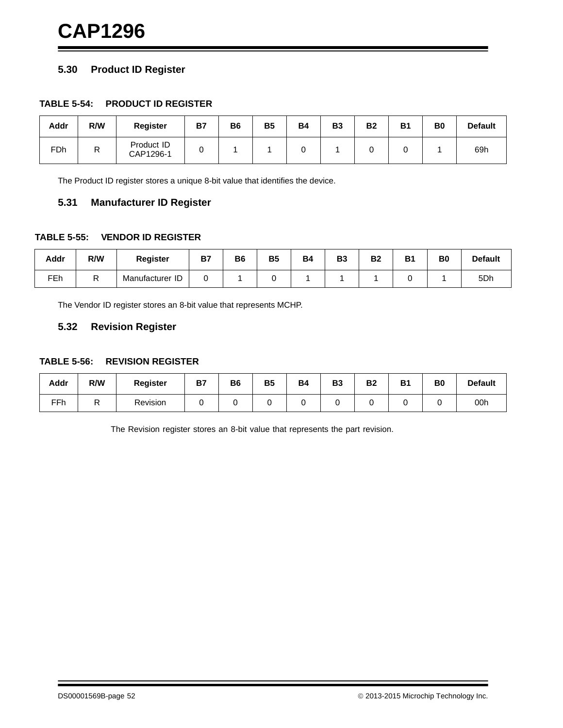## <span id="page-51-2"></span><span id="page-51-0"></span>**5.30 Product ID Register**

## **TABLE 5-54: PRODUCT ID REGISTER**

| Addr       | R/W | <b>Register</b>         | <b>B7</b> | B6 | <b>B5</b> | <b>B4</b> | <b>B3</b> | <b>B2</b> | <b>B1</b> | B <sub>0</sub> | <b>Default</b> |
|------------|-----|-------------------------|-----------|----|-----------|-----------|-----------|-----------|-----------|----------------|----------------|
| <b>FDh</b> |     | Product ID<br>CAP1296-1 |           |    |           |           |           |           |           |                | 69h            |

The Product ID register stores a unique 8-bit value that identifies the device.

## **5.31 Manufacturer ID Register**

## **TABLE 5-55: VENDOR ID REGISTER**

| Addr | R/W | <b>Register</b> | <b>B7</b> | B <sub>6</sub> | <b>B5</b> | <b>B4</b> | B <sub>3</sub> | <b>B2</b> | <b>B1</b> | B <sub>0</sub> | <b>Default</b> |
|------|-----|-----------------|-----------|----------------|-----------|-----------|----------------|-----------|-----------|----------------|----------------|
| FEh  |     | Manufacturer ID | ∼         |                |           |           |                |           |           |                | 5Dh            |

<span id="page-51-3"></span>The Vendor ID register stores an 8-bit value that represents MCHP.

## <span id="page-51-1"></span>**5.32 Revision Register**

## **TABLE 5-56: REVISION REGISTER**

| Addr | R/W | <b>Register</b> | <b>B7</b> | B6 | <b>B5</b> | <b>B4</b> | <b>B3</b> | <b>B2</b> | <b>B1</b> | B <sub>0</sub> | <b>Default</b> |
|------|-----|-----------------|-----------|----|-----------|-----------|-----------|-----------|-----------|----------------|----------------|
| FFh  |     | Revision        |           |    |           |           |           |           |           | ີ              | 00h            |

The Revision register stores an 8-bit value that represents the part revision.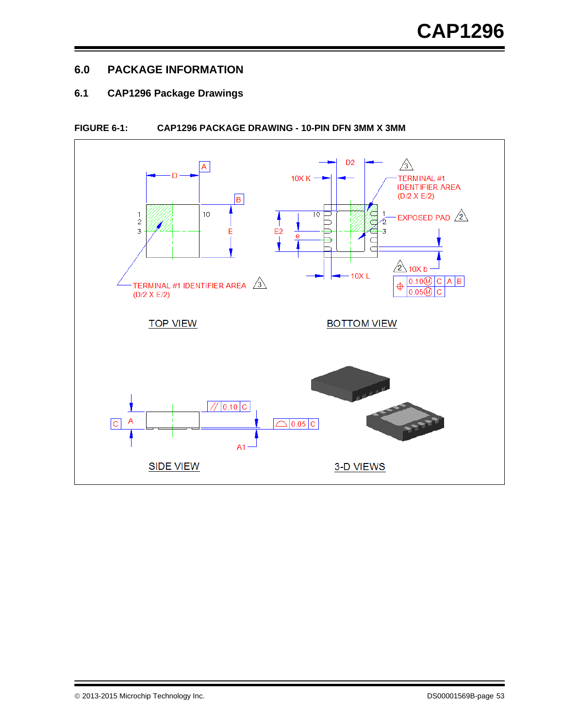## **6.0 PACKAGE INFORMATION**

## **6.1 CAP1296 Package Drawings**



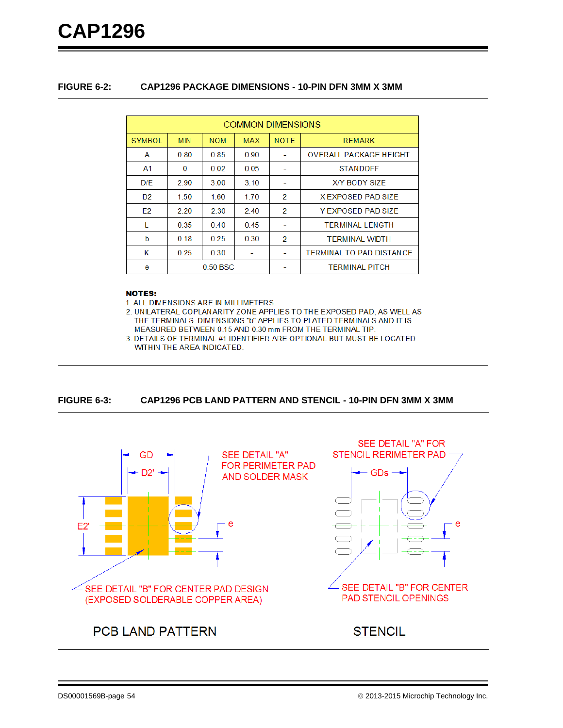## **FIGURE 6-2: CAP1296 PACKAGE DIMENSIONS - 10-PIN DFN 3MM X 3MM**

|                |            |            | <b>COMMON DIMENSIONS</b> |             |                               |
|----------------|------------|------------|--------------------------|-------------|-------------------------------|
| <b>SYMBOL</b>  | <b>MIN</b> | <b>NOM</b> | <b>MAX</b>               | <b>NOTE</b> | <b>REMARK</b>                 |
| A              | 0.80       | 0.85       | 0.90                     |             | <b>OVERALL PACKAGE HEIGHT</b> |
| A1             | 0          | 0.02       | 0.05                     |             | <b>STANDOFF</b>               |
| D/F            | 2.90       | 3.00       | 3.10                     | ٠           | <b>X/Y BODY SIZE</b>          |
| D <sub>2</sub> | 1.50       | 1.60       | 1.70                     | 2           | X EXPOSED PAD SIZE            |
| E <sub>2</sub> | 2.20       | 2.30       | 2.40                     | 2           | Y EXPOSED PAD SIZE            |
| T.             | 0.35       | 0.40       | 0.45                     | ٠           | <b>TERMINAL LENGTH</b>        |
| b              | 0.18       | 0.25       | 0.30                     | 2           | <b>TERMINAL WIDTH</b>         |
| κ              | 0.25       | 0.30       |                          | ۰           | TERMINAL TO PAD DISTANCE      |
| е              |            | $0.50$ BSC |                          |             | <b>TERMINAL PITCH</b>         |

#### **NOTES:**

1. ALL DIMENSIONS ARE IN MILLIMETERS.

2. UNILATERAL COPLANARITY ZONE APPLIES TO THE EXPOSED PAD, AS WELL AS THE TERMINALS. DIMENSIONS "b" APPLIES TO PLATED TERMINALS AND IT IS MEASURED BETWEEN 0.15 AND 0.30 mm FROM THE TERMINAL TIP.

3. DETAILS OF TERMINAL #1 IDENTIFIER ARE OPTIONAL BUT MUST BE LOCATED WITHIN THE AREA INDICATED.

**FIGURE 6-3: CAP1296 PCB LAND PATTERN AND STENCIL - 10-PIN DFN 3MM X 3MM**

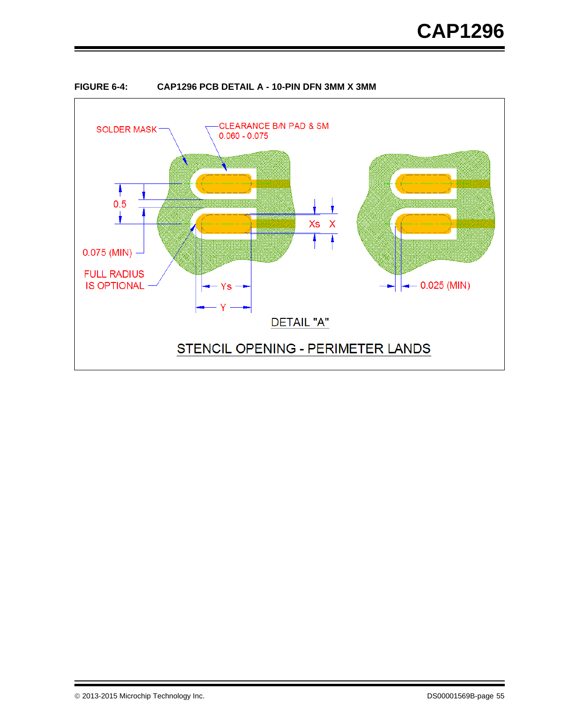

**FIGURE 6-4: CAP1296 PCB DETAIL A - 10-PIN DFN 3MM X 3MM**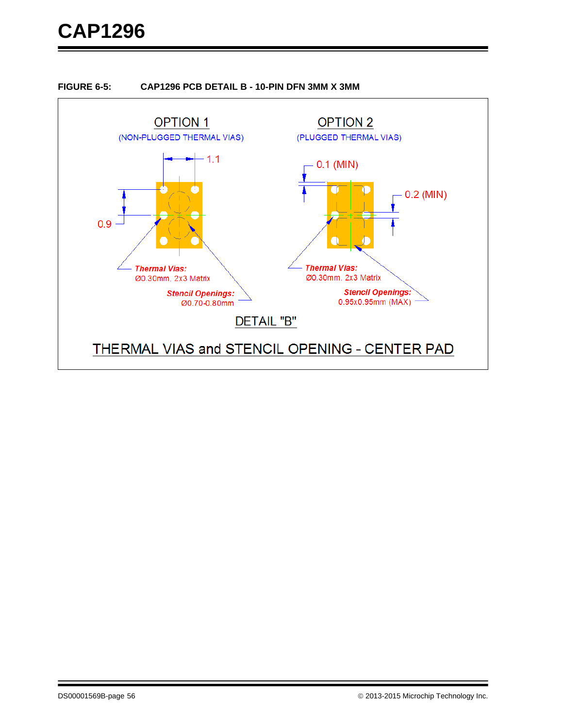

## **FIGURE 6-5: CAP1296 PCB DETAIL B - 10-PIN DFN 3MM X 3MM**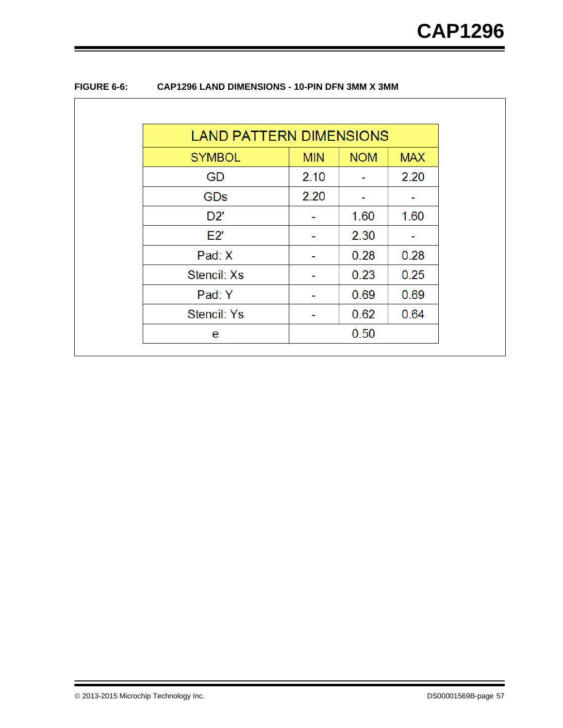| <b>FIGURE 6-6:</b> | CAP1296 LAND DIMENSIONS - 10-PIN DFN 3MM X 3MM |  |
|--------------------|------------------------------------------------|--|
|                    |                                                |  |

| <b>LAND PATTERN DIMENSIONS</b> |            |            |            |  |  |  |  |  |  |
|--------------------------------|------------|------------|------------|--|--|--|--|--|--|
| <b>SYMBOL</b>                  | <b>MIN</b> | <b>NOM</b> | <b>MAX</b> |  |  |  |  |  |  |
| GD                             | 2.10       | ٠          | 2.20       |  |  |  |  |  |  |
| <b>GDs</b>                     | 2.20       |            |            |  |  |  |  |  |  |
| D2'                            |            | 1.60       | 1.60       |  |  |  |  |  |  |
| E2'                            |            | 2.30       |            |  |  |  |  |  |  |
| Pad: X                         |            | 0.28       | 0.28       |  |  |  |  |  |  |
| Stencil: Xs                    |            | 0.23       | 0.25       |  |  |  |  |  |  |
| Pad: Y                         |            | 0.69       | 0.69       |  |  |  |  |  |  |
| Stencil: Ys                    |            | 0.62       | 0.64       |  |  |  |  |  |  |
| e                              |            | 0.50       |            |  |  |  |  |  |  |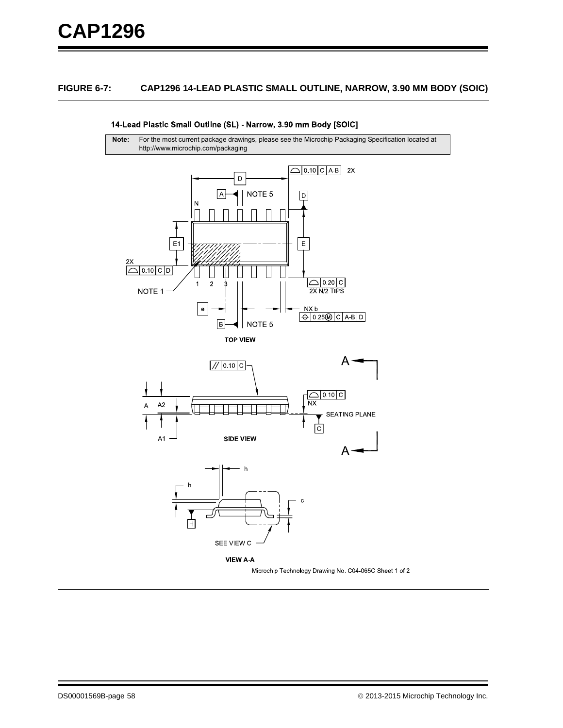## **FIGURE 6-7: CAP1296 14-LEAD PLASTIC SMALL OUTLINE, NARROW, 3.90 MM BODY (SOIC)**

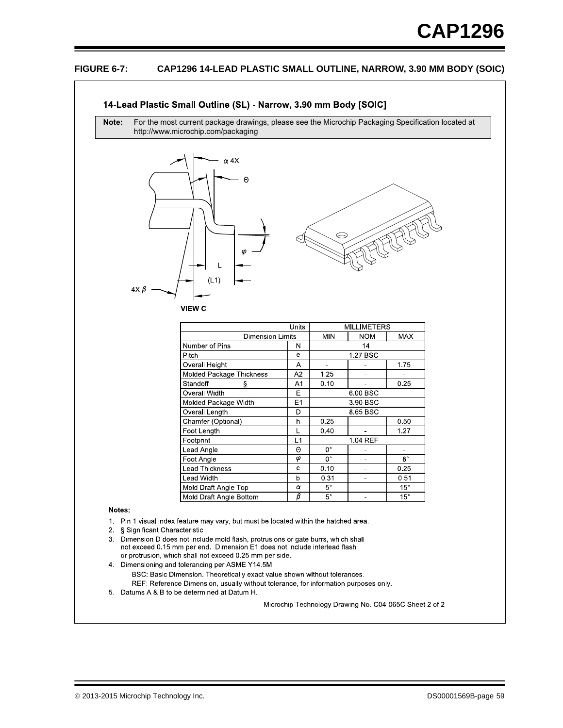#### **FIGURE 6-7: CAP1296 14-LEAD PLASTIC SMALL OUTLINE, NARROW, 3.90 MM BODY (SOIC)**

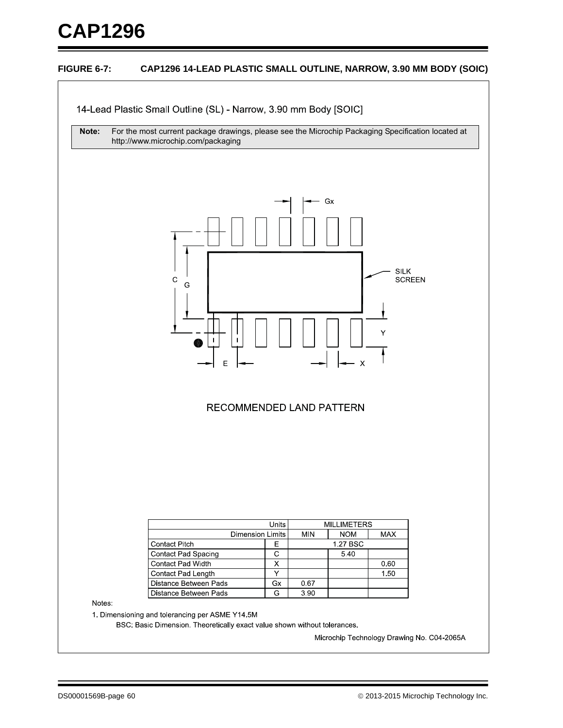## **CAP1296**

## **FIGURE 6-7: CAP1296 14-LEAD PLASTIC SMALL OUTLINE, NARROW, 3.90 MM BODY (SOIC)**

## 14-Lead Plastic Small Outline (SL) - Narrow, 3.90 mm Body [SOIC]

Note: Fo r the most current package drawings, please see the Microchip Packaging Specification located at http://www.microchip.com/packaging



## RECOMMENDED LAND PATTERN

| <b>Units</b>               |    | <b>MILLIMETERS</b> |            |            |
|----------------------------|----|--------------------|------------|------------|
| Dimension Limits           |    | MIN                | <b>NOM</b> | <b>MAX</b> |
| <b>Contact Pitch</b>       | Ε  |                    | 1.27 BSC   |            |
| <b>Contact Pad Spacing</b> | C  |                    | 5.40       |            |
| <b>Contact Pad Width</b>   |    |                    |            | 0.60       |
| Contact Pad Length         |    |                    |            | 1.50       |
| Distance Between Pads      | Gx | 0.67               |            |            |
| l Distance Between Pads    |    | 3.90               |            |            |

Notes:

1. Dimensioning and tolerancing per ASME Y14.5M

BSC: Basic Dimension. Theoretically exact value shown without tolerances.

Microchip Technology Drawing No. C04-2065A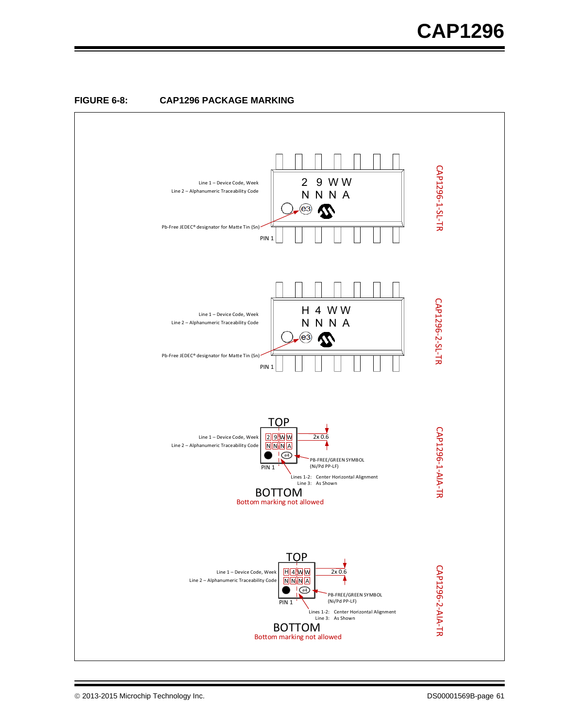## **CAP1296**



#### **FIGURE 6-8: CAP1296 PACKAGE MARKING**

2013-2015 Microchip Technology Inc. DS00001569B-page 61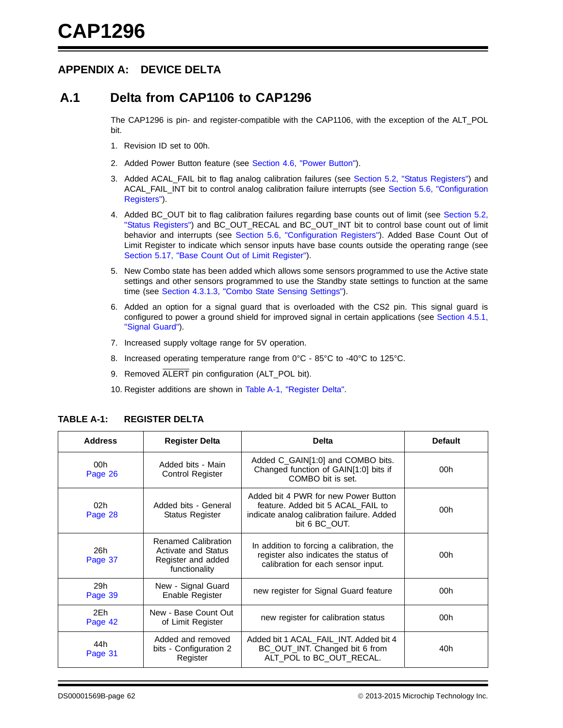## **APPENDIX A: DEVICE DELTA**

## **A.1 Delta from CAP1106 to CAP1296**

The CAP1296 is pin- and register-compatible with the CAP1106, with the exception of the ALT\_POL bit.

- 1. Revision ID set to 00h.
- 2. Added Power Button feature (see [Section 4.6, "Power Button"](#page-18-2)).
- 3. Added ACAL\_FAIL bit to flag analog calibration failures (see [Section 5.2, "Status Registers"\)](#page-27-0) and ACAL\_FAIL\_INT bit to control analog calibration failure interrupts (see [Section 5.6, "Configuration](#page-30-0) [Registers"](#page-30-0)).
- 4. Added BC\_OUT bit to flag calibration failures regarding base counts out of limit (see [Section 5.2,](#page-27-0) ["Status Registers"\)](#page-27-0) and BC\_OUT\_RECAL and BC\_OUT\_INT bit to control base count out of limit behavior and interrupts (see [Section 5.6, "Configuration Registers"](#page-30-0)). Added Base Count Out of Limit Register to indicate which sensor inputs have base counts outside the operating range (see [Section 5.17, "Base Count Out of Limit Register"](#page-41-0)).
- 5. New Combo state has been added which allows some sensors programmed to use the Active state settings and other sensors programmed to use the Standby state settings to function at the same time (see [Section 4.3.1.3, "Combo State Sensing Settings"](#page-16-2)).
- 6. Added an option for a signal guard that is overloaded with the CS2 pin. This signal guard is configured to power a ground shield for improved signal in certain applications (see [Section 4.5.1,](#page-18-4) ["Signal Guard"\)](#page-18-4).
- 7. Increased supply voltage range for 5V operation.
- 8. Increased operating temperature range from 0°C 85°C to -40°C to 125°C.
- 9. Removed ALERT pin configuration (ALT\_POL bit).
- 10. Register additions are shown in [Table A-1, "Register Delta".](#page-61-0)

| <b>Address</b> | <b>Register Delta</b>                                                                    | <b>Delta</b>                                                                                                                             | <b>Default</b>  |
|----------------|------------------------------------------------------------------------------------------|------------------------------------------------------------------------------------------------------------------------------------------|-----------------|
| 00h<br>Page 26 | Added bits - Main<br><b>Control Register</b>                                             | Added C_GAIN[1:0] and COMBO bits.<br>Changed function of GAIN[1:0] bits if<br>COMBO bit is set.                                          | 00h             |
| 02h<br>Page 28 | Added bits - General<br><b>Status Register</b>                                           | Added bit 4 PWR for new Power Button<br>feature. Added bit 5 ACAL FAIL to<br>indicate analog calibration failure. Added<br>bit 6 BC OUT. | 00h             |
| 26h<br>Page 37 | <b>Renamed Calibration</b><br>Activate and Status<br>Register and added<br>functionality | In addition to forcing a calibration, the<br>register also indicates the status of<br>calibration for each sensor input.                 | 00 <sub>h</sub> |
| 29h<br>Page 39 | New - Signal Guard<br>Enable Register                                                    | new register for Signal Guard feature                                                                                                    | 00h             |
| 2Eh<br>Page 42 | New - Base Count Out<br>of Limit Register                                                | new register for calibration status                                                                                                      | 00h             |
| 44h<br>Page 31 | Added and removed<br>bits - Configuration 2<br>Register                                  | Added bit 1 ACAL FAIL INT. Added bit 4<br>BC_OUT_INT. Changed bit 6 from<br>ALT_POL to BC_OUT_RECAL.                                     | 40h             |

## <span id="page-61-0"></span>**TABLE A-1: REGISTER DELTA**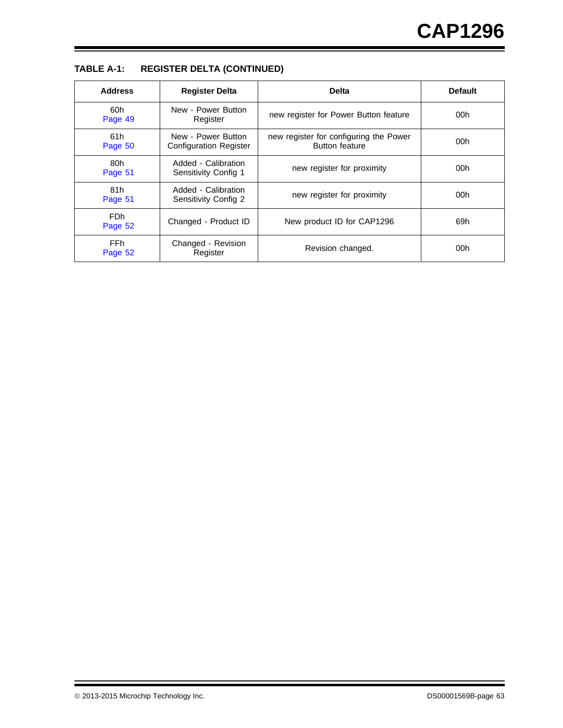| <b>Address</b>             | <b>Register Delta</b>                               | <b>Delta</b>                                                    | <b>Default</b> |
|----------------------------|-----------------------------------------------------|-----------------------------------------------------------------|----------------|
| 60h<br>Page 49             | New - Power Button<br>Register                      | new register for Power Button feature                           | 00h            |
| 61h<br>Page 50             | New - Power Button<br><b>Configuration Register</b> | new register for configuring the Power<br><b>Button feature</b> | 00h            |
| 80h<br>Page 51             | Added - Calibration<br>Sensitivity Config 1         | new register for proximity                                      | 00h            |
| 81h<br>Page 51             | Added - Calibration<br>Sensitivity Config 2         | new register for proximity                                      | 00h            |
| FD <sub>h</sub><br>Page 52 | Changed - Product ID                                | New product ID for CAP1296                                      | 69h            |
| FF <sub>h</sub><br>Page 52 | Changed - Revision<br>Register                      | Revision changed.                                               | 00h            |

## **TABLE A-1: REGISTER DELTA (CONTINUED)**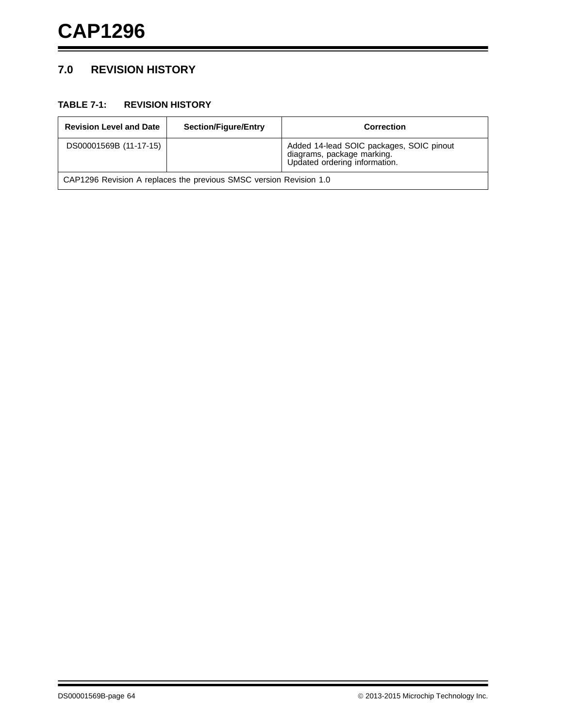## **7.0 REVISION HISTORY**

## **TABLE 7-1: REVISION HISTORY**

| <b>Revision Level and Date</b>                                     | <b>Section/Figure/Entry</b> | <b>Correction</b>                                                                                       |
|--------------------------------------------------------------------|-----------------------------|---------------------------------------------------------------------------------------------------------|
| DS00001569B (11-17-15)                                             |                             | Added 14-lead SOIC packages, SOIC pinout<br>diagrams, package marking.<br>Updated ordering information. |
| CAP1296 Revision A replaces the previous SMSC version Revision 1.0 |                             |                                                                                                         |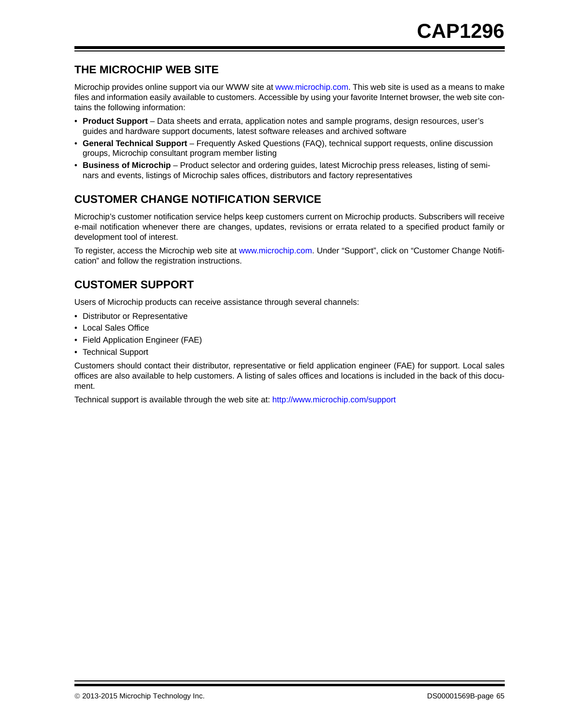## <span id="page-64-0"></span>**THE MICROCHIP WEB SITE**

[Microchip provides online support via our WWW site at w](http://www.microchip.com)ww.microchip.com. This web site is used as a means to make files and information easily available to customers. Accessible by using your favorite Internet browser, the web site contains the following information:

- **Product Support** Data sheets and errata, application notes and sample programs, design resources, user's guides and hardware support documents, latest software releases and archived software
- **General Technical Support** Frequently Asked Questions (FAQ), technical support requests, online discussion groups, Microchip consultant program member listing
- **Business of Microchip** Product selector and ordering guides, latest Microchip press releases, listing of seminars and events, listings of Microchip sales offices, distributors and factory representatives

## <span id="page-64-1"></span>**CUSTOMER CHANGE NOTIFICATION SERVICE**

Microchip's customer notification service helps keep customers current on Microchip products. Subscribers will receive e-mail notification whenever there are changes, updates, revisions or errata related to a specified product family or development tool of interest.

[To register, access the Microchip web site at](http://www.microchip.com) www.microchip.com. Under "Support", click on "Customer Change Notification" and follow the registration instructions.

## <span id="page-64-2"></span>**CUSTOMER SUPPORT**

Users of Microchip products can receive assistance through several channels:

- Distributor or Representative
- Local Sales Office
- Field Application Engineer (FAE)
- Technical Support

Customers should contact their distributor, representative or field application engineer (FAE) for support. Local sales offices are also available to help customers. A listing of sales offices and locations is included in the back of this document.

[Technical support is available through the web site at:](http://www.microchip.com) http://www.microchip.com/support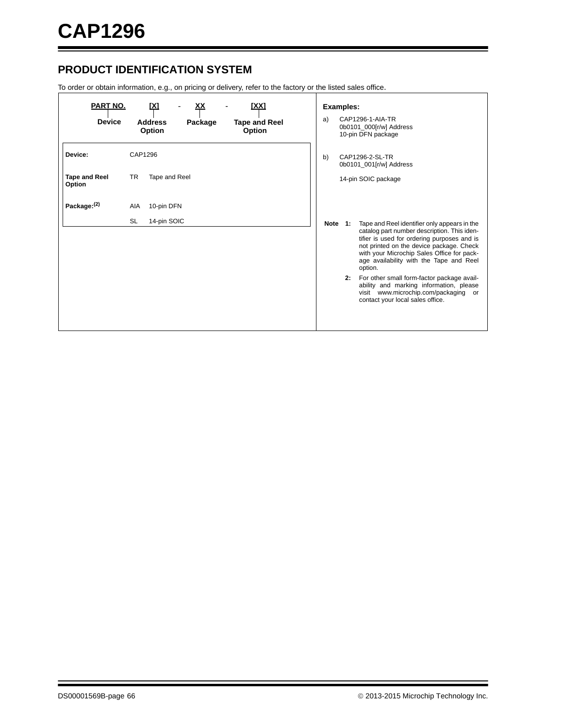## <span id="page-65-0"></span>**PRODUCT IDENTIFICATION SYSTEM**

To order or obtain information, e.g., on pricing or delivery, refer to the factory or the listed sales office.

| <u>PART NO.</u><br><b>Device</b>          | <u>[X]</u><br>xх<br>TXX1<br><b>Tape and Reel</b><br><b>Address</b><br>Package<br>Option<br>Option | Examples:<br>CAP1296-1-AIA-TR<br>a)<br>0b0101_000[r/w] Address<br>10-pin DFN package                                                                                                                                                                                                       |
|-------------------------------------------|---------------------------------------------------------------------------------------------------|--------------------------------------------------------------------------------------------------------------------------------------------------------------------------------------------------------------------------------------------------------------------------------------------|
| Device:<br><b>Tape and Reel</b><br>Option | CAP1296<br>Tape and Reel<br><b>TR</b>                                                             | b)<br>CAP1296-2-SL-TR<br>0b0101_001[r/w] Address<br>14-pin SOIC package                                                                                                                                                                                                                    |
| Package: <sup>(2)</sup>                   | 10-pin DFN<br>AIA<br><b>SL</b><br>14-pin SOIC                                                     | Note 1:<br>Tape and Reel identifier only appears in the<br>catalog part number description. This iden-                                                                                                                                                                                     |
|                                           |                                                                                                   | tifier is used for ordering purposes and is<br>not printed on the device package. Check<br>with your Microchip Sales Office for pack-<br>age availability with the Tape and Reel<br>option.<br>For other small form-factor package avail-<br>2:<br>ability and marking information, please |
|                                           |                                                                                                   | visit www.microchip.com/packaging or<br>contact your local sales office.                                                                                                                                                                                                                   |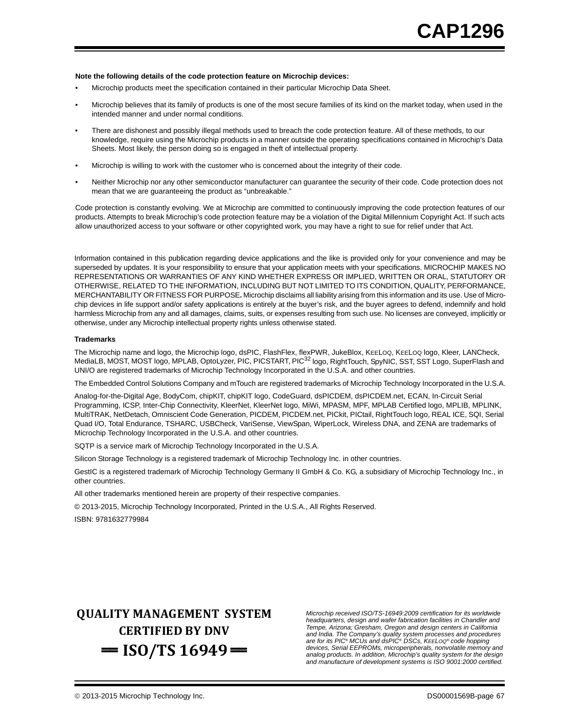#### **Note the following details of the code protection feature on Microchip devices:**

- Microchip products meet the specification contained in their particular Microchip Data Sheet.
- Microchip believes that its family of products is one of the most secure families of its kind on the market today, when used in the intended manner and under normal conditions.
- There are dishonest and possibly illegal methods used to breach the code protection feature. All of these methods, to our knowledge, require using the Microchip products in a manner outside the operating specifications contained in Microchip's Data Sheets. Most likely, the person doing so is engaged in theft of intellectual property.
- Microchip is willing to work with the customer who is concerned about the integrity of their code.
- Neither Microchip nor any other semiconductor manufacturer can guarantee the security of their code. Code protection does not mean that we are guaranteeing the product as "unbreakable."

Code protection is constantly evolving. We at Microchip are committed to continuously improving the code protection features of our products. Attempts to break Microchip's code protection feature may be a violation of the Digital Millennium Copyright Act. If such acts allow unauthorized access to your software or other copyrighted work, you may have a right to sue for relief under that Act.

Information contained in this publication regarding device applications and the like is provided only for your convenience and may be superseded by updates. It is your responsibility to ensure that your application meets with your specifications. MICROCHIP MAKES NO REPRESENTATIONS OR WARRANTIES OF ANY KIND WHETHER EXPRESS OR IMPLIED, WRITTEN OR ORAL, STATUTORY OR OTHERWISE, RELATED TO THE INFORMATION, INCLUDING BUT NOT LIMITED TO ITS CONDITION, QUALITY, PERFORMANCE, MERCHANTABILITY OR FITNESS FOR PURPOSE**.** Microchip disclaims all liability arising from this information and its use. Use of Microchip devices in life support and/or safety applications is entirely at the buyer's risk, and the buyer agrees to defend, indemnify and hold harmless Microchip from any and all damages, claims, suits, or expenses resulting from such use. No licenses are conveyed, implicitly or otherwise, under any Microchip intellectual property rights unless otherwise stated.

#### **Trademarks**

The Microchip name and logo, the Microchip logo, dsPIC, FlashFlex, flexPWR, JukeBlox, KEELOQ, KEELOQ logo, Kleer, LANCheck, MediaLB, MOST, MOST logo, MPLAB, OptoLyzer, PIC, PICSTART, PIC<sup>32</sup> logo, RightTouch, SpyNIC, SST, SST Logo, SuperFlash and UNI/O are registered trademarks of Microchip Technology Incorporated in the U.S.A. and other countries.

The Embedded Control Solutions Company and mTouch are registered trademarks of Microchip Technology Incorporated in the U.S.A.

Analog-for-the-Digital Age, BodyCom, chipKIT, chipKIT logo, CodeGuard, dsPICDEM, dsPICDEM.net, ECAN, In-Circuit Serial Programming, ICSP, Inter-Chip Connectivity, KleerNet, KleerNet logo, MiWi, MPASM, MPF, MPLAB Certified logo, MPLIB, MPLINK, MultiTRAK, NetDetach, Omniscient Code Generation, PICDEM, PICDEM.net, PICkit, PICtail, RightTouch logo, REAL ICE, SQI, Serial Quad I/O, Total Endurance, TSHARC, USBCheck, VariSense, ViewSpan, WiperLock, Wireless DNA, and ZENA are trademarks of Microchip Technology Incorporated in the U.S.A. and other countries.

SQTP is a service mark of Microchip Technology Incorporated in the U.S.A.

Silicon Storage Technology is a registered trademark of Microchip Technology Inc. in other countries.

GestIC is a registered trademark of Microchip Technology Germany II GmbH & Co. KG, a subsidiary of Microchip Technology Inc., in other countries.

All other trademarks mentioned herein are property of their respective companies.

© 2013-2015, Microchip Technology Incorporated, Printed in the U.S.A., All Rights Reserved.

ISBN: 9781632779984

## **QUALITY MANAGEMENT SYSTEM CERTIFIED BY DNV**  $=$  **ISO/TS** 16949 $=$

*Microchip received ISO/TS-16949:2009 certification for its worldwide headquarters, design and wafer fabrication facilities in Chandler and Tempe, Arizona; Gresham, Oregon and design centers in California and India. The Company's quality system processes and procedures are for its PIC® MCUs and dsPIC® DSCs, KEELOQ® code hopping devices, Serial EEPROMs, microperipherals, nonvolatile memory and analog products. In addition, Microchip's quality system for the design and manufacture of development systems is ISO 9001:2000 certified.*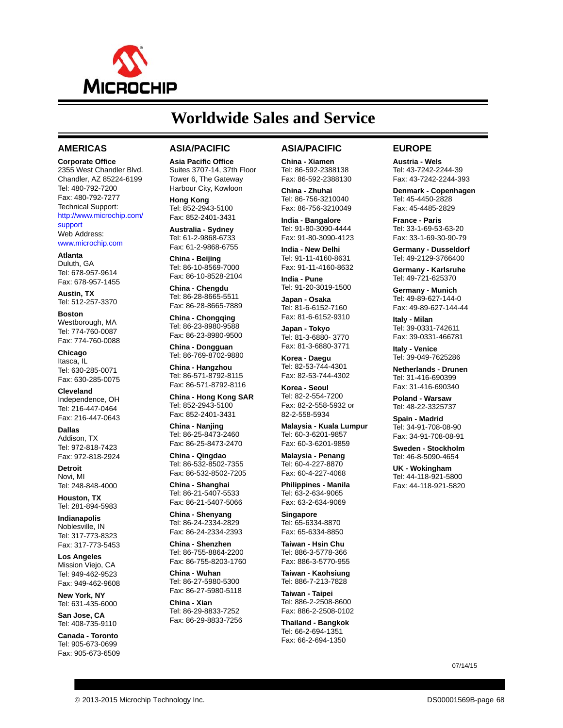

## **Worldwide Sales and Service**

#### **AMERICAS**

**Corporate Office** 2355 West Chandler Blvd. Chandler, AZ 85224-6199 Tel: 480-792-7200 Fax: 480-792-7277 Technical Support: [http://www.microchip.com/](http://support.microchip.com) support

Web Address: www.microchip.com

**Atlanta** Duluth, GA Tel: 678-957-9614 Fax: 678-957-1455

**Austin, TX** Tel: 512-257-3370

**Boston** Westborough, MA Tel: 774-760-0087 Fax: 774-760-0088

**Chicago** Itasca, IL Tel: 630-285-0071 Fax: 630-285-0075

**Cleveland** Independence, OH Tel: 216-447-0464 Fax: 216-447-0643

**Dallas** Addison, TX Tel: 972-818-7423 Fax: 972-818-2924

**Detroit** Novi, MI Tel: 248-848-4000

**Houston, TX**  Tel: 281-894-5983

**Indianapolis** Noblesville, IN Tel: 317-773-8323 Fax: 317-773-5453

**Los Angeles** Mission Viejo, CA Tel: 949-462-9523 Fax: 949-462-9608

**New York, NY**  Tel: 631-435-6000

**San Jose, CA**  Tel: 408-735-9110

**Canada - Toronto** Tel: 905-673-0699 Fax: 905-673-6509

#### **ASIA/PACIFIC**

**Asia Pacific Office** Suites 3707-14, 37th Floor Tower 6, The Gateway Harbour City, Kowloon

**Hong Kong** Tel: 852-2943-5100 Fax: 852-2401-3431

**Australia - Sydney** Tel: 61-2-9868-6733 Fax: 61-2-9868-6755

**China - Beijing** Tel: 86-10-8569-7000 Fax: 86-10-8528-2104

**China - Chengdu** Tel: 86-28-8665-5511 Fax: 86-28-8665-7889

**China - Chongqing** Tel: 86-23-8980-9588 Fax: 86-23-8980-9500

**China - Dongguan** Tel: 86-769-8702-9880

**China - Hangzhou** Tel: 86-571-8792-8115 Fax: 86-571-8792-8116

**China - Hong Kong SAR** Tel: 852-2943-5100 Fax: 852-2401-3431

**China - Nanjing** Tel: 86-25-8473-2460 Fax: 86-25-8473-2470

**China - Qingdao** Tel: 86-532-8502-7355 Fax: 86-532-8502-7205

**China - Shanghai** Tel: 86-21-5407-5533 Fax: 86-21-5407-5066

**China - Shenyang** Tel: 86-24-2334-2829 Fax: 86-24-2334-2393

**China - Shenzhen** Tel: 86-755-8864-2200 Fax: 86-755-8203-1760 **China - Wuhan**

Tel: 86-27-5980-5300 Fax: 86-27-5980-5118

**China - Xian** Tel: 86-29-8833-7252 Fax: 86-29-8833-7256

## **ASIA/PACIFIC**

**China - Xiamen** Tel: 86-592-2388138 Fax: 86-592-2388130

**China - Zhuhai** Tel: 86-756-3210040 Fax: 86-756-3210049

**India - Bangalore** Tel: 91-80-3090-4444 Fax: 91-80-3090-4123

**India - New Delhi** Tel: 91-11-4160-8631 Fax: 91-11-4160-8632

**India - Pune** Tel: 91-20-3019-1500

**Japan - Osaka** Tel: 81-6-6152-7160 Fax: 81-6-6152-9310

**Japan - Tokyo** Tel: 81-3-6880- 3770 Fax: 81-3-6880-3771

**Korea - Daegu** Tel: 82-53-744-4301 Fax: 82-53-744-4302

**Korea - Seoul** Tel: 82-2-554-7200 Fax: 82-2-558-5932 or 82-2-558-5934

**Malaysia - Kuala Lumpur** Tel: 60-3-6201-9857 Fax: 60-3-6201-9859

**Malaysia - Penang** Tel: 60-4-227-8870 Fax: 60-4-227-4068

**Philippines - Manila** Tel: 63-2-634-9065 Fax: 63-2-634-9069

**Singapore** Tel: 65-6334-8870 Fax: 65-6334-8850

**Taiwan - Hsin Chu** Tel: 886-3-5778-366 Fax: 886-3-5770-955

**Taiwan - Kaohsiung** Tel: 886-7-213-7828

**Taiwan - Taipei** Tel: 886-2-2508-8600 Fax: 886-2-2508-0102

**Thailand - Bangkok** Tel: 66-2-694-1351 Fax: 66-2-694-1350

#### **EUROPE**

**Austria - Wels** Tel: 43-7242-2244-39 Fax: 43-7242-2244-393

**Denmark - Copenhagen** Tel: 45-4450-2828 Fax: 45-4485-2829

**France - Paris** Tel: 33-1-69-53-63-20 Fax: 33-1-69-30-90-79

**Germany - Dusseldorf** Tel: 49-2129-3766400

**Germany - Karlsruhe** Tel: 49-721-625370

**Germany - Munich** Tel: 49-89-627-144-0 Fax: 49-89-627-144-44

**Italy - Milan**  Tel: 39-0331-742611 Fax: 39-0331-466781

**Italy - Venice** Tel: 39-049-7625286

**Netherlands - Drunen** Tel: 31-416-690399 Fax: 31-416-690340

**Poland - Warsaw** Tel: 48-22-3325737

**Spain - Madrid** Tel: 34-91-708-08-90 Fax: 34-91-708-08-91

**Sweden - Stockholm** Tel: 46-8-5090-4654

**UK - Wokingham** Tel: 44-118-921-5800 Fax: 44-118-921-5820